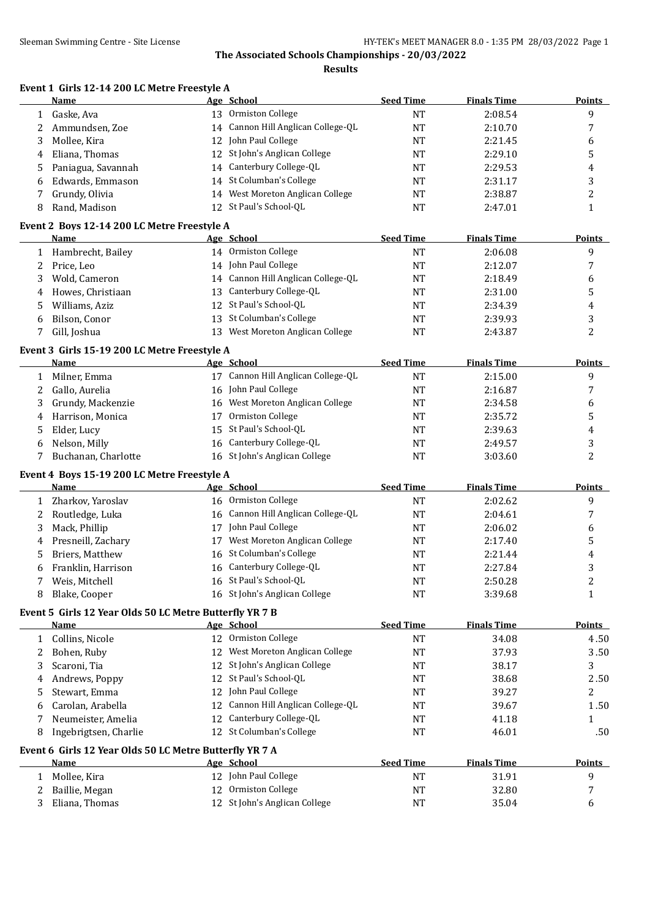**Results**

|  | Event 1 Girls 12-14 200 LC Metre Freestyle A |
|--|----------------------------------------------|
|--|----------------------------------------------|

|   | Name                                                    |    | Age School                         | <b>Seed Time</b> | <b>Finals Time</b> | <b>Points</b>  |
|---|---------------------------------------------------------|----|------------------------------------|------------------|--------------------|----------------|
|   | 1 Gaske, Ava                                            |    | 13 Ormiston College                | <b>NT</b>        | 2:08.54            | 9              |
| 2 | Ammundsen, Zoe                                          |    | 14 Cannon Hill Anglican College-QL | <b>NT</b>        | 2:10.70            | 7              |
| 3 | Mollee, Kira                                            |    | 12 John Paul College               | <b>NT</b>        | 2:21.45            | 6              |
| 4 | Eliana, Thomas                                          |    | 12 St John's Anglican College      | <b>NT</b>        | 2:29.10            | 5              |
| 5 | Paniagua, Savannah                                      | 14 | Canterbury College-QL              | <b>NT</b>        | 2:29.53            | 4              |
| 6 | Edwards, Emmason                                        | 14 | St Columban's College              | <b>NT</b>        | 2:31.17            | 3              |
| 7 | Grundy, Olivia                                          |    | 14 West Moreton Anglican College   | <b>NT</b>        | 2:38.87            | 2              |
| 8 | Rand, Madison                                           |    | 12 St Paul's School-QL             | <b>NT</b>        | 2:47.01            | $\mathbf{1}$   |
|   |                                                         |    |                                    |                  |                    |                |
|   | Event 2 Boys 12-14 200 LC Metre Freestyle A             |    |                                    |                  |                    |                |
|   | Name                                                    |    | Age School                         | <b>Seed Time</b> | <b>Finals Time</b> | <b>Points</b>  |
|   | 1 Hambrecht, Bailey                                     |    | 14 Ormiston College                | <b>NT</b>        | 2:06.08            | 9              |
| 2 | Price, Leo                                              |    | 14 John Paul College               | <b>NT</b>        | 2:12.07            | 7              |
| 3 | Wold, Cameron                                           |    | 14 Cannon Hill Anglican College-QL | <b>NT</b>        | 2:18.49            | 6              |
| 4 | Howes, Christiaan                                       |    | 13 Canterbury College-QL           | <b>NT</b>        | 2:31.00            | 5              |
| 5 | Williams, Aziz                                          |    | 12 St Paul's School-QL             | <b>NT</b>        | 2:34.39            | 4              |
| 6 | Bilson, Conor                                           | 13 | St Columban's College              | <b>NT</b>        | 2:39.93            | 3              |
| 7 | Gill, Joshua                                            |    | 13 West Moreton Anglican College   | <b>NT</b>        | 2:43.87            | $\overline{c}$ |
|   | Event 3 Girls 15-19 200 LC Metre Freestyle A            |    |                                    |                  |                    |                |
|   | <b>Name</b>                                             |    | Age School                         | <b>Seed Time</b> | <b>Finals Time</b> | <b>Points</b>  |
|   | 1 Milner, Emma                                          |    | 17 Cannon Hill Anglican College-QL | <b>NT</b>        | 2:15.00            | 9              |
| 2 | Gallo, Aurelia                                          |    | 16 John Paul College               | NT               | 2:16.87            | 7              |
| 3 | Grundy, Mackenzie                                       |    | 16 West Moreton Anglican College   | <b>NT</b>        | 2:34.58            | 6              |
| 4 | Harrison, Monica                                        | 17 | Ormiston College                   | <b>NT</b>        | 2:35.72            | 5              |
| 5 | Elder, Lucy                                             | 15 | St Paul's School-QL                | <b>NT</b>        | 2:39.63            | 4              |
| 6 | Nelson, Milly                                           |    | 16 Canterbury College-QL           | <b>NT</b>        | 2:49.57            | 3              |
| 7 | Buchanan, Charlotte                                     |    | 16 St John's Anglican College      | <b>NT</b>        | 3:03.60            | $\overline{2}$ |
|   | Event 4 Boys 15-19 200 LC Metre Freestyle A             |    |                                    |                  |                    |                |
|   | Name                                                    |    | Age School                         | <b>Seed Time</b> | <b>Finals Time</b> | <b>Points</b>  |
|   | 1 Zharkov, Yaroslav                                     |    | 16 Ormiston College                | <b>NT</b>        | 2:02.62            | 9              |
| 2 | Routledge, Luka                                         |    | 16 Cannon Hill Anglican College-QL | NT               | 2:04.61            | 7              |
| 3 | Mack, Phillip                                           |    | 17 John Paul College               | NT               | 2:06.02            | 6              |
| 4 | Presneill, Zachary                                      | 17 | West Moreton Anglican College      | NT               | 2:17.40            | 5              |
| 5 | Briers, Matthew                                         | 16 | St Columban's College              | <b>NT</b>        | 2:21.44            | 4              |
| 6 | Franklin, Harrison                                      |    | 16 Canterbury College-QL           | <b>NT</b>        | 2:27.84            | 3              |
|   |                                                         |    | 16 St Paul's School-QL             | <b>NT</b>        | 2:50.28            | $\overline{2}$ |
| 7 | Weis, Mitchell                                          |    |                                    |                  |                    |                |
| 8 | Blake, Cooper                                           |    | 16 St John's Anglican College      | <b>NT</b>        | 3:39.68            | $\mathbf{1}$   |
|   | Event 5 Girls 12 Year Olds 50 LC Metre Butterfly YR 7 B |    |                                    |                  |                    |                |
|   | <b>Name</b>                                             |    | Age School                         | <b>Seed Time</b> | <b>Finals Time</b> | <b>Points</b>  |
|   | 1 Collins, Nicole                                       |    | 12 Ormiston College                | <b>NT</b>        | 34.08              | 4.50           |
| 2 | Bohen, Ruby                                             | 12 | West Moreton Anglican College      | NT               | 37.93              | 3.50           |
| 3 | Scaroni, Tia                                            | 12 | St John's Anglican College         | NT               | 38.17              | 3              |
| 4 | Andrews, Poppy                                          |    | 12 St Paul's School-QL             | NT               | 38.68              | 2.50           |
| 5 | Stewart, Emma                                           |    | 12 John Paul College               | <b>NT</b>        | 39.27              | 2              |
| 6 | Carolan, Arabella                                       | 12 | Cannon Hill Anglican College-QL    | <b>NT</b>        | 39.67              | 1.50           |
| 7 | Neumeister, Amelia                                      |    | 12 Canterbury College-QL           | NT               | 41.18              | 1              |
| 8 | Ingebrigtsen, Charlie                                   |    | 12 St Columban's College           | NT               | 46.01              | .50            |
|   | Event 6 Girls 12 Year Olds 50 LC Metre Butterfly YR 7 A |    |                                    |                  |                    |                |
|   | <b>Name</b>                                             |    | Age School                         | <b>Seed Time</b> | <b>Finals Time</b> | <b>Points</b>  |
|   | 1 Mollee, Kira                                          |    | 12 John Paul College               | <b>NT</b>        | 31.91              | 9              |
| 2 | Baillie, Megan                                          |    | 12 Ormiston College                | NT               | 32.80              | 7              |
| 3 | Eliana, Thomas                                          |    | 12 St John's Anglican College      | <b>NT</b>        | 35.04              | 6              |
|   |                                                         |    |                                    |                  |                    |                |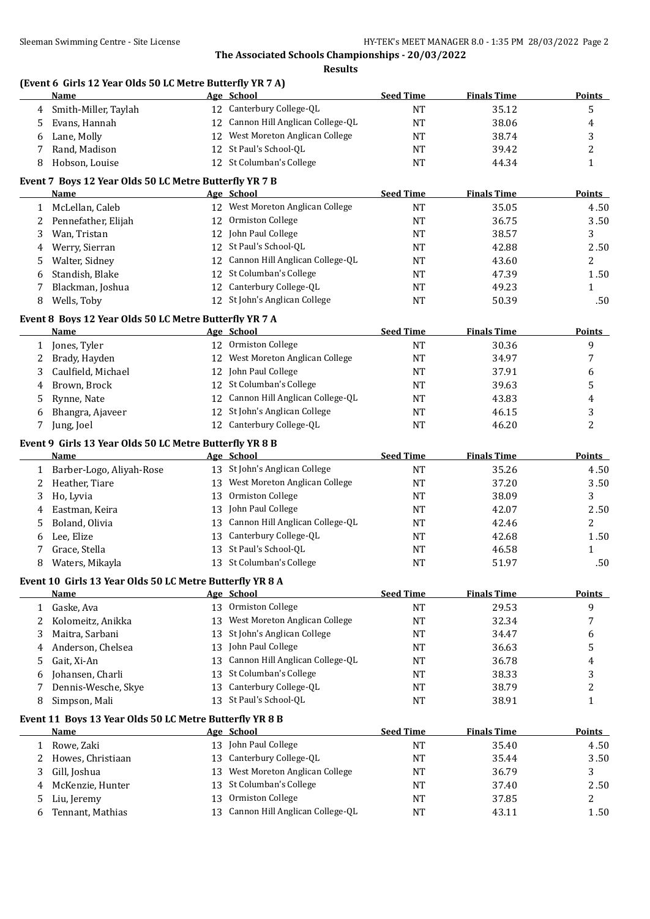**Results**

#### **(Event 6 Girls 12 Year Olds 50 LC Metre Butterfly YR 7 A)**

|              | <b>Name</b>                                              |    | Age School                       | <b>Seed Time</b> | <b>Finals Time</b> | <b>Points</b>  |
|--------------|----------------------------------------------------------|----|----------------------------------|------------------|--------------------|----------------|
| 4            | Smith-Miller, Taylah                                     |    | 12 Canterbury College-QL         | <b>NT</b>        | 35.12              | 5              |
| 5            | Evans, Hannah                                            | 12 | Cannon Hill Anglican College-QL  | <b>NT</b>        | 38.06              | 4              |
| 6            | Lane, Molly                                              |    | 12 West Moreton Anglican College | <b>NT</b>        | 38.74              | 3              |
| 7            | Rand, Madison                                            |    | 12 St Paul's School-QL           | <b>NT</b>        | 39.42              | $\overline{c}$ |
| 8            | Hobson, Louise                                           |    | 12 St Columban's College         | <b>NT</b>        | 44.34              | $\mathbf{1}$   |
|              | Event 7 Boys 12 Year Olds 50 LC Metre Butterfly YR 7 B   |    |                                  |                  |                    |                |
|              | Name                                                     |    | Age School                       | <b>Seed Time</b> | <b>Finals Time</b> | <b>Points</b>  |
| $\mathbf{1}$ | McLellan, Caleb                                          |    | 12 West Moreton Anglican College | <b>NT</b>        | 35.05              | 4.50           |
|              | 2 Pennefather, Elijah                                    |    | 12 Ormiston College              | <b>NT</b>        | 36.75              | 3.50           |
| 3            | Wan, Tristan                                             |    | 12 John Paul College             | <b>NT</b>        | 38.57              | 3              |
| 4            | Werry, Sierran                                           | 12 | St Paul's School-QL              | <b>NT</b>        | 42.88              | 2.50           |
| 5            | Walter, Sidney                                           | 12 | Cannon Hill Anglican College-QL  | <b>NT</b>        | 43.60              | 2              |
| 6            | Standish, Blake                                          | 12 | St Columban's College            | <b>NT</b>        | 47.39              | 1.50           |
| 7            | Blackman, Joshua                                         | 12 | Canterbury College-QL            | <b>NT</b>        | 49.23              | 1              |
| 8            | Wells, Toby                                              |    | 12 St John's Anglican College    | <b>NT</b>        | 50.39              | .50            |
|              | Event 8 Boys 12 Year Olds 50 LC Metre Butterfly YR 7 A   |    |                                  |                  |                    |                |
|              | <b>Name</b>                                              |    | Age School                       | <b>Seed Time</b> | <b>Finals Time</b> | <b>Points</b>  |
|              | 1 Jones, Tyler                                           |    | 12 Ormiston College              | <b>NT</b>        | 30.36              | 9              |
| 2            | Brady, Hayden                                            |    | 12 West Moreton Anglican College | <b>NT</b>        | 34.97              | 7              |
| 3            | Caulfield, Michael                                       |    | 12 John Paul College             | <b>NT</b>        | 37.91              | 6              |
| 4            | Brown, Brock                                             | 12 | St Columban's College            | <b>NT</b>        | 39.63              | 5              |
| 5            | Rynne, Nate                                              | 12 | Cannon Hill Anglican College-QL  | <b>NT</b>        | 43.83              | 4              |
| 6            | Bhangra, Ajaveer                                         | 12 | St John's Anglican College       | <b>NT</b>        | 46.15              | 3              |
| 7            | Jung, Joel                                               |    | 12 Canterbury College-QL         | <b>NT</b>        | 46.20              | 2              |
|              | Event 9 Girls 13 Year Olds 50 LC Metre Butterfly YR 8 B  |    |                                  |                  |                    |                |
|              | <b>Name</b>                                              |    | Age School                       | <b>Seed Time</b> | <b>Finals Time</b> | <b>Points</b>  |
| 1            | Barber-Logo, Aliyah-Rose                                 |    | 13 St John's Anglican College    | <b>NT</b>        | 35.26              | 4.50           |
| 2            | Heather, Tiare                                           | 13 | West Moreton Anglican College    | <b>NT</b>        | 37.20              | 3.50           |
| 3            | Ho, Lyvia                                                | 13 | Ormiston College                 | NT               | 38.09              | 3              |
| 4            | Eastman, Keira                                           | 13 | John Paul College                | <b>NT</b>        | 42.07              | 2.50           |
| 5            | Boland, Olivia                                           | 13 | Cannon Hill Anglican College-QL  | <b>NT</b>        | 42.46              | 2              |
| 6            | Lee, Elize                                               | 13 | Canterbury College-QL            | <b>NT</b>        | 42.68              | 1.50           |
| 7            | Grace, Stella                                            |    | 13 St Paul's School-QL           | <b>NT</b>        | 46.58              | $\mathbf{1}$   |
| 8            | Waters, Mikayla                                          |    | 13 St Columban's College         | NT               | 51.97              | .50            |
|              | Event 10 Girls 13 Year Olds 50 LC Metre Butterfly YR 8 A |    |                                  |                  |                    |                |
|              | <u>Name</u>                                              |    | Age School                       | <b>Seed Time</b> | <b>Finals Time</b> | <b>Points</b>  |
| $\mathbf{1}$ | Gaske, Ava                                               |    | 13 Ormiston College              | $\rm{NT}$        | 29.53              | 9              |
| 2            | Kolomeitz, Anikka                                        | 13 | West Moreton Anglican College    | <b>NT</b>        | 32.34              | 7              |
| 3            | Maitra, Sarbani                                          | 13 | St John's Anglican College       | <b>NT</b>        | 34.47              | 6              |
| 4            | Anderson, Chelsea                                        | 13 | John Paul College                | <b>NT</b>        | 36.63              | 5              |
| 5            | Gait, Xi-An                                              | 13 | Cannon Hill Anglican College-QL  | <b>NT</b>        | 36.78              | 4              |
| 6            | Johansen, Charli                                         | 13 | St Columban's College            | <b>NT</b>        | 38.33              | 3              |
| 7            | Dennis-Wesche, Skye                                      | 13 | Canterbury College-QL            | <b>NT</b>        | 38.79              | 2              |
| 8            | Simpson, Mali                                            |    | 13 St Paul's School-QL           | NT               | 38.91              | $\mathbf{1}$   |
|              | Event 11 Boys 13 Year Olds 50 LC Metre Butterfly YR 8 B  |    |                                  |                  |                    |                |
|              | <b>Name</b>                                              |    | Age School                       | <b>Seed Time</b> | <b>Finals Time</b> | <b>Points</b>  |
| 1            | Rowe, Zaki                                               |    | 13 John Paul College             | <b>NT</b>        | 35.40              | 4.50           |
| 2            | Howes, Christiaan                                        | 13 | Canterbury College-QL            | <b>NT</b>        | 35.44              | 3.50           |
| 3            | Gill, Joshua                                             | 13 | West Moreton Anglican College    | <b>NT</b>        | 36.79              | 3              |
| 4            | McKenzie, Hunter                                         | 13 | St Columban's College            | <b>NT</b>        | 37.40              | 2.50           |
| 5            | Liu, Jeremy                                              | 13 | Ormiston College                 | <b>NT</b>        | 37.85              | 2              |
| 6            | Tennant, Mathias                                         | 13 | Cannon Hill Anglican College-QL  | <b>NT</b>        | 43.11              | 1.50           |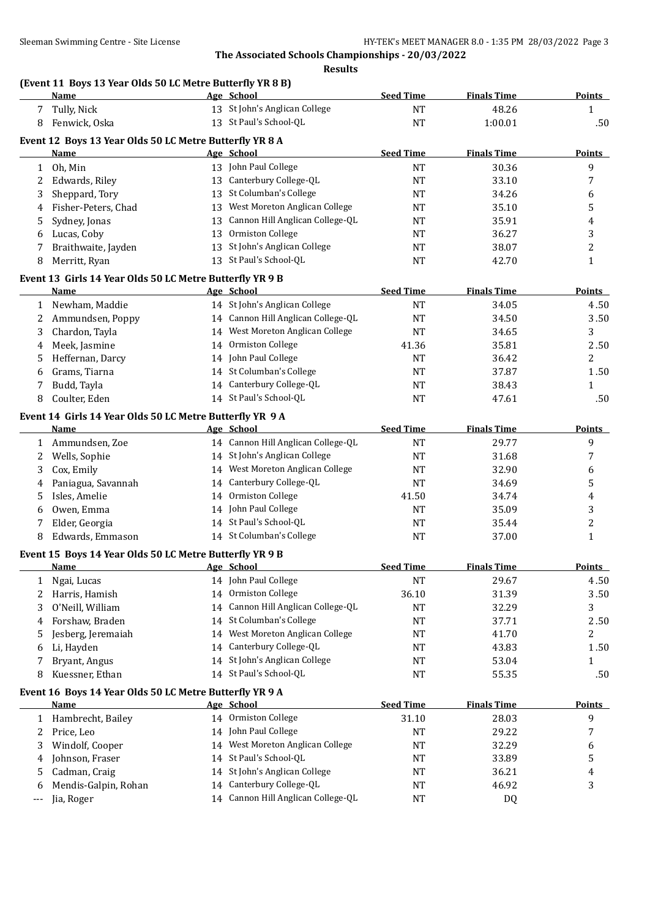## **(Event 11 Boys 13 Year Olds 50 LC Metre Butterfly YR 8 B)**

|              | <b>Name</b>                                              |    | Age School                         | <b>Seed Time</b> | <b>Finals Time</b> | <b>Points</b> |
|--------------|----------------------------------------------------------|----|------------------------------------|------------------|--------------------|---------------|
|              | Tully, Nick                                              |    | 13 St John's Anglican College      | <b>NT</b>        | 48.26              | 1             |
| 8            | Fenwick, Oska                                            |    | 13 St Paul's School-QL             | $\rm{NT}$        | 1:00.01            | .50           |
|              | Event 12 Boys 13 Year Olds 50 LC Metre Butterfly YR 8 A  |    |                                    |                  |                    |               |
|              | Name                                                     |    | Age School                         | <b>Seed Time</b> | <b>Finals Time</b> | <b>Points</b> |
| $\mathbf{1}$ | Oh, Min                                                  |    | 13 John Paul College               | <b>NT</b>        | 30.36              | 9             |
| 2            | Edwards, Riley                                           |    | 13 Canterbury College-QL           | <b>NT</b>        | 33.10              | 7             |
| 3            | Sheppard, Tory                                           |    | 13 St Columban's College           | NT               | 34.26              | 6             |
| 4            | Fisher-Peters, Chad                                      | 13 | West Moreton Anglican College      | <b>NT</b>        | 35.10              | 5             |
| 5            | Sydney, Jonas                                            | 13 | Cannon Hill Anglican College-QL    | <b>NT</b>        | 35.91              | 4             |
| 6            | Lucas, Coby                                              | 13 | Ormiston College                   | <b>NT</b>        | 36.27              | 3             |
| 7            | Braithwaite, Jayden                                      |    | 13 St John's Anglican College      | <b>NT</b>        | 38.07              | 2             |
| 8            | Merritt, Ryan                                            |    | 13 St Paul's School-QL             | <b>NT</b>        | 42.70              | $\mathbf{1}$  |
|              |                                                          |    |                                    |                  |                    |               |
|              | Event 13 Girls 14 Year Olds 50 LC Metre Butterfly YR 9 B |    |                                    |                  |                    |               |
|              | Name                                                     |    | Age School                         | <b>Seed Time</b> | <b>Finals Time</b> | <b>Points</b> |
| 1            | Newham, Maddie                                           |    | 14 St John's Anglican College      | <b>NT</b>        | 34.05              | 4.50          |
| 2            | Ammundsen, Poppy                                         |    | 14 Cannon Hill Anglican College-QL | <b>NT</b>        | 34.50              | 3.50          |
| 3            | Chardon, Tayla                                           |    | 14 West Moreton Anglican College   | <b>NT</b>        | 34.65              | 3             |
| 4            | Meek, Jasmine                                            |    | 14 Ormiston College                | 41.36            | 35.81              | 2.50          |
| 5            | Heffernan, Darcy                                         |    | 14 John Paul College               | <b>NT</b>        | 36.42              | 2             |
| 6            | Grams, Tiarna                                            |    | 14 St Columban's College           | <b>NT</b>        | 37.87              | 1.50          |
| 7            | Budd, Tayla                                              |    | 14 Canterbury College-QL           | NT               | 38.43              | 1             |
| 8            | Coulter, Eden                                            |    | 14 St Paul's School-QL             | NT               | 47.61              | .50           |
|              | Event 14 Girls 14 Year Olds 50 LC Metre Butterfly YR 9 A |    |                                    |                  |                    |               |
|              | Name                                                     |    | Age School                         | <b>Seed Time</b> | <b>Finals Time</b> | <b>Points</b> |
| 1            | Ammundsen, Zoe                                           |    | 14 Cannon Hill Anglican College-QL | <b>NT</b>        | 29.77              | 9             |
| 2            | Wells, Sophie                                            |    | 14 St John's Anglican College      | <b>NT</b>        | 31.68              | 7             |
| 3            | Cox, Emily                                               |    | 14 West Moreton Anglican College   | <b>NT</b>        | 32.90              | 6             |
| 4            | Paniagua, Savannah                                       |    | 14 Canterbury College-QL           | <b>NT</b>        | 34.69              | 5             |
| 5            | Isles, Amelie                                            |    | 14 Ormiston College                | 41.50            | 34.74              | 4             |
|              | Owen, Emma                                               |    | 14 John Paul College               | <b>NT</b>        | 35.09              |               |
| 6            | Elder, Georgia                                           |    | 14 St Paul's School-QL             |                  | 35.44              | 3<br>2        |
| 7            | Edwards, Emmason                                         |    | 14 St Columban's College           | NT<br>NT         | 37.00              | 1             |
| 8            |                                                          |    |                                    |                  |                    |               |
|              | Event 15 Boys 14 Year Olds 50 LC Metre Butterfly YR 9 B  |    |                                    |                  |                    |               |
|              | <b>Name</b>                                              |    | Age School                         | <b>Seed Time</b> | <b>Finals Time</b> | <b>Points</b> |
| T            | Ngai, Lucas                                              |    | 14 John Paul College               | <b>NT</b>        | 29.67              | 4.50          |
| 2            | Harris, Hamish                                           | 14 | Ormiston College                   | 36.10            | 31.39              | 3.50          |
| 3            | O'Neill, William                                         | 14 | Cannon Hill Anglican College-QL    | NT               | 32.29              | 3             |
| 4            | Forshaw, Braden                                          | 14 | St Columban's College              | NT               | 37.71              | 2.50          |
| 5            | Jesberg, Jeremaiah                                       | 14 | West Moreton Anglican College      | <b>NT</b>        | 41.70              | 2             |
| 6            | Li, Hayden                                               | 14 | Canterbury College-QL              | NT               | 43.83              | 1.50          |
| 7            | Bryant, Angus                                            |    | 14 St John's Anglican College      | NT               | 53.04              | 1             |
| 8            | Kuessner, Ethan                                          |    | 14 St Paul's School-QL             | NT               | 55.35              | .50           |
|              | Event 16 Boys 14 Year Olds 50 LC Metre Butterfly YR 9 A  |    |                                    |                  |                    |               |
|              | <b>Name</b>                                              |    | Age School                         | <b>Seed Time</b> | <b>Finals Time</b> | <b>Points</b> |
| 1            | Hambrecht, Bailey                                        |    | 14 Ormiston College                | 31.10            | 28.03              | 9             |
| 2            | Price, Leo                                               |    | 14 John Paul College               | NT               | 29.22              | 7             |
| 3            | Windolf, Cooper                                          | 14 | West Moreton Anglican College      | NT               | 32.29              |               |
|              |                                                          |    | St Paul's School-QL                |                  |                    | 6             |
| 4            | Johnson, Fraser                                          | 14 |                                    | NT               | 33.89              | 5             |
| 5            | Cadman, Craig                                            | 14 | St John's Anglican College         | NT               | 36.21              | 4             |
| 6            | Mendis-Galpin, Rohan                                     | 14 | Canterbury College-QL              | NT               | 46.92              | 3             |
| $---$        | Jia, Roger                                               |    | 14 Cannon Hill Anglican College-QL | NT               | DQ                 |               |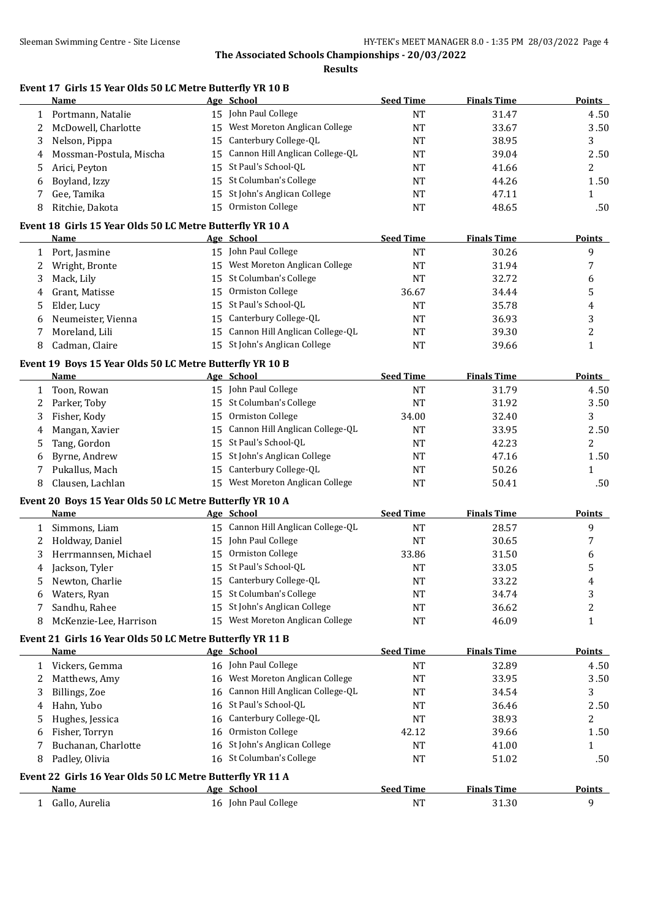**Results**

## **Event 17 Girls 15 Year Olds 50 LC Metre Butterfly YR 10 B**

|              | Name                                                                    |    | Age School                         | <b>Seed Time</b> | <b>Finals Time</b> | Points         |
|--------------|-------------------------------------------------------------------------|----|------------------------------------|------------------|--------------------|----------------|
| 1            | Portmann, Natalie                                                       |    | 15 John Paul College               | <b>NT</b>        | 31.47              | 4.50           |
| 2            | McDowell, Charlotte                                                     |    | 15 West Moreton Anglican College   | <b>NT</b>        | 33.67              | 3.50           |
| 3            | Nelson, Pippa                                                           | 15 | Canterbury College-QL              | <b>NT</b>        | 38.95              | 3              |
| 4            | Mossman-Postula, Mischa                                                 | 15 | Cannon Hill Anglican College-QL    | NT               | 39.04              | 2.50           |
| 5            | Arici, Peyton                                                           | 15 | St Paul's School-QL                | <b>NT</b>        | 41.66              | $\overline{c}$ |
| 6            | Boyland, Izzy                                                           | 15 | St Columban's College              | NT               | 44.26              | 1.50           |
| 7            | Gee, Tamika                                                             | 15 | St John's Anglican College         | NT               | 47.11              | $\mathbf{1}$   |
| 8            | Ritchie, Dakota                                                         |    | 15 Ormiston College                | <b>NT</b>        | 48.65              | .50            |
|              |                                                                         |    |                                    |                  |                    |                |
|              | Event 18 Girls 15 Year Olds 50 LC Metre Butterfly YR 10 A<br>Name       |    | Age School                         | <b>Seed Time</b> | <b>Finals Time</b> | <b>Points</b>  |
|              |                                                                         |    | 15 John Paul College               |                  | 30.26              |                |
| 1            | Port, Jasmine                                                           |    |                                    | <b>NT</b>        |                    | 9              |
| 2            | Wright, Bronte                                                          |    | 15 West Moreton Anglican College   | <b>NT</b>        | 31.94              | 7              |
| 3            | Mack, Lily                                                              |    | 15 St Columban's College           | <b>NT</b>        | 32.72              | 6              |
| 4            | Grant, Matisse                                                          | 15 | Ormiston College                   | 36.67            | 34.44              | 5              |
| 5            | Elder, Lucy                                                             |    | 15 St Paul's School-QL             | <b>NT</b>        | 35.78              | 4              |
| 6            | Neumeister, Vienna                                                      |    | 15 Canterbury College-QL           | <b>NT</b>        | 36.93              | 3              |
| 7            | Moreland, Lili                                                          |    | 15 Cannon Hill Anglican College-QL | NT               | 39.30              | $\overline{c}$ |
| 8            | Cadman, Claire                                                          |    | 15 St John's Anglican College      | <b>NT</b>        | 39.66              | $\mathbf{1}$   |
|              | Event 19 Boys 15 Year Olds 50 LC Metre Butterfly YR 10 B                |    |                                    |                  |                    |                |
|              | <b>Name</b>                                                             |    | Age School                         | <b>Seed Time</b> | <b>Finals Time</b> | <b>Points</b>  |
| 1            | Toon, Rowan                                                             |    | 15 John Paul College               | <b>NT</b>        | 31.79              | 4.50           |
| 2            | Parker, Toby                                                            |    | 15 St Columban's College           | <b>NT</b>        | 31.92              | 3.50           |
| 3            | Fisher, Kody                                                            | 15 | Ormiston College                   | 34.00            | 32.40              | 3              |
| 4            | Mangan, Xavier                                                          | 15 | Cannon Hill Anglican College-QL    | NT               | 33.95              | 2.50           |
| 5            | Tang, Gordon                                                            | 15 | St Paul's School-QL                | NT               | 42.23              | 2              |
| 6            | Byrne, Andrew                                                           | 15 | St John's Anglican College         | NT               | 47.16              | 1.50           |
| 7            | Pukallus, Mach                                                          |    | 15 Canterbury College-QL           | <b>NT</b>        | 50.26              | $\mathbf{1}$   |
| 8            | Clausen, Lachlan                                                        |    | 15 West Moreton Anglican College   | <b>NT</b>        | 50.41              | .50            |
|              |                                                                         |    |                                    |                  |                    |                |
|              | Event 20 Boys 15 Year Olds 50 LC Metre Butterfly YR 10 A<br><b>Name</b> |    | Age School                         | <b>Seed Time</b> | <b>Finals Time</b> | <b>Points</b>  |
| $\mathbf{1}$ | Simmons, Liam                                                           |    | 15 Cannon Hill Anglican College-QL | <b>NT</b>        | 28.57              | 9              |
|              | Holdway, Daniel                                                         |    | 15 John Paul College               | <b>NT</b>        | 30.65              | 7              |
| 2            |                                                                         |    | 15 Ormiston College                |                  |                    |                |
| 3            | Herrmannsen, Michael                                                    |    | 15 St Paul's School-QL             | 33.86            | 31.50              | 6              |
| 4            | Jackson, Tyler                                                          |    | 15 Canterbury College-QL           | NT               | 33.05              | 5              |
| 5            | Newton, Charlie                                                         |    |                                    | <b>NT</b>        | 33.22              | 4              |
| 6            | Waters, Ryan                                                            |    | 15 St Columban's College           | NT               | 34.74              | 3              |
| 7            | Sandhu, Rahee                                                           |    | 15 St John's Anglican College      | <b>NT</b>        | 36.62              | 2              |
| 8            | McKenzie-Lee, Harrison                                                  |    | 15 West Moreton Anglican College   | <b>NT</b>        | 46.09              | $\mathbf{1}$   |
|              | Event 21 Girls 16 Year Olds 50 LC Metre Butterfly YR 11 B               |    |                                    |                  |                    |                |
|              | Name                                                                    |    | Age School                         | <b>Seed Time</b> | <b>Finals Time</b> | <b>Points</b>  |
| 1            | Vickers, Gemma                                                          |    | 16 John Paul College               | <b>NT</b>        | 32.89              | 4.50           |
| 2            | Matthews, Amy                                                           |    | 16 West Moreton Anglican College   | NT               | 33.95              | 3.50           |
| 3            | Billings, Zoe                                                           | 16 | Cannon Hill Anglican College-QL    | NT               | 34.54              | 3              |
| 4            | Hahn, Yubo                                                              | 16 | St Paul's School-QL                | NT               | 36.46              | 2.50           |
| 5            | Hughes, Jessica                                                         | 16 | Canterbury College-QL              | NT               | 38.93              | 2              |
| 6            | Fisher, Torryn                                                          | 16 | Ormiston College                   | 42.12            | 39.66              | 1.50           |
| 7            | Buchanan, Charlotte                                                     | 16 | St John's Anglican College         | <b>NT</b>        | 41.00              | 1              |
| 8            | Padley, Olivia                                                          |    | 16 St Columban's College           | <b>NT</b>        | 51.02              | .50            |
|              | Event 22 Girls 16 Year Olds 50 LC Metre Butterfly YR 11 A               |    |                                    |                  |                    |                |
|              | <b>Name</b>                                                             |    | Age School                         | <b>Seed Time</b> | <b>Finals Time</b> | <b>Points</b>  |
| $\mathbf{1}$ | Gallo, Aurelia                                                          |    | 16 John Paul College               | NT               | 31.30              | 9              |
|              |                                                                         |    |                                    |                  |                    |                |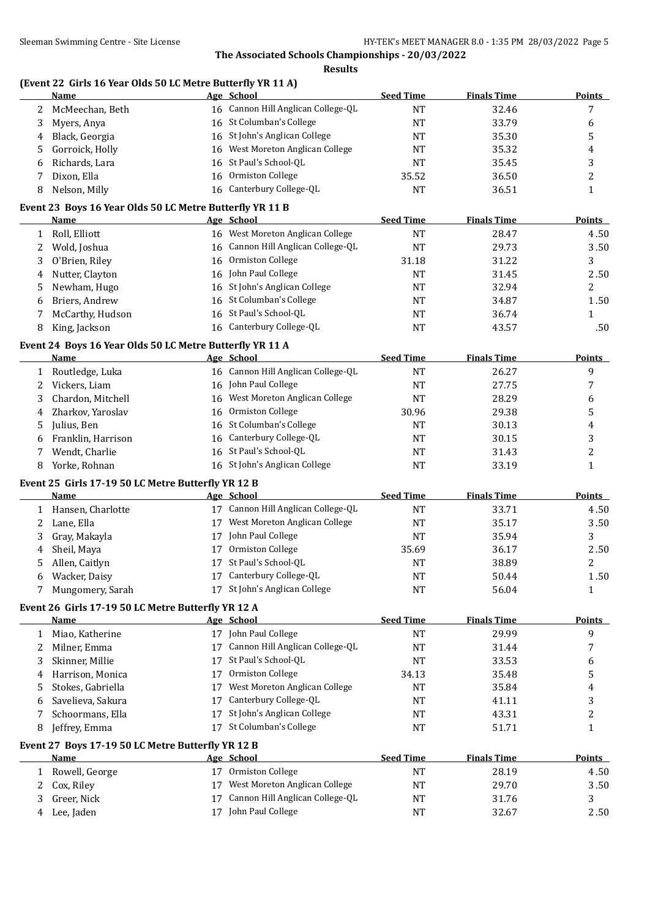#### **Results**

## **(Event 22 Girls 16 Year Olds 50 LC Metre Butterfly YR 11 A)**

|   | <b>Name</b>                                              |    | Age School                         | <b>Seed Time</b> | <b>Finals Time</b> | <b>Points</b>    |
|---|----------------------------------------------------------|----|------------------------------------|------------------|--------------------|------------------|
| 2 | McMeechan, Beth                                          |    | 16 Cannon Hill Anglican College-QL | NT               | 32.46              | 7                |
| 3 | Myers, Anya                                              |    | 16 St Columban's College           | NT               | 33.79              | 6                |
| 4 | Black, Georgia                                           |    | 16 St John's Anglican College      | NT               | 35.30              | 5                |
| 5 | Gorroick, Holly                                          | 16 | West Moreton Anglican College      | NT               | 35.32              | 4                |
| 6 | Richards, Lara                                           | 16 | St Paul's School-QL                | NT               | 35.45              | 3                |
| 7 | Dixon, Ella                                              | 16 | Ormiston College                   | 35.52            | 36.50              | 2                |
| 8 | Nelson, Milly                                            |    | 16 Canterbury College-QL           | <b>NT</b>        | 36.51              | $\mathbf{1}$     |
|   | Event 23 Boys 16 Year Olds 50 LC Metre Butterfly YR 11 B |    |                                    |                  |                    |                  |
|   | <b>Name</b>                                              |    | Age School                         | <b>Seed Time</b> | <b>Finals Time</b> | <b>Points</b>    |
| 1 | Roll, Elliott                                            |    | 16 West Moreton Anglican College   | NT               | 28.47              | 4.50             |
| 2 | Wold, Joshua                                             |    | 16 Cannon Hill Anglican College-QL | NT               | 29.73              | 3.50             |
| 3 | O'Brien, Riley                                           |    | 16 Ormiston College                | 31.18            | 31.22              | 3                |
| 4 | Nutter, Clayton                                          |    | 16 John Paul College               | NT               | 31.45              | 2.50             |
| 5 | Newham, Hugo                                             |    | 16 St John's Anglican College      | NT               | 32.94              | 2                |
| 6 | Briers, Andrew                                           |    | 16 St Columban's College           | <b>NT</b>        | 34.87              | 1.50             |
| 7 | McCarthy, Hudson                                         |    | 16 St Paul's School-QL             | <b>NT</b>        | 36.74              | $\mathbf{1}$     |
| 8 | King, Jackson                                            |    | 16 Canterbury College-QL           | NT               | 43.57              | .50              |
|   |                                                          |    |                                    |                  |                    |                  |
|   | Event 24 Boys 16 Year Olds 50 LC Metre Butterfly YR 11 A |    |                                    | <b>Seed Time</b> | <b>Finals Time</b> |                  |
|   | Name                                                     |    | Age School                         |                  |                    | <b>Points</b>    |
| 1 | Routledge, Luka                                          |    | 16 Cannon Hill Anglican College-QL | NT               | 26.27              | 9                |
| 2 | Vickers, Liam                                            |    | 16 John Paul College               | NT               | 27.75              | 7                |
| 3 | Chardon, Mitchell                                        |    | 16 West Moreton Anglican College   | <b>NT</b>        | 28.29              | 6                |
| 4 | Zharkov, Yaroslav                                        | 16 | Ormiston College                   | 30.96            | 29.38              | 5                |
| 5 | Julius, Ben                                              |    | 16 St Columban's College           | NT               | 30.13              | 4                |
| 6 | Franklin, Harrison                                       |    | 16 Canterbury College-QL           | NT               | 30.15              | 3                |
| 7 | Wendt, Charlie                                           |    | 16 St Paul's School-QL             | NT               | 31.43              | $\overline{c}$   |
| 8 | Yorke, Rohnan                                            |    | 16 St John's Anglican College      | NT               | 33.19              | $\mathbf{1}$     |
|   | Event 25 Girls 17-19 50 LC Metre Butterfly YR 12 B       |    |                                    |                  |                    |                  |
|   | <b>Name</b>                                              |    | Age School                         | <b>Seed Time</b> | <b>Finals Time</b> | <b>Points</b>    |
|   | 1 Hansen, Charlotte                                      |    | 17 Cannon Hill Anglican College-QL | <b>NT</b>        | 33.71              | 4.50             |
| 2 | Lane, Ella                                               |    | 17 West Moreton Anglican College   | <b>NT</b>        | 35.17              | 3.50             |
| 3 | Gray, Makayla                                            | 17 | John Paul College                  | NT               | 35.94              | 3                |
| 4 | Sheil, Maya                                              | 17 | Ormiston College                   | 35.69            | 36.17              | 2.50             |
| 5 | Allen, Caitlyn                                           | 17 | St Paul's School-QL                | NT               | 38.89              | $\overline{c}$   |
| 6 | Wacker, Daisy                                            |    | 17 Canterbury College-QL           | <b>NT</b>        | 50.44              | 1.50             |
|   | 7 Mungomery, Sarah                                       |    | 17 St John's Anglican College      | <b>NT</b>        | 56.04              | $\mathbf{1}$     |
|   | Event 26 Girls 17-19 50 LC Metre Butterfly YR 12 A       |    |                                    |                  |                    |                  |
|   | <b>Name</b>                                              |    | Age School                         | <b>Seed Time</b> | <b>Finals Time</b> | <b>Points</b>    |
| 1 | Miao, Katherine                                          |    | 17 John Paul College               | NT               | 29.99              | 9                |
| 2 | Milner, Emma                                             |    | 17 Cannon Hill Anglican College-QL | NT               | 31.44              | 7                |
| 3 | Skinner, Millie                                          |    | 17 St Paul's School-QL             | NT               | 33.53              | 6                |
| 4 | Harrison, Monica                                         | 17 | Ormiston College                   | 34.13            | 35.48              | 5                |
| 5 | Stokes, Gabriella                                        | 17 | West Moreton Anglican College      | <b>NT</b>        | 35.84              | 4                |
| 6 | Savelieva, Sakura                                        | 17 | Canterbury College-QL              | NT               | 41.11              | 3                |
| 7 | Schoormans, Ella                                         | 17 | St John's Anglican College         | NT               | 43.31              | $\boldsymbol{2}$ |
| 8 | Jeffrey, Emma                                            | 17 | St Columban's College              | NT               | 51.71              | $\mathbf{1}$     |
|   | Event 27 Boys 17-19 50 LC Metre Butterfly YR 12 B        |    |                                    |                  |                    |                  |
|   | <b>Name</b>                                              |    | Age School                         | <b>Seed Time</b> | <b>Finals Time</b> | <b>Points</b>    |
| 1 | Rowell, George                                           |    | 17 Ormiston College                | <b>NT</b>        | 28.19              | 4.50             |
| 2 | Cox, Riley                                               |    | 17 West Moreton Anglican College   | NT               | 29.70              | 3.50             |
| 3 | Greer, Nick                                              | 17 | Cannon Hill Anglican College-QL    | NT               | 31.76              | 3                |
| 4 | Lee, Jaden                                               |    | 17 John Paul College               | <b>NT</b>        | 32.67              | 2.50             |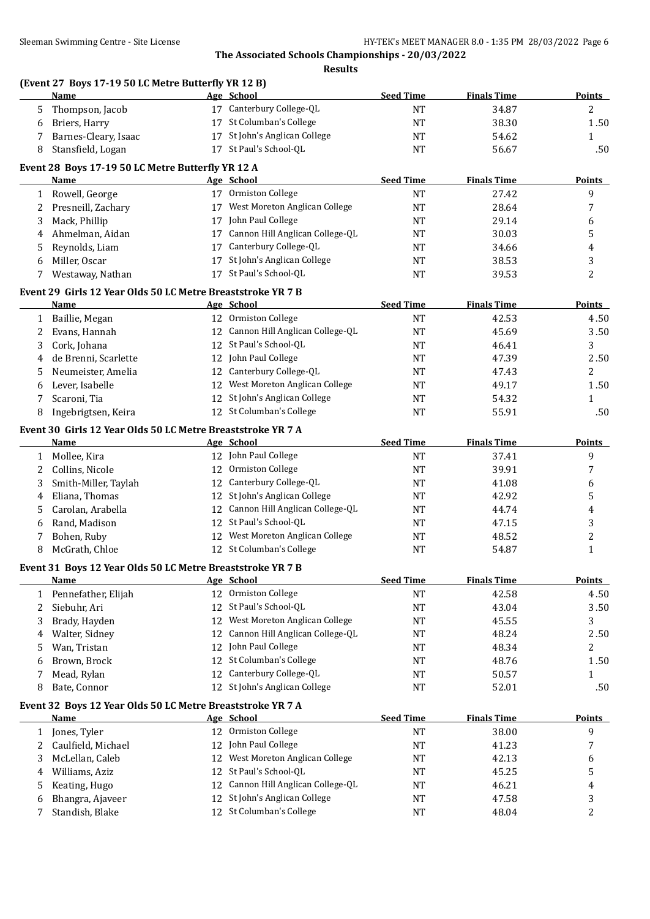## **(Event 27 Boys 17-19 50 LC Metre Butterfly YR 12 B)**

|              | <b>Name</b>                                                         |    | Age School                         | <b>Seed Time</b> | <b>Finals Time</b> | <b>Points</b>    |
|--------------|---------------------------------------------------------------------|----|------------------------------------|------------------|--------------------|------------------|
| 5.           | Thompson, Jacob                                                     |    | 17 Canterbury College-QL           | <b>NT</b>        | 34.87              | $\overline{c}$   |
| 6            | Briers, Harry                                                       |    | 17 St Columban's College           | <b>NT</b>        | 38.30              | 1.50             |
| 7            | Barnes-Cleary, Isaac                                                |    | 17 St John's Anglican College      | NT               | 54.62              | $\mathbf{1}$     |
| 8            | Stansfield, Logan                                                   |    | 17 St Paul's School-QL             | NT               | 56.67              | .50              |
|              | Event 28 Boys 17-19 50 LC Metre Butterfly YR 12 A                   |    |                                    |                  |                    |                  |
|              | Name                                                                |    | Age School                         | <b>Seed Time</b> | <b>Finals Time</b> | <b>Points</b>    |
|              | 1 Rowell, George                                                    |    | 17 Ormiston College                | <b>NT</b>        | 27.42              | 9                |
| 2            | Presneill, Zachary                                                  |    | 17 West Moreton Anglican College   | <b>NT</b>        | 28.64              | 7                |
| 3            | Mack, Phillip                                                       |    | 17 John Paul College               | NT               | 29.14              |                  |
| 4            | Ahmelman, Aidan                                                     |    | 17 Cannon Hill Anglican College-QL | NT               | 30.03              | 6<br>5           |
|              |                                                                     |    | 17 Canterbury College-QL           | NT               | 34.66              |                  |
| 5            | Reynolds, Liam                                                      |    | 17 St John's Anglican College      |                  |                    | 4                |
| 6            | Miller, Oscar                                                       |    |                                    | NT               | 38.53              | 3                |
| 7            | Westaway, Nathan                                                    |    | 17 St Paul's School-QL             | NT               | 39.53              | $\overline{c}$   |
|              | Event 29 Girls 12 Year Olds 50 LC Metre Breaststroke YR 7 B         |    |                                    |                  |                    |                  |
|              | <b>Name</b>                                                         |    | Age School                         | <b>Seed Time</b> | <b>Finals Time</b> | <b>Points</b>    |
| $\mathbf{1}$ | Baillie, Megan                                                      |    | 12 Ormiston College                | NT               | 42.53              | 4.50             |
| 2            | Evans, Hannah                                                       |    | 12 Cannon Hill Anglican College-QL | NT               | 45.69              | 3.50             |
| 3            | Cork, Johana                                                        |    | 12 St Paul's School-QL             | NT               | 46.41              | 3                |
| 4            | de Brenni, Scarlette                                                |    | 12 John Paul College               | <b>NT</b>        | 47.39              | 2.50             |
| 5            | Neumeister, Amelia                                                  |    | 12 Canterbury College-QL           | NT               | 47.43              | 2                |
| 6            | Lever, Isabelle                                                     |    | 12 West Moreton Anglican College   | NT               | 49.17              | 1.50             |
| 7            | Scaroni, Tia                                                        |    | 12 St John's Anglican College      | NT               | 54.32              | $\mathbf{1}$     |
| 8            | Ingebrigtsen, Keira                                                 |    | 12 St Columban's College           | NT               | 55.91              | .50              |
|              |                                                                     |    |                                    |                  |                    |                  |
|              | Event 30 Girls 12 Year Olds 50 LC Metre Breaststroke YR 7 A<br>Name |    | Age School                         | <b>Seed Time</b> | <b>Finals Time</b> | <b>Points</b>    |
|              |                                                                     |    | 12 John Paul College               | <b>NT</b>        | 37.41              | 9                |
| 1            | Mollee, Kira                                                        |    | 12 Ormiston College                |                  |                    |                  |
| 2            | Collins, Nicole                                                     |    | 12 Canterbury College-QL           | NT               | 39.91              | 7                |
| 3            | Smith-Miller, Taylah                                                |    |                                    | NT               | 41.08              | 6                |
| 4            | Eliana, Thomas                                                      |    | 12 St John's Anglican College      | <b>NT</b>        | 42.92              | 5                |
| 5            | Carolan, Arabella                                                   |    | 12 Cannon Hill Anglican College-QL | NT               | 44.74              | 4                |
| 6            | Rand, Madison                                                       |    | 12 St Paul's School-QL             | NT               | 47.15              | 3                |
| 7            | Bohen, Ruby                                                         |    | 12 West Moreton Anglican College   | NT               | 48.52              | $\boldsymbol{2}$ |
| 8            | McGrath, Chloe                                                      |    | 12 St Columban's College           | <b>NT</b>        | 54.87              | $\mathbf{1}$     |
|              | Event 31 Boys 12 Year Olds 50 LC Metre Breaststroke YR 7 B          |    |                                    |                  |                    |                  |
|              | Name<br><b>Example 2</b> School Age School                          |    |                                    | <b>Seed Time</b> | <b>Finals Time</b> | <b>Points</b>    |
| 1            | Pennefather, Elijah                                                 |    | 12 Ormiston College                | $\rm{NT}$        | 42.58              | 4.50             |
| 2            | Siebuhr, Ari                                                        | 12 | St Paul's School-QL                | NT               | 43.04              | 3.50             |
| 3            | Brady, Hayden                                                       | 12 | West Moreton Anglican College      | NT               | 45.55              | 3                |
| 4            | Walter, Sidney                                                      | 12 | Cannon Hill Anglican College-QL    | NT               | 48.24              | 2.50             |
| 5            | Wan, Tristan                                                        | 12 | John Paul College                  | NT               | 48.34              | $\overline{c}$   |
| 6            | Brown, Brock                                                        | 12 | St Columban's College              | NT               | 48.76              | 1.50             |
| 7            | Mead, Rylan                                                         | 12 | Canterbury College-QL              | NT               | 50.57              | 1                |
| 8            | Bate, Connor                                                        |    | 12 St John's Anglican College      | NT               | 52.01              | .50              |
|              |                                                                     |    |                                    |                  |                    |                  |
|              | Event 32 Boys 12 Year Olds 50 LC Metre Breaststroke YR 7 A          |    |                                    |                  |                    |                  |
|              | <b>Name</b>                                                         |    | Age School                         | <b>Seed Time</b> | <b>Finals Time</b> | <b>Points</b>    |
| 1            | Jones, Tyler                                                        |    | 12 Ormiston College                | NT               | 38.00              | 9                |
| 2            | Caulfield, Michael                                                  | 12 | John Paul College                  | NT               | 41.23              | 7                |
| 3            | McLellan, Caleb                                                     | 12 | West Moreton Anglican College      | NT               | 42.13              | 6                |
| 4            | Williams, Aziz                                                      | 12 | St Paul's School-QL                | NT               | 45.25              | 5                |
| 5            | Keating, Hugo                                                       | 12 | Cannon Hill Anglican College-QL    | NT               | 46.21              | 4                |
| 6            | Bhangra, Ajaveer                                                    | 12 | St John's Anglican College         | <b>NT</b>        | 47.58              | 3                |
| 7            | Standish, Blake                                                     |    | 12 St Columban's College           | NT               | 48.04              | $\boldsymbol{2}$ |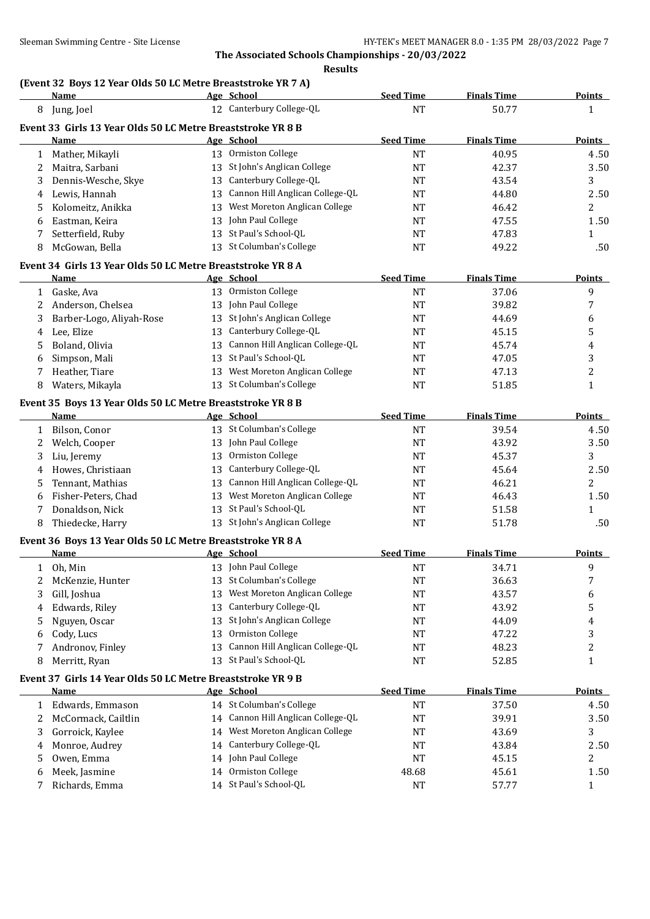## **(Event 32 Boys 12 Year Olds 50 LC Metre Breaststroke YR 7 A)**

|    | <b>Name</b>                                                 |    | Age School                         | <b>Seed Time</b> | <b>Finals Time</b> | <b>Points</b>  |
|----|-------------------------------------------------------------|----|------------------------------------|------------------|--------------------|----------------|
|    | 8 Jung, Joel                                                |    | 12 Canterbury College-QL           | <b>NT</b>        | 50.77              | $\mathbf{1}$   |
|    | Event 33 Girls 13 Year Olds 50 LC Metre Breaststroke YR 8 B |    |                                    |                  |                    |                |
|    | Name                                                        |    | Age School                         | <b>Seed Time</b> | <b>Finals Time</b> | <b>Points</b>  |
| 1  | Mather, Mikayli                                             |    | 13 Ormiston College                | <b>NT</b>        | 40.95              | 4.50           |
| 2  | Maitra, Sarbani                                             |    | 13 St John's Anglican College      | <b>NT</b>        | 42.37              | 3.50           |
| 3  | Dennis-Wesche, Skye                                         |    | 13 Canterbury College-QL           | <b>NT</b>        | 43.54              | 3              |
| 4  | Lewis, Hannah                                               |    | 13 Cannon Hill Anglican College-QL | NT               | 44.80              | 2.50           |
| 5. | Kolomeitz, Anikka                                           |    | 13 West Moreton Anglican College   | NT               | 46.42              | $\overline{2}$ |
| 6  | Eastman, Keira                                              |    | 13 John Paul College               | <b>NT</b>        | 47.55              | 1.50           |
| 7  | Setterfield, Ruby                                           |    | 13 St Paul's School-QL             | NT               | 47.83              | 1              |
| 8  | McGowan, Bella                                              |    | 13 St Columban's College           | <b>NT</b>        | 49.22              | .50            |
|    | Event 34 Girls 13 Year Olds 50 LC Metre Breaststroke YR 8 A |    |                                    |                  |                    |                |
|    | Name                                                        |    | Age School                         | <b>Seed Time</b> | <b>Finals Time</b> | <b>Points</b>  |
|    | 1 Gaske, Ava                                                |    | 13 Ormiston College                | <b>NT</b>        | 37.06              | 9              |
| 2  | Anderson, Chelsea                                           |    | 13 John Paul College               | <b>NT</b>        | 39.82              | 7              |
| 3  | Barber-Logo, Aliyah-Rose                                    |    | 13 St John's Anglican College      | NT               | 44.69              | 6              |
| 4  | Lee, Elize                                                  |    | 13 Canterbury College-QL           | <b>NT</b>        | 45.15              | 5              |
| 5. | Boland, Olivia                                              |    | 13 Cannon Hill Anglican College-QL | NT               | 45.74              | 4              |
| 6  | Simpson, Mali                                               |    | 13 St Paul's School-QL             | <b>NT</b>        | 47.05              | 3              |
| 7  | Heather, Tiare                                              |    | 13 West Moreton Anglican College   | <b>NT</b>        | 47.13              | 2              |
| 8  | Waters, Mikayla                                             |    | 13 St Columban's College           | <b>NT</b>        | 51.85              | $\mathbf{1}$   |
|    | Event 35 Boys 13 Year Olds 50 LC Metre Breaststroke YR 8 B  |    |                                    |                  |                    |                |
|    | Name                                                        |    | Age School                         | <b>Seed Time</b> | <b>Finals Time</b> | <b>Points</b>  |
| 1  | Bilson, Conor                                               |    | 13 St Columban's College           | <b>NT</b>        | 39.54              | 4.50           |
| 2  | Welch, Cooper                                               |    | 13 John Paul College               | <b>NT</b>        | 43.92              | 3.50           |
| 3  | Liu, Jeremy                                                 |    | 13 Ormiston College                | <b>NT</b>        | 45.37              | 3              |
| 4  | Howes, Christiaan                                           |    | 13 Canterbury College-QL           | NT               | 45.64              | 2.50           |
| 5  | Tennant, Mathias                                            |    | 13 Cannon Hill Anglican College-QL | <b>NT</b>        | 46.21              | 2              |
| 6  | Fisher-Peters, Chad                                         |    | 13 West Moreton Anglican College   | <b>NT</b>        | 46.43              | 1.50           |
| 7  | Donaldson, Nick                                             |    | 13 St Paul's School-QL             | NT               | 51.58              | $\mathbf{1}$   |
| 8  | Thiedecke, Harry                                            |    | 13 St John's Anglican College      | <b>NT</b>        | 51.78              | .50            |
|    | Event 36 Boys 13 Year Olds 50 LC Metre Breaststroke YR 8 A  |    |                                    |                  |                    |                |
|    | Name                                                        |    | Age School                         | <b>Seed Time</b> | <b>Finals Time</b> | <b>Points</b>  |
|    | 1 Oh, Min                                                   |    | 13 John Paul College               | <b>NT</b>        | 34.71              | 9              |
|    | 2 McKenzie, Hunter                                          |    | 13 St Columban's College           | <b>NT</b>        | 36.63              | 7              |
| 3  | Gill, Joshua                                                |    | 13 West Moreton Anglican College   | NT               | 43.57              | 6              |
| 4  | Edwards, Riley                                              | 13 | Canterbury College-QL              | NT               | 43.92              | 5              |
| 5  | Nguyen, Oscar                                               | 13 | St John's Anglican College         | NT               | 44.09              | 4              |
| 6  | Cody, Lucs                                                  | 13 | Ormiston College                   | NT               | 47.22              | 3              |
| 7  | Andronov, Finley                                            | 13 | Cannon Hill Anglican College-QL    | NT               | 48.23              | 2              |
| 8  | Merritt, Ryan                                               |    | 13 St Paul's School-QL             | NT               | 52.85              | $\mathbf{1}$   |
|    | Event 37 Girls 14 Year Olds 50 LC Metre Breaststroke YR 9 B |    |                                    |                  |                    |                |
|    | Name                                                        |    | Age School                         | <b>Seed Time</b> | <b>Finals Time</b> | <b>Points</b>  |
| 1  | Edwards, Emmason                                            |    | 14 St Columban's College           | <b>NT</b>        | 37.50              | 4.50           |
| 2  | McCormack, Cailtlin                                         |    | 14 Cannon Hill Anglican College-QL | NT               | 39.91              | 3.50           |
| 3  | Gorroick, Kaylee                                            |    | 14 West Moreton Anglican College   | NT               | 43.69              | 3              |
| 4  | Monroe, Audrey                                              |    | 14 Canterbury College-QL           | NT               | 43.84              | 2.50           |
| 5  | Owen, Emma                                                  |    | 14 John Paul College               | NT               | 45.15              | 2              |
| 6  | Meek, Jasmine                                               |    | 14 Ormiston College                | 48.68            | 45.61              | 1.50           |
| 7  | Richards, Emma                                              |    | 14 St Paul's School-QL             | NT               | 57.77              | $\mathbf{1}$   |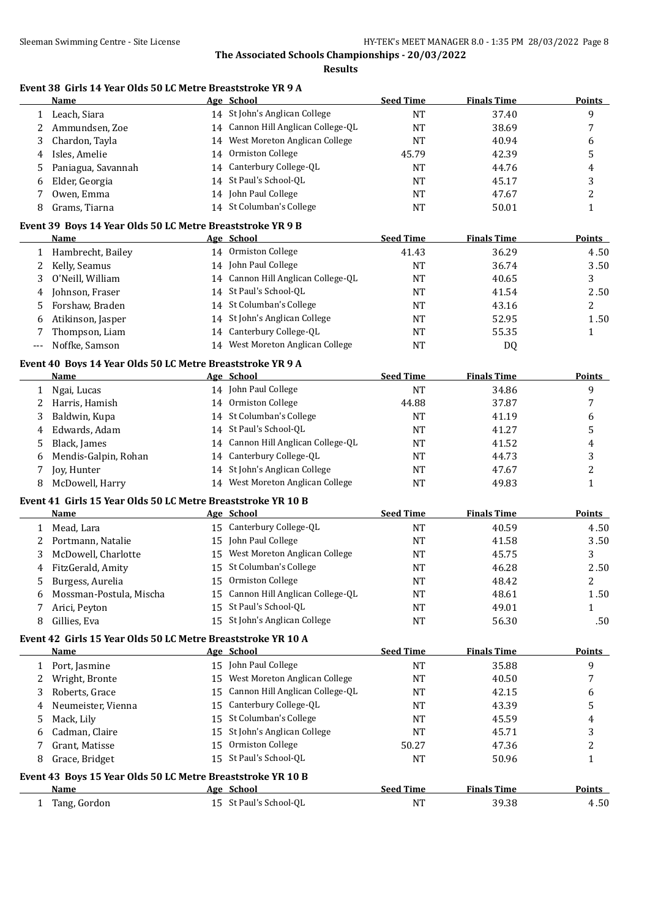**Results**

## **Event 38 Girls 14 Year Olds 50 LC Metre Breaststroke YR 9 A**

|              | Name                                                                       |    | Age School                         | <b>Seed Time</b> | <b>Finals Time</b> | <b>Points</b>  |
|--------------|----------------------------------------------------------------------------|----|------------------------------------|------------------|--------------------|----------------|
| $\mathbf{1}$ | Leach, Siara                                                               |    | 14 St John's Anglican College      | <b>NT</b>        | 37.40              | 9              |
| 2            | Ammundsen, Zoe                                                             |    | 14 Cannon Hill Anglican College-QL | <b>NT</b>        | 38.69              | 7              |
| 3            | Chardon, Tayla                                                             |    | 14 West Moreton Anglican College   | <b>NT</b>        | 40.94              | 6              |
| 4            | Isles, Amelie                                                              |    | 14 Ormiston College                | 45.79            | 42.39              | 5              |
| 5            | Paniagua, Savannah                                                         |    | 14 Canterbury College-QL           | <b>NT</b>        | 44.76              | 4              |
| 6            | Elder, Georgia                                                             |    | 14 St Paul's School-QL             | <b>NT</b>        | 45.17              | 3              |
| 7            | Owen, Emma                                                                 |    | 14 John Paul College               | <b>NT</b>        | 47.67              | 2              |
| 8            | Grams, Tiarna                                                              |    | 14 St Columban's College           | <b>NT</b>        | 50.01              | $\mathbf{1}$   |
|              | Event 39 Boys 14 Year Olds 50 LC Metre Breaststroke YR 9 B                 |    |                                    |                  |                    |                |
|              | Name                                                                       |    | Age School                         | <b>Seed Time</b> | <b>Finals Time</b> | <b>Points</b>  |
| $\mathbf{1}$ | Hambrecht, Bailey                                                          |    | 14 Ormiston College                | 41.43            | 36.29              | 4.50           |
| 2            | Kelly, Seamus                                                              |    | 14 John Paul College               | <b>NT</b>        | 36.74              | 3.50           |
| 3            | O'Neill, William                                                           |    | 14 Cannon Hill Anglican College-QL | <b>NT</b>        | 40.65              | 3              |
| 4            | Johnson, Fraser                                                            |    | 14 St Paul's School-QL             | <b>NT</b>        | 41.54              | 2.50           |
| 5            | Forshaw, Braden                                                            |    | 14 St Columban's College           | <b>NT</b>        | 43.16              | 2              |
| 6            | Atikinson, Jasper                                                          |    | 14 St John's Anglican College      | <b>NT</b>        | 52.95              | 1.50           |
| 7            | Thompson, Liam                                                             |    | 14 Canterbury College-QL           | <b>NT</b>        | 55.35              | $\mathbf{1}$   |
| ---          | Noffke, Samson                                                             |    | 14 West Moreton Anglican College   | <b>NT</b>        | DQ                 |                |
|              | Event 40 Boys 14 Year Olds 50 LC Metre Breaststroke YR 9 A                 |    |                                    |                  |                    |                |
|              | Name                                                                       |    | Age School                         | <b>Seed Time</b> | <b>Finals Time</b> | <b>Points</b>  |
| $\mathbf{1}$ | Ngai, Lucas                                                                |    | 14 John Paul College               | <b>NT</b>        | 34.86              | 9              |
| 2            | Harris, Hamish                                                             |    | 14 Ormiston College                | 44.88            | 37.87              | 7              |
| 3            | Baldwin, Kupa                                                              |    | 14 St Columban's College           | <b>NT</b>        | 41.19              | 6              |
| 4            | Edwards, Adam                                                              |    | 14 St Paul's School-QL             | <b>NT</b>        | 41.27              | 5              |
| 5            | Black, James                                                               |    | 14 Cannon Hill Anglican College-QL | <b>NT</b>        | 41.52              | 4              |
| 6            | Mendis-Galpin, Rohan                                                       |    | 14 Canterbury College-QL           | NT               | 44.73              | 3              |
| 7            | Joy, Hunter                                                                |    | 14 St John's Anglican College      | <b>NT</b>        | 47.67              | 2              |
| 8            | McDowell, Harry                                                            |    | 14 West Moreton Anglican College   | <b>NT</b>        | 49.83              | $\mathbf{1}$   |
|              | Event 41 Girls 15 Year Olds 50 LC Metre Breaststroke YR 10 B               |    |                                    |                  |                    |                |
|              | Name                                                                       |    | Age School                         | <b>Seed Time</b> | <b>Finals Time</b> | Points         |
| 1            | Mead, Lara                                                                 |    | 15 Canterbury College-QL           | <b>NT</b>        | 40.59              | 4.50           |
| 2            | Portmann, Natalie                                                          |    | 15 John Paul College               | <b>NT</b>        | 41.58              | 3.50           |
| 3            | McDowell, Charlotte                                                        |    | 15 West Moreton Anglican College   | <b>NT</b>        | 45.75              | 3              |
| 4            | FitzGerald, Amity                                                          |    | 15 St Columban's College           | <b>NT</b>        | 46.28              | 2.50           |
| 5            | Burgess, Aurelia                                                           |    | 15 Ormiston College                | NT               | 48.42              | $\overline{2}$ |
| 6            | Mossman-Postula, Mischa                                                    |    | 15 Cannon Hill Anglican College-QL | NT               | 48.61              | 1.50           |
| 7            | Arici, Peyton                                                              |    | 15 St Paul's School-QL             | NT               | 49.01              | 1              |
| 8            | Gillies, Eva                                                               |    | 15 St John's Anglican College      | NT               | 56.30              | .50            |
|              | Event 42 Girls 15 Year Olds 50 LC Metre Breaststroke YR 10 A               |    |                                    |                  |                    |                |
|              | Name                                                                       |    | Age School                         | <b>Seed Time</b> | <b>Finals Time</b> | <b>Points</b>  |
| 1            | Port, Jasmine                                                              |    | 15 John Paul College               | <b>NT</b>        | 35.88              | 9              |
| 2            | Wright, Bronte                                                             |    | 15 West Moreton Anglican College   | <b>NT</b>        | 40.50              | 7              |
| 3            | Roberts, Grace                                                             | 15 | Cannon Hill Anglican College-QL    | <b>NT</b>        | 42.15              | 6              |
| 4            | Neumeister, Vienna                                                         | 15 | Canterbury College-QL              | NT               | 43.39              | 5              |
| 5            | Mack, Lily                                                                 | 15 | St Columban's College              | NT               | 45.59              | 4              |
| 6            | Cadman, Claire                                                             | 15 | St John's Anglican College         | NT               | 45.71              | 3              |
| 7            | Grant, Matisse                                                             | 15 | Ormiston College                   | 50.27            | 47.36              | 2              |
| 8            | Grace, Bridget                                                             |    | 15 St Paul's School-QL             | NT               | 50.96              | $\mathbf{1}$   |
|              |                                                                            |    |                                    |                  |                    |                |
|              | Event 43 Boys 15 Year Olds 50 LC Metre Breaststroke YR 10 B<br><b>Name</b> |    | Age School                         | <b>Seed Time</b> | <b>Finals Time</b> | <b>Points</b>  |
| $\mathbf{1}$ | Tang, Gordon                                                               |    | 15 St Paul's School-QL             | <b>NT</b>        | 39.38              | 4.50           |
|              |                                                                            |    |                                    |                  |                    |                |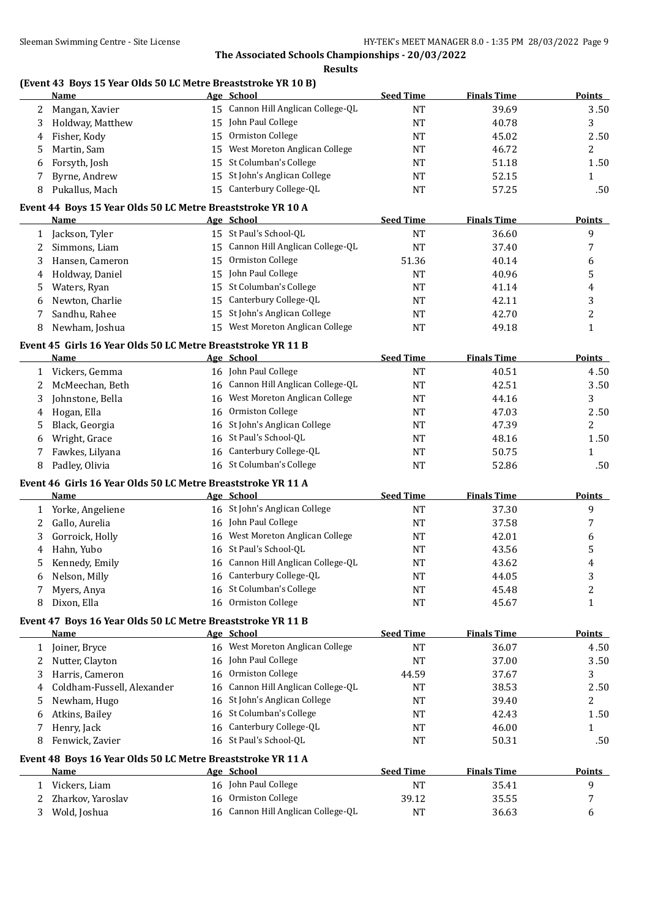**Results**

## **(Event 43 Boys 15 Year Olds 50 LC Metre Breaststroke YR 10 B)**

|              | Name                                                         |    | Age School                         | <b>Seed Time</b> | <b>Finals Time</b> | <b>Points</b>    |
|--------------|--------------------------------------------------------------|----|------------------------------------|------------------|--------------------|------------------|
| 2            | Mangan, Xavier                                               |    | 15 Cannon Hill Anglican College-QL | <b>NT</b>        | 39.69              | 3.50             |
| 3            | Holdway, Matthew                                             | 15 | John Paul College                  | NT               | 40.78              | 3                |
| 4            | Fisher, Kody                                                 | 15 | Ormiston College                   | NT               | 45.02              | 2.50             |
| 5            | Martin, Sam                                                  | 15 | West Moreton Anglican College      | NT               | 46.72              | 2                |
| 6            | Forsyth, Josh                                                | 15 | St Columban's College              | NT               | 51.18              | 1.50             |
| 7            | Byrne, Andrew                                                | 15 | St John's Anglican College         | NT               | 52.15              | $\mathbf{1}$     |
| 8            | Pukallus, Mach                                               |    | 15 Canterbury College-QL           | <b>NT</b>        | 57.25              | .50              |
|              | Event 44 Boys 15 Year Olds 50 LC Metre Breaststroke YR 10 A  |    |                                    |                  |                    |                  |
|              | Name                                                         |    | Age School                         | <b>Seed Time</b> | <b>Finals Time</b> | <b>Points</b>    |
| 1            | Jackson, Tyler                                               |    | 15 St Paul's School-QL             | NT               | 36.60              | 9                |
| 2            | Simmons, Liam                                                |    | 15 Cannon Hill Anglican College-QL | NT               | 37.40              | 7                |
| 3            | Hansen, Cameron                                              |    | 15 Ormiston College                | 51.36            | 40.14              | 6                |
| 4            | Holdway, Daniel                                              | 15 | John Paul College                  | NT               | 40.96              | 5                |
| 5            | Waters, Ryan                                                 |    | 15 St Columban's College           | NT               | 41.14              | 4                |
| 6            | Newton, Charlie                                              |    | 15 Canterbury College-QL           | NT               | 42.11              | 3                |
| 7            | Sandhu, Rahee                                                |    | 15 St John's Anglican College      | <b>NT</b>        | 42.70              | $\overline{c}$   |
| 8            | Newham, Joshua                                               |    | 15 West Moreton Anglican College   | <b>NT</b>        | 49.18              | $\mathbf{1}$     |
|              | Event 45 Girls 16 Year Olds 50 LC Metre Breaststroke YR 11 B |    |                                    |                  |                    |                  |
|              | Name                                                         |    | Age School                         | <b>Seed Time</b> | <b>Finals Time</b> | <b>Points</b>    |
|              | 1 Vickers, Gemma                                             |    | 16 John Paul College               | NT               | 40.51              | 4.50             |
| 2            | McMeechan, Beth                                              |    | 16 Cannon Hill Anglican College-QL | NT               | 42.51              | 3.50             |
|              |                                                              |    | 16 West Moreton Anglican College   |                  |                    | 3                |
| 3            | Johnstone, Bella                                             |    | 16 Ormiston College                | NT               | 44.16              |                  |
| 4            | Hogan, Ella                                                  |    |                                    | NT               | 47.03              | 2.50             |
| 5            | Black, Georgia                                               |    | 16 St John's Anglican College      | NT               | 47.39              | 2                |
| 6            | Wright, Grace                                                |    | 16 St Paul's School-QL             | <b>NT</b>        | 48.16              | 1.50             |
| 7            | Fawkes, Lilyana                                              |    | 16 Canterbury College-QL           | <b>NT</b>        | 50.75              | $\mathbf{1}$     |
| 8            | Padley, Olivia                                               |    | 16 St Columban's College           | <b>NT</b>        | 52.86              | .50              |
|              | Event 46 Girls 16 Year Olds 50 LC Metre Breaststroke YR 11 A |    |                                    |                  |                    |                  |
|              | Name                                                         |    | Age School                         | <b>Seed Time</b> | <b>Finals Time</b> | <b>Points</b>    |
| 1            | Yorke, Angeliene                                             |    | 16 St John's Anglican College      | NT               | 37.30              | 9                |
| 2            | Gallo, Aurelia                                               |    | 16 John Paul College               | NT               | 37.58              | 7                |
| 3            | Gorroick, Holly                                              |    | 16 West Moreton Anglican College   | NT               | 42.01              | 6                |
| 4            | Hahn, Yubo                                                   |    | 16 St Paul's School-QL             | NT               | 43.56              | 5                |
| 5            | Kennedy, Emily                                               |    | 16 Cannon Hill Anglican College-QL | NT               | 43.62              | 4                |
| 6            | Nelson, Milly                                                |    | 16 Canterbury College-QL           | NT               | 44.05              | 3                |
| 7            | Myers, Anya                                                  |    | 16 St Columban's College           | NT               | 45.48              | $\boldsymbol{2}$ |
| 8            | Dixon, Ella                                                  |    | 16 Ormiston College                | NT               | 45.67              | $\mathbf{1}$     |
|              | Event 47 Boys 16 Year Olds 50 LC Metre Breaststroke YR 11 B  |    |                                    |                  |                    |                  |
|              | Name                                                         |    | Age School                         | <b>Seed Time</b> | <b>Finals Time</b> | <b>Points</b>    |
| $\mathbf{1}$ | Joiner, Bryce                                                |    | 16 West Moreton Anglican College   | NT               | 36.07              | 4.50             |
| 2            | Nutter, Clayton                                              |    | 16 John Paul College               | NT               | 37.00              | 3.50             |
| 3            | Harris, Cameron                                              |    | 16 Ormiston College                | 44.59            | 37.67              | 3                |
| 4            | Coldham-Fussell, Alexander                                   |    | 16 Cannon Hill Anglican College-QL | NT               | 38.53              | 2.50             |
| 5            | Newham, Hugo                                                 |    | 16 St John's Anglican College      | <b>NT</b>        | 39.40              | 2                |
| 6            | Atkins, Bailey                                               |    | 16 St Columban's College           | NT               | 42.43              | 1.50             |
| 7            | Henry, Jack                                                  |    | 16 Canterbury College-QL           | NT               | 46.00              | 1                |
| 8            | Fenwick, Zavier                                              |    | 16 St Paul's School-QL             | NT               | 50.31              | .50              |
|              | Event 48 Boys 16 Year Olds 50 LC Metre Breaststroke YR 11 A  |    |                                    |                  |                    |                  |
|              | <b>Name</b>                                                  |    | Age School                         | <b>Seed Time</b> | <b>Finals Time</b> | <b>Points</b>    |
| $\mathbf{1}$ | Vickers, Liam                                                |    | 16 John Paul College               | NT               | 35.41              | 9                |
| 2            | Zharkov, Yaroslav                                            |    | 16 Ormiston College                | 39.12            | 35.55              | 7                |
| 3            | Wold, Joshua                                                 |    | 16 Cannon Hill Anglican College-QL | <b>NT</b>        | 36.63              | 6                |
|              |                                                              |    |                                    |                  |                    |                  |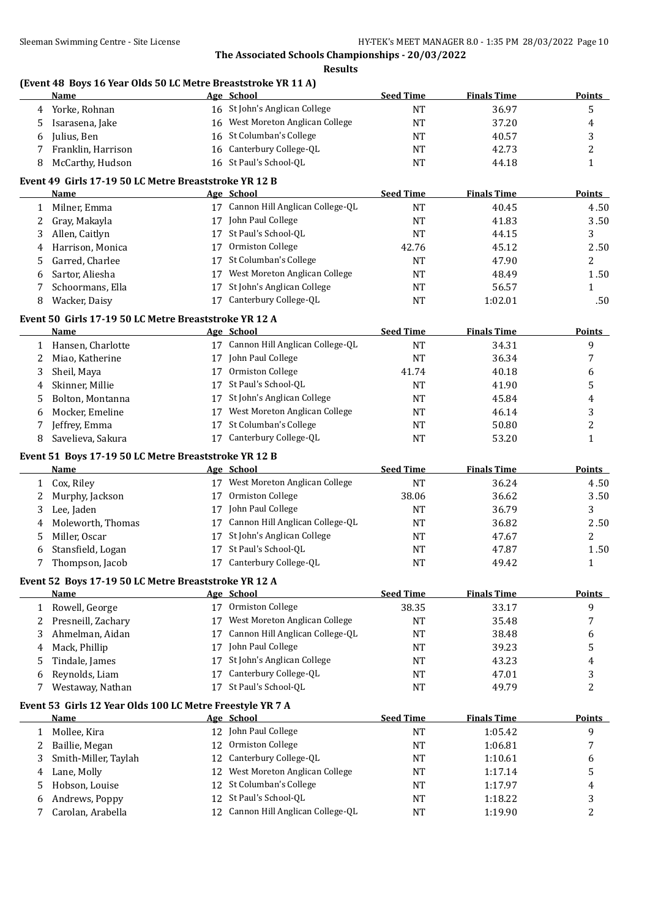**Results**

## **(Event 48 Boys 16 Year Olds 50 LC Metre Breaststroke YR 11 A)**

|              | <b>Name</b>                                               |    | Age School                         | <b>Seed Time</b> | <b>Finals Time</b> | Points         |
|--------------|-----------------------------------------------------------|----|------------------------------------|------------------|--------------------|----------------|
| 4            | Yorke, Rohnan                                             |    | 16 St John's Anglican College      | <b>NT</b>        | 36.97              | 5              |
| 5            | Isarasena, Jake                                           |    | 16 West Moreton Anglican College   | <b>NT</b>        | 37.20              | 4              |
| 6            | Julius, Ben                                               |    | 16 St Columban's College           | <b>NT</b>        | 40.57              | 3              |
| 7            | Franklin, Harrison                                        |    | 16 Canterbury College-QL           | <b>NT</b>        | 42.73              | $\overline{c}$ |
| 8            | McCarthy, Hudson                                          |    | 16 St Paul's School-QL             | <b>NT</b>        | 44.18              | $\mathbf{1}$   |
|              | Event 49 Girls 17-19 50 LC Metre Breaststroke YR 12 B     |    |                                    |                  |                    |                |
|              | Name                                                      |    | Age School                         | <b>Seed Time</b> | <b>Finals Time</b> | Points         |
| $\mathbf{1}$ | Milner, Emma                                              |    | 17 Cannon Hill Anglican College-QL | <b>NT</b>        | 40.45              | 4.50           |
| 2            | Gray, Makayla                                             |    | 17 John Paul College               | <b>NT</b>        | 41.83              | 3.50           |
| 3            | Allen, Caitlyn                                            |    | 17 St Paul's School-QL             | <b>NT</b>        | 44.15              | 3              |
| 4            | Harrison, Monica                                          | 17 | Ormiston College                   | 42.76            | 45.12              | 2.50           |
| 5            | Garred, Charlee                                           |    | 17 St Columban's College           | <b>NT</b>        | 47.90              | $\overline{c}$ |
| 6            | Sartor, Aliesha                                           | 17 | West Moreton Anglican College      | <b>NT</b>        | 48.49              | 1.50           |
| 7            | Schoormans, Ella                                          | 17 | St John's Anglican College         | <b>NT</b>        | 56.57              | 1              |
| 8            | Wacker, Daisy                                             |    | 17 Canterbury College-QL           | <b>NT</b>        | 1:02.01            | .50            |
|              | Event 50 Girls 17-19 50 LC Metre Breaststroke YR 12 A     |    |                                    |                  |                    |                |
|              | <b>Name</b>                                               |    | Age School                         | <b>Seed Time</b> | <b>Finals Time</b> | <b>Points</b>  |
|              | 1 Hansen, Charlotte                                       |    | 17 Cannon Hill Anglican College-QL | <b>NT</b>        | 34.31              | 9              |
| 2            | Miao, Katherine                                           |    | 17 John Paul College               | <b>NT</b>        | 36.34              | 7              |
| 3            | Sheil, Maya                                               | 17 | Ormiston College                   | 41.74            | 40.18              | 6              |
| 4            | Skinner, Millie                                           | 17 | St Paul's School-QL                | <b>NT</b>        | 41.90              | 5              |
| 5            | Bolton, Montanna                                          | 17 | St John's Anglican College         | <b>NT</b>        | 45.84              | 4              |
| 6            | Mocker, Emeline                                           | 17 | West Moreton Anglican College      | <b>NT</b>        | 46.14              | 3              |
| 7            | Jeffrey, Emma                                             | 17 | St Columban's College              | <b>NT</b>        | 50.80              | $\overline{c}$ |
| 8            | Savelieva, Sakura                                         |    | 17 Canterbury College-QL           | <b>NT</b>        | 53.20              | $\mathbf{1}$   |
|              | Event 51 Boys 17-19 50 LC Metre Breaststroke YR 12 B      |    |                                    |                  |                    |                |
|              | <b>Name</b>                                               |    | Age School                         | <b>Seed Time</b> | <b>Finals Time</b> | Points         |
|              | 1 Cox, Riley                                              |    | 17 West Moreton Anglican College   | <b>NT</b>        | 36.24              | 4.50           |
| 2            | Murphy, Jackson                                           |    | 17 Ormiston College                | 38.06            | 36.62              | 3.50           |
| 3            | Lee, Jaden                                                |    | 17 John Paul College               | <b>NT</b>        | 36.79              | 3              |
| 4            | Moleworth, Thomas                                         |    | 17 Cannon Hill Anglican College-QL | <b>NT</b>        | 36.82              | 2.50           |
| 5.           | Miller, Oscar                                             | 17 | St John's Anglican College         | NT               | 47.67              | $\overline{c}$ |
| 6            | Stansfield, Logan                                         |    | 17 St Paul's School-QL             | <b>NT</b>        | 47.87              | 1.50           |
| 7            | Thompson, Jacob                                           |    | 17 Canterbury College-QL           | <b>NT</b>        | 49.42              | $\mathbf{1}$   |
|              | Event 52 Boys 17-19 50 LC Metre Breaststroke YR 12 A      |    |                                    |                  |                    |                |
|              | Name                                                      |    | Age School                         | <b>Seed Time</b> | <b>Finals Time</b> | <b>Points</b>  |
|              | 1 Rowell, George                                          |    | 17 Ormiston College                | 38.35            | 33.17              | 9              |
| 2            | Presneill, Zachary                                        | 17 | West Moreton Anglican College      | <b>NT</b>        | 35.48              | 7              |
| 3            | Ahmelman, Aidan                                           | 17 | Cannon Hill Anglican College-QL    | NT               | 38.48              | 6              |
| 4            | Mack, Phillip                                             | 17 | John Paul College                  | <b>NT</b>        | 39.23              | 5              |
| 5            | Tindale, James                                            | 17 | St John's Anglican College         | <b>NT</b>        | 43.23              | 4              |
| 6            | Reynolds, Liam                                            | 17 | Canterbury College-QL              | <b>NT</b>        | 47.01              | 3              |
| 7            | Westaway, Nathan                                          | 17 | St Paul's School-QL                | <b>NT</b>        | 49.79              | $\overline{c}$ |
|              | Event 53 Girls 12 Year Olds 100 LC Metre Freestyle YR 7 A |    |                                    |                  |                    |                |
|              | <b>Name</b>                                               |    | Age School                         | <b>Seed Time</b> | <b>Finals Time</b> | <b>Points</b>  |
|              | 1 Mollee, Kira                                            |    | 12 John Paul College               | <b>NT</b>        | 1:05.42            | 9              |
| 2            | Baillie, Megan                                            | 12 | Ormiston College                   | <b>NT</b>        | 1:06.81            | 7              |
| 3            | Smith-Miller, Taylah                                      | 12 | Canterbury College-QL              | NT               | 1:10.61            | 6              |
| 4            | Lane, Molly                                               | 12 | West Moreton Anglican College      | <b>NT</b>        | 1:17.14            | 5              |
| 5            | Hobson, Louise                                            | 12 | St Columban's College              | <b>NT</b>        | 1:17.97            | 4              |
| 6            | Andrews, Poppy                                            | 12 | St Paul's School-QL                | <b>NT</b>        | 1:18.22            | 3              |
| 7            | Carolan, Arabella                                         |    | 12 Cannon Hill Anglican College-QL | <b>NT</b>        | 1:19.90            | $\overline{c}$ |
|              |                                                           |    |                                    |                  |                    |                |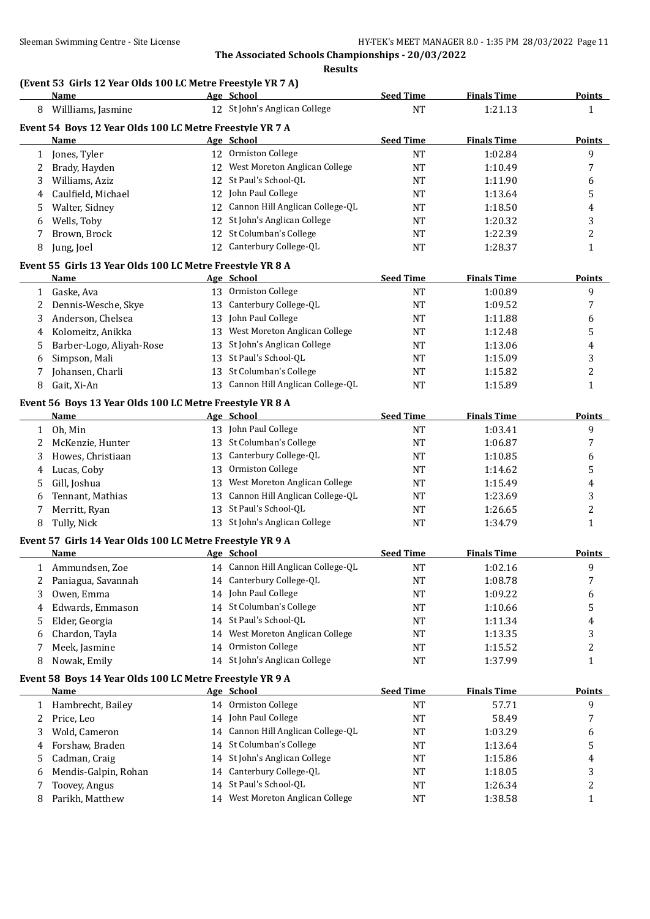# **(Event 53 Girls 12 Year Olds 100 LC Metre Freestyle YR 7 A)**

|              | <b>Name</b>                                               |    | Age School                         | <b>Seed Time</b> | <b>Finals Time</b> | <b>Points</b>           |
|--------------|-----------------------------------------------------------|----|------------------------------------|------------------|--------------------|-------------------------|
| 8            | Willliams, Jasmine                                        |    | 12 St John's Anglican College      | <b>NT</b>        | 1:21.13            | $\mathbf{1}$            |
|              | Event 54 Boys 12 Year Olds 100 LC Metre Freestyle YR 7 A  |    |                                    |                  |                    |                         |
|              | Name                                                      |    | Age School                         | <b>Seed Time</b> | <b>Finals Time</b> | Points                  |
| 1            | Jones, Tyler                                              |    | 12 Ormiston College                | <b>NT</b>        | 1:02.84            | 9                       |
| 2            | Brady, Hayden                                             |    | 12 West Moreton Anglican College   | <b>NT</b>        | 1:10.49            | 7                       |
| 3            | Williams, Aziz                                            |    | 12 St Paul's School-QL             | NT               | 1:11.90            | 6                       |
| 4            | Caulfield, Michael                                        |    | 12 John Paul College               | NT               | 1:13.64            | 5                       |
| 5            | Walter, Sidney                                            |    | 12 Cannon Hill Anglican College-QL | NT               | 1:18.50            | 4                       |
| 6            | Wells, Toby                                               |    | 12 St John's Anglican College      | NT               | 1:20.32            | 3                       |
| 7            | Brown, Brock                                              |    | 12 St Columban's College           | <b>NT</b>        | 1:22.39            | 2                       |
| 8            | Jung, Joel                                                |    | 12 Canterbury College-QL           | NT               | 1:28.37            | $\mathbf{1}$            |
|              | Event 55 Girls 13 Year Olds 100 LC Metre Freestyle YR 8 A |    |                                    |                  |                    |                         |
|              | Name                                                      |    | Age School                         | <b>Seed Time</b> | <b>Finals Time</b> | <b>Points</b>           |
| $\mathbf{1}$ | Gaske, Ava                                                |    | 13 Ormiston College                | <b>NT</b>        | 1:00.89            | 9                       |
| 2            | Dennis-Wesche, Skye                                       |    | 13 Canterbury College-QL           | <b>NT</b>        | 1:09.52            | 7                       |
| 3            | Anderson, Chelsea                                         |    | 13 John Paul College               | <b>NT</b>        | 1:11.88            | 6                       |
| 4            | Kolomeitz, Anikka                                         |    | 13 West Moreton Anglican College   | NT               | 1:12.48            | 5                       |
| 5            | Barber-Logo, Aliyah-Rose                                  | 13 | St John's Anglican College         | NT               | 1:13.06            | 4                       |
| 6            | Simpson, Mali                                             | 13 | St Paul's School-QL                | <b>NT</b>        | 1:15.09            | 3                       |
| 7            | Johansen, Charli                                          |    | 13 St Columban's College           | NT               | 1:15.82            | 2                       |
| 8            | Gait, Xi-An                                               |    | 13 Cannon Hill Anglican College-QL | <b>NT</b>        | 1:15.89            | $\mathbf{1}$            |
|              |                                                           |    |                                    |                  |                    |                         |
|              | Event 56 Boys 13 Year Olds 100 LC Metre Freestyle YR 8 A  |    |                                    |                  |                    |                         |
|              | Name                                                      |    | Age School                         | <b>Seed Time</b> | <b>Finals Time</b> | <b>Points</b>           |
| $\mathbf{1}$ | Oh, Min                                                   |    | 13 John Paul College               | <b>NT</b>        | 1:03.41            | 9                       |
| 2            | McKenzie, Hunter                                          |    | 13 St Columban's College           | <b>NT</b>        | 1:06.87            | 7                       |
| 3            | Howes, Christiaan                                         |    | 13 Canterbury College-QL           | NT               | 1:10.85            | 6                       |
| 4            | Lucas, Coby                                               |    | 13 Ormiston College                | NT               | 1:14.62            | 5                       |
| 5            | Gill, Joshua                                              |    | 13 West Moreton Anglican College   | <b>NT</b>        | 1:15.49            | 4                       |
| 6            | Tennant, Mathias                                          | 13 | Cannon Hill Anglican College-QL    | <b>NT</b>        | 1:23.69            | 3                       |
| 7            | Merritt, Ryan                                             |    | 13 St Paul's School-QL             | NT               | 1:26.65            | $\overline{\mathbf{c}}$ |
| 8            | Tully, Nick                                               |    | 13 St John's Anglican College      | <b>NT</b>        | 1:34.79            | $\mathbf{1}$            |
|              | Event 57 Girls 14 Year Olds 100 LC Metre Freestyle YR 9 A |    |                                    |                  |                    |                         |
|              | Name                                                      |    | Age School                         | <b>Seed Time</b> | <b>Finals Time</b> | <b>Points</b>           |
|              | 1 Ammundsen, Zoe                                          |    | 14 Cannon Hill Anglican College-QL | NT               | 1:02.16            | 9                       |
| $\mathbf{2}$ | Paniagua, Savannah                                        |    | 14 Canterbury College-QL           | <b>NT</b>        | 1:08.78            | 7                       |
| 3            | Owen, Emma                                                |    | 14 John Paul College               | NT               | 1:09.22            | 6                       |
| 4            | Edwards, Emmason                                          |    | 14 St Columban's College           | NT               | 1:10.66            | 5                       |
| 5            | Elder, Georgia                                            |    | 14 St Paul's School-QL             | <b>NT</b>        | 1:11.34            | 4                       |
| 6            | Chardon, Tayla                                            |    | 14 West Moreton Anglican College   | NT               | 1:13.35            | 3                       |
| 7            | Meek, Jasmine                                             |    | 14 Ormiston College                | NT               | 1:15.52            | 2                       |
| 8            | Nowak, Emily                                              |    | 14 St John's Anglican College      | <b>NT</b>        | 1:37.99            | $\mathbf{1}$            |
|              | Event 58 Boys 14 Year Olds 100 LC Metre Freestyle YR 9 A  |    |                                    |                  |                    |                         |
|              | Name                                                      |    | Age School                         | <b>Seed Time</b> | <b>Finals Time</b> | <b>Points</b>           |
| 1            | Hambrecht, Bailey                                         |    | 14 Ormiston College                | <b>NT</b>        | 57.71              | 9                       |
| 2            | Price, Leo                                                |    | 14 John Paul College               | <b>NT</b>        | 58.49              | 7                       |
| 3            | Wold, Cameron                                             |    | 14 Cannon Hill Anglican College-QL | NT               | 1:03.29            | 6                       |
| 4            | Forshaw, Braden                                           |    | 14 St Columban's College           | NT               | 1:13.64            | 5                       |
| 5            | Cadman, Craig                                             |    | 14 St John's Anglican College      | <b>NT</b>        | 1:15.86            | 4                       |
| 6            | Mendis-Galpin, Rohan                                      |    | 14 Canterbury College-QL           | <b>NT</b>        | 1:18.05            | 3                       |
| 7            | Toovey, Angus                                             |    | 14 St Paul's School-QL             | <b>NT</b>        | 1:26.34            | $\boldsymbol{2}$        |
| 8            | Parikh, Matthew                                           |    | 14 West Moreton Anglican College   | <b>NT</b>        | 1:38.58            | $\mathbf{1}$            |
|              |                                                           |    |                                    |                  |                    |                         |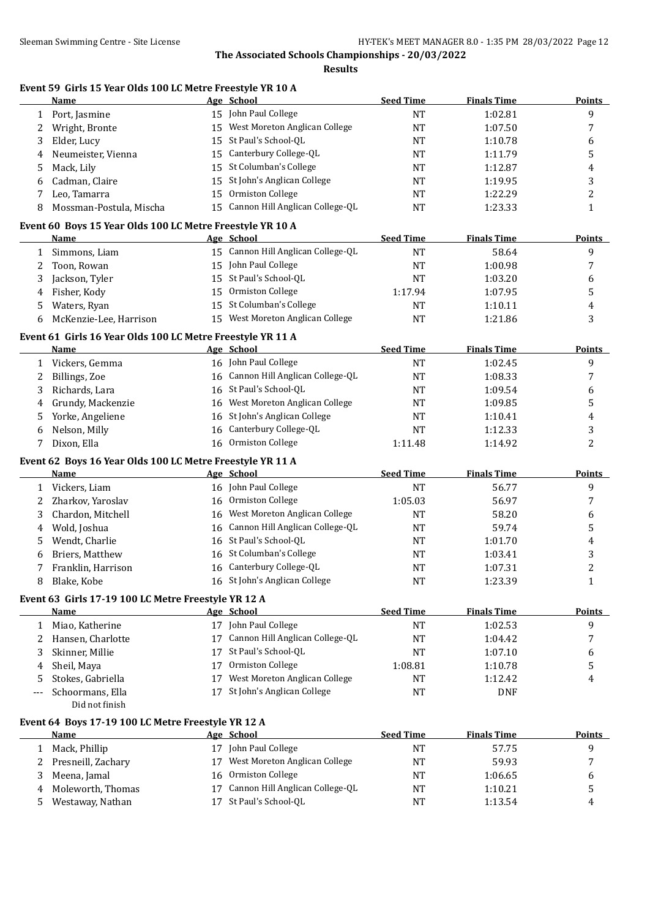**Results**

#### **Event 59 Girls 15 Year Olds 100 LC Metre Freestyle YR 10 A**

| 15 John Paul College<br>1:02.81<br>9<br>1 Port, Jasmine<br><b>NT</b><br>West Moreton Anglican College<br>7<br>Wright, Bronte<br>15<br>NT<br>1:07.50<br>2<br>St Paul's School-QL<br>Elder, Lucy<br>15<br>NT<br>1:10.78<br>6<br>3<br>Canterbury College-QL<br>5<br>Neumeister, Vienna<br>NT<br>15<br>1:11.79<br>4<br>St Columban's College<br>Mack, Lily<br>15<br>5<br>NT<br>1:12.87<br>4<br>3<br>Cadman, Claire<br>St John's Anglican College<br>15<br>NT<br>1:19.95<br>6<br>Ormiston College<br>$\overline{c}$<br>Leo, Tamarra<br>15<br>NT<br>1:22.29<br>7<br>15 Cannon Hill Anglican College-QL<br>Mossman-Postula, Mischa<br>NT<br>1:23.33<br>$\mathbf{1}$<br>8<br>Event 60 Boys 15 Year Olds 100 LC Metre Freestyle YR 10 A<br>Age School<br><b>Seed Time</b><br><b>Finals Time</b><br>Name<br><b>Points</b><br>15 Cannon Hill Anglican College-QL<br>58.64<br>9<br>Simmons, Liam<br>NT<br>$\mathbf{1}$<br>15 John Paul College<br>7<br>Toon, Rowan<br>NT<br>1:00.98<br>2<br>15 St Paul's School-QL<br>Jackson, Tyler<br><b>NT</b><br>6<br>1:03.20<br>3<br>Ormiston College<br>5<br>Fisher, Kody<br>1:17.94<br>1:07.95<br>15<br>4<br>St Columban's College<br>Waters, Ryan<br>NT<br>1:10.11<br>4<br>5<br>15<br>3<br>West Moreton Anglican College<br>McKenzie-Lee, Harrison<br>15<br><b>NT</b><br>1:21.86<br>6<br>Event 61 Girls 16 Year Olds 100 LC Metre Freestyle YR 11 A<br><b>Seed Time</b><br><b>Name</b><br>Age School<br><b>Finals Time</b><br><b>Points</b><br>1 Vickers, Gemma<br>16 John Paul College<br>9<br>NT<br>1:02.45<br>Cannon Hill Anglican College-QL<br>Billings, Zoe<br>NT<br>1:08.33<br>7<br>2<br>16<br>16 St Paul's School-QL<br>Richards, Lara<br>NT<br>1:09.54<br>6<br>3<br>West Moreton Anglican College<br>5<br>Grundy, Mackenzie<br>NT<br>1:09.85<br>16<br>4<br>16 St John's Anglican College<br>Yorke, Angeliene<br>NT<br>1:10.41<br>4<br>5<br>Canterbury College-QL<br>3<br>Nelson, Milly<br>16<br>1:12.33<br>NT<br>6<br>2<br>Dixon, Ella<br>16 Ormiston College<br>7<br>1:11.48<br>1:14.92<br>Event 62 Boys 16 Year Olds 100 LC Metre Freestyle YR 11 A<br><b>Seed Time</b><br>Age School<br><b>Finals Time</b><br><b>Name</b><br><b>Points</b><br>16 John Paul College<br>9<br>1 Vickers, Liam<br>NT<br>56.77<br>Ormiston College<br>7<br>Zharkov, Yaroslav<br>1:05.03<br>56.97<br>2<br>16<br>West Moreton Anglican College<br>Chardon, Mitchell<br>58.20<br>6<br>3<br>NT<br>16<br>Cannon Hill Anglican College-QL<br>5<br>Wold, Joshua<br><b>NT</b><br>59.74<br>4<br>16<br>St Paul's School-QL<br>Wendt, Charlie<br>1:01.70<br>4<br>NT<br>5<br>16<br>St Columban's College<br>3<br>Briers, Matthew<br>1:03.41<br>16<br>NT<br>6<br>$\overline{c}$<br>16 Canterbury College-QL<br>Franklin, Harrison<br>NT<br>1:07.31<br>7<br>16 St John's Anglican College<br>$\mathbf{1}$<br>8<br>Blake, Kobe<br>NT<br>1:23.39<br>Event 63 Girls 17-19 100 LC Metre Freestyle YR 12 A<br>Age School<br><b>Seed Time</b><br><b>Finals Time</b><br><b>Name</b><br>17 John Paul College<br>9<br>1 Miao, Katherine<br>NT<br>1:02.53<br>17 Cannon Hill Anglican College-QL<br>7<br>2 Hansen, Charlotte<br><b>NT</b><br>1:04.42<br>17 St Paul's School-QL<br>Skinner, Millie<br>NT<br>1:07.10<br>6<br>3<br>17 Ormiston College<br>5<br>Sheil, Maya<br>1:08.81<br>1:10.78<br>4<br>Stokes, Gabriella<br>17 West Moreton Anglican College<br><b>NT</b><br>1:12.42<br>4<br>5<br>17 St John's Anglican College<br>Schoormans, Ella<br><b>NT</b><br><b>DNF</b><br>---<br>Did not finish<br>Event 64 Boys 17-19 100 LC Metre Freestyle YR 12 A<br>Age School<br><b>Seed Time</b><br><b>Finals Time</b><br>Name<br>Points<br>17 John Paul College<br>9<br>Mack, Phillip<br>NT<br>57.75<br>$\mathbf{1}$<br>17 West Moreton Anglican College<br>2 Presneill, Zachary<br><b>NT</b><br>59.93<br>7 | Name | Age School | <b>Seed Time</b> | <b>Finals Time</b> | <b>Points</b> |
|------------------------------------------------------------------------------------------------------------------------------------------------------------------------------------------------------------------------------------------------------------------------------------------------------------------------------------------------------------------------------------------------------------------------------------------------------------------------------------------------------------------------------------------------------------------------------------------------------------------------------------------------------------------------------------------------------------------------------------------------------------------------------------------------------------------------------------------------------------------------------------------------------------------------------------------------------------------------------------------------------------------------------------------------------------------------------------------------------------------------------------------------------------------------------------------------------------------------------------------------------------------------------------------------------------------------------------------------------------------------------------------------------------------------------------------------------------------------------------------------------------------------------------------------------------------------------------------------------------------------------------------------------------------------------------------------------------------------------------------------------------------------------------------------------------------------------------------------------------------------------------------------------------------------------------------------------------------------------------------------------------------------------------------------------------------------------------------------------------------------------------------------------------------------------------------------------------------------------------------------------------------------------------------------------------------------------------------------------------------------------------------------------------------------------------------------------------------------------------------------------------------------------------------------------------------------------------------------------------------------------------------------------------------------------------------------------------------------------------------------------------------------------------------------------------------------------------------------------------------------------------------------------------------------------------------------------------------------------------------------------------------------------------------------------------------------------------------------------------------------------------------------------------------------------------------------------------------------------------------------------------------------------------------------------------------------------------------------------------------------------------------------------------------------------------------------------------------------------------------------------------------------------------------------------------------------------------------------------------------------------------------------------------------------------------------------------------------------------------------------------------------------------------------------------|------|------------|------------------|--------------------|---------------|
|                                                                                                                                                                                                                                                                                                                                                                                                                                                                                                                                                                                                                                                                                                                                                                                                                                                                                                                                                                                                                                                                                                                                                                                                                                                                                                                                                                                                                                                                                                                                                                                                                                                                                                                                                                                                                                                                                                                                                                                                                                                                                                                                                                                                                                                                                                                                                                                                                                                                                                                                                                                                                                                                                                                                                                                                                                                                                                                                                                                                                                                                                                                                                                                                                                                                                                                                                                                                                                                                                                                                                                                                                                                                                                                                                                                                      |      |            |                  |                    |               |
|                                                                                                                                                                                                                                                                                                                                                                                                                                                                                                                                                                                                                                                                                                                                                                                                                                                                                                                                                                                                                                                                                                                                                                                                                                                                                                                                                                                                                                                                                                                                                                                                                                                                                                                                                                                                                                                                                                                                                                                                                                                                                                                                                                                                                                                                                                                                                                                                                                                                                                                                                                                                                                                                                                                                                                                                                                                                                                                                                                                                                                                                                                                                                                                                                                                                                                                                                                                                                                                                                                                                                                                                                                                                                                                                                                                                      |      |            |                  |                    |               |
|                                                                                                                                                                                                                                                                                                                                                                                                                                                                                                                                                                                                                                                                                                                                                                                                                                                                                                                                                                                                                                                                                                                                                                                                                                                                                                                                                                                                                                                                                                                                                                                                                                                                                                                                                                                                                                                                                                                                                                                                                                                                                                                                                                                                                                                                                                                                                                                                                                                                                                                                                                                                                                                                                                                                                                                                                                                                                                                                                                                                                                                                                                                                                                                                                                                                                                                                                                                                                                                                                                                                                                                                                                                                                                                                                                                                      |      |            |                  |                    |               |
|                                                                                                                                                                                                                                                                                                                                                                                                                                                                                                                                                                                                                                                                                                                                                                                                                                                                                                                                                                                                                                                                                                                                                                                                                                                                                                                                                                                                                                                                                                                                                                                                                                                                                                                                                                                                                                                                                                                                                                                                                                                                                                                                                                                                                                                                                                                                                                                                                                                                                                                                                                                                                                                                                                                                                                                                                                                                                                                                                                                                                                                                                                                                                                                                                                                                                                                                                                                                                                                                                                                                                                                                                                                                                                                                                                                                      |      |            |                  |                    |               |
|                                                                                                                                                                                                                                                                                                                                                                                                                                                                                                                                                                                                                                                                                                                                                                                                                                                                                                                                                                                                                                                                                                                                                                                                                                                                                                                                                                                                                                                                                                                                                                                                                                                                                                                                                                                                                                                                                                                                                                                                                                                                                                                                                                                                                                                                                                                                                                                                                                                                                                                                                                                                                                                                                                                                                                                                                                                                                                                                                                                                                                                                                                                                                                                                                                                                                                                                                                                                                                                                                                                                                                                                                                                                                                                                                                                                      |      |            |                  |                    |               |
|                                                                                                                                                                                                                                                                                                                                                                                                                                                                                                                                                                                                                                                                                                                                                                                                                                                                                                                                                                                                                                                                                                                                                                                                                                                                                                                                                                                                                                                                                                                                                                                                                                                                                                                                                                                                                                                                                                                                                                                                                                                                                                                                                                                                                                                                                                                                                                                                                                                                                                                                                                                                                                                                                                                                                                                                                                                                                                                                                                                                                                                                                                                                                                                                                                                                                                                                                                                                                                                                                                                                                                                                                                                                                                                                                                                                      |      |            |                  |                    |               |
|                                                                                                                                                                                                                                                                                                                                                                                                                                                                                                                                                                                                                                                                                                                                                                                                                                                                                                                                                                                                                                                                                                                                                                                                                                                                                                                                                                                                                                                                                                                                                                                                                                                                                                                                                                                                                                                                                                                                                                                                                                                                                                                                                                                                                                                                                                                                                                                                                                                                                                                                                                                                                                                                                                                                                                                                                                                                                                                                                                                                                                                                                                                                                                                                                                                                                                                                                                                                                                                                                                                                                                                                                                                                                                                                                                                                      |      |            |                  |                    |               |
|                                                                                                                                                                                                                                                                                                                                                                                                                                                                                                                                                                                                                                                                                                                                                                                                                                                                                                                                                                                                                                                                                                                                                                                                                                                                                                                                                                                                                                                                                                                                                                                                                                                                                                                                                                                                                                                                                                                                                                                                                                                                                                                                                                                                                                                                                                                                                                                                                                                                                                                                                                                                                                                                                                                                                                                                                                                                                                                                                                                                                                                                                                                                                                                                                                                                                                                                                                                                                                                                                                                                                                                                                                                                                                                                                                                                      |      |            |                  |                    |               |
|                                                                                                                                                                                                                                                                                                                                                                                                                                                                                                                                                                                                                                                                                                                                                                                                                                                                                                                                                                                                                                                                                                                                                                                                                                                                                                                                                                                                                                                                                                                                                                                                                                                                                                                                                                                                                                                                                                                                                                                                                                                                                                                                                                                                                                                                                                                                                                                                                                                                                                                                                                                                                                                                                                                                                                                                                                                                                                                                                                                                                                                                                                                                                                                                                                                                                                                                                                                                                                                                                                                                                                                                                                                                                                                                                                                                      |      |            |                  |                    |               |
|                                                                                                                                                                                                                                                                                                                                                                                                                                                                                                                                                                                                                                                                                                                                                                                                                                                                                                                                                                                                                                                                                                                                                                                                                                                                                                                                                                                                                                                                                                                                                                                                                                                                                                                                                                                                                                                                                                                                                                                                                                                                                                                                                                                                                                                                                                                                                                                                                                                                                                                                                                                                                                                                                                                                                                                                                                                                                                                                                                                                                                                                                                                                                                                                                                                                                                                                                                                                                                                                                                                                                                                                                                                                                                                                                                                                      |      |            |                  |                    |               |
|                                                                                                                                                                                                                                                                                                                                                                                                                                                                                                                                                                                                                                                                                                                                                                                                                                                                                                                                                                                                                                                                                                                                                                                                                                                                                                                                                                                                                                                                                                                                                                                                                                                                                                                                                                                                                                                                                                                                                                                                                                                                                                                                                                                                                                                                                                                                                                                                                                                                                                                                                                                                                                                                                                                                                                                                                                                                                                                                                                                                                                                                                                                                                                                                                                                                                                                                                                                                                                                                                                                                                                                                                                                                                                                                                                                                      |      |            |                  |                    |               |
|                                                                                                                                                                                                                                                                                                                                                                                                                                                                                                                                                                                                                                                                                                                                                                                                                                                                                                                                                                                                                                                                                                                                                                                                                                                                                                                                                                                                                                                                                                                                                                                                                                                                                                                                                                                                                                                                                                                                                                                                                                                                                                                                                                                                                                                                                                                                                                                                                                                                                                                                                                                                                                                                                                                                                                                                                                                                                                                                                                                                                                                                                                                                                                                                                                                                                                                                                                                                                                                                                                                                                                                                                                                                                                                                                                                                      |      |            |                  |                    |               |
|                                                                                                                                                                                                                                                                                                                                                                                                                                                                                                                                                                                                                                                                                                                                                                                                                                                                                                                                                                                                                                                                                                                                                                                                                                                                                                                                                                                                                                                                                                                                                                                                                                                                                                                                                                                                                                                                                                                                                                                                                                                                                                                                                                                                                                                                                                                                                                                                                                                                                                                                                                                                                                                                                                                                                                                                                                                                                                                                                                                                                                                                                                                                                                                                                                                                                                                                                                                                                                                                                                                                                                                                                                                                                                                                                                                                      |      |            |                  |                    |               |
|                                                                                                                                                                                                                                                                                                                                                                                                                                                                                                                                                                                                                                                                                                                                                                                                                                                                                                                                                                                                                                                                                                                                                                                                                                                                                                                                                                                                                                                                                                                                                                                                                                                                                                                                                                                                                                                                                                                                                                                                                                                                                                                                                                                                                                                                                                                                                                                                                                                                                                                                                                                                                                                                                                                                                                                                                                                                                                                                                                                                                                                                                                                                                                                                                                                                                                                                                                                                                                                                                                                                                                                                                                                                                                                                                                                                      |      |            |                  |                    |               |
|                                                                                                                                                                                                                                                                                                                                                                                                                                                                                                                                                                                                                                                                                                                                                                                                                                                                                                                                                                                                                                                                                                                                                                                                                                                                                                                                                                                                                                                                                                                                                                                                                                                                                                                                                                                                                                                                                                                                                                                                                                                                                                                                                                                                                                                                                                                                                                                                                                                                                                                                                                                                                                                                                                                                                                                                                                                                                                                                                                                                                                                                                                                                                                                                                                                                                                                                                                                                                                                                                                                                                                                                                                                                                                                                                                                                      |      |            |                  |                    |               |
|                                                                                                                                                                                                                                                                                                                                                                                                                                                                                                                                                                                                                                                                                                                                                                                                                                                                                                                                                                                                                                                                                                                                                                                                                                                                                                                                                                                                                                                                                                                                                                                                                                                                                                                                                                                                                                                                                                                                                                                                                                                                                                                                                                                                                                                                                                                                                                                                                                                                                                                                                                                                                                                                                                                                                                                                                                                                                                                                                                                                                                                                                                                                                                                                                                                                                                                                                                                                                                                                                                                                                                                                                                                                                                                                                                                                      |      |            |                  |                    |               |
|                                                                                                                                                                                                                                                                                                                                                                                                                                                                                                                                                                                                                                                                                                                                                                                                                                                                                                                                                                                                                                                                                                                                                                                                                                                                                                                                                                                                                                                                                                                                                                                                                                                                                                                                                                                                                                                                                                                                                                                                                                                                                                                                                                                                                                                                                                                                                                                                                                                                                                                                                                                                                                                                                                                                                                                                                                                                                                                                                                                                                                                                                                                                                                                                                                                                                                                                                                                                                                                                                                                                                                                                                                                                                                                                                                                                      |      |            |                  |                    |               |
|                                                                                                                                                                                                                                                                                                                                                                                                                                                                                                                                                                                                                                                                                                                                                                                                                                                                                                                                                                                                                                                                                                                                                                                                                                                                                                                                                                                                                                                                                                                                                                                                                                                                                                                                                                                                                                                                                                                                                                                                                                                                                                                                                                                                                                                                                                                                                                                                                                                                                                                                                                                                                                                                                                                                                                                                                                                                                                                                                                                                                                                                                                                                                                                                                                                                                                                                                                                                                                                                                                                                                                                                                                                                                                                                                                                                      |      |            |                  |                    |               |
|                                                                                                                                                                                                                                                                                                                                                                                                                                                                                                                                                                                                                                                                                                                                                                                                                                                                                                                                                                                                                                                                                                                                                                                                                                                                                                                                                                                                                                                                                                                                                                                                                                                                                                                                                                                                                                                                                                                                                                                                                                                                                                                                                                                                                                                                                                                                                                                                                                                                                                                                                                                                                                                                                                                                                                                                                                                                                                                                                                                                                                                                                                                                                                                                                                                                                                                                                                                                                                                                                                                                                                                                                                                                                                                                                                                                      |      |            |                  |                    |               |
|                                                                                                                                                                                                                                                                                                                                                                                                                                                                                                                                                                                                                                                                                                                                                                                                                                                                                                                                                                                                                                                                                                                                                                                                                                                                                                                                                                                                                                                                                                                                                                                                                                                                                                                                                                                                                                                                                                                                                                                                                                                                                                                                                                                                                                                                                                                                                                                                                                                                                                                                                                                                                                                                                                                                                                                                                                                                                                                                                                                                                                                                                                                                                                                                                                                                                                                                                                                                                                                                                                                                                                                                                                                                                                                                                                                                      |      |            |                  |                    |               |
|                                                                                                                                                                                                                                                                                                                                                                                                                                                                                                                                                                                                                                                                                                                                                                                                                                                                                                                                                                                                                                                                                                                                                                                                                                                                                                                                                                                                                                                                                                                                                                                                                                                                                                                                                                                                                                                                                                                                                                                                                                                                                                                                                                                                                                                                                                                                                                                                                                                                                                                                                                                                                                                                                                                                                                                                                                                                                                                                                                                                                                                                                                                                                                                                                                                                                                                                                                                                                                                                                                                                                                                                                                                                                                                                                                                                      |      |            |                  |                    |               |
|                                                                                                                                                                                                                                                                                                                                                                                                                                                                                                                                                                                                                                                                                                                                                                                                                                                                                                                                                                                                                                                                                                                                                                                                                                                                                                                                                                                                                                                                                                                                                                                                                                                                                                                                                                                                                                                                                                                                                                                                                                                                                                                                                                                                                                                                                                                                                                                                                                                                                                                                                                                                                                                                                                                                                                                                                                                                                                                                                                                                                                                                                                                                                                                                                                                                                                                                                                                                                                                                                                                                                                                                                                                                                                                                                                                                      |      |            |                  |                    |               |
|                                                                                                                                                                                                                                                                                                                                                                                                                                                                                                                                                                                                                                                                                                                                                                                                                                                                                                                                                                                                                                                                                                                                                                                                                                                                                                                                                                                                                                                                                                                                                                                                                                                                                                                                                                                                                                                                                                                                                                                                                                                                                                                                                                                                                                                                                                                                                                                                                                                                                                                                                                                                                                                                                                                                                                                                                                                                                                                                                                                                                                                                                                                                                                                                                                                                                                                                                                                                                                                                                                                                                                                                                                                                                                                                                                                                      |      |            |                  |                    |               |
|                                                                                                                                                                                                                                                                                                                                                                                                                                                                                                                                                                                                                                                                                                                                                                                                                                                                                                                                                                                                                                                                                                                                                                                                                                                                                                                                                                                                                                                                                                                                                                                                                                                                                                                                                                                                                                                                                                                                                                                                                                                                                                                                                                                                                                                                                                                                                                                                                                                                                                                                                                                                                                                                                                                                                                                                                                                                                                                                                                                                                                                                                                                                                                                                                                                                                                                                                                                                                                                                                                                                                                                                                                                                                                                                                                                                      |      |            |                  |                    |               |
|                                                                                                                                                                                                                                                                                                                                                                                                                                                                                                                                                                                                                                                                                                                                                                                                                                                                                                                                                                                                                                                                                                                                                                                                                                                                                                                                                                                                                                                                                                                                                                                                                                                                                                                                                                                                                                                                                                                                                                                                                                                                                                                                                                                                                                                                                                                                                                                                                                                                                                                                                                                                                                                                                                                                                                                                                                                                                                                                                                                                                                                                                                                                                                                                                                                                                                                                                                                                                                                                                                                                                                                                                                                                                                                                                                                                      |      |            |                  |                    |               |
|                                                                                                                                                                                                                                                                                                                                                                                                                                                                                                                                                                                                                                                                                                                                                                                                                                                                                                                                                                                                                                                                                                                                                                                                                                                                                                                                                                                                                                                                                                                                                                                                                                                                                                                                                                                                                                                                                                                                                                                                                                                                                                                                                                                                                                                                                                                                                                                                                                                                                                                                                                                                                                                                                                                                                                                                                                                                                                                                                                                                                                                                                                                                                                                                                                                                                                                                                                                                                                                                                                                                                                                                                                                                                                                                                                                                      |      |            |                  |                    |               |
|                                                                                                                                                                                                                                                                                                                                                                                                                                                                                                                                                                                                                                                                                                                                                                                                                                                                                                                                                                                                                                                                                                                                                                                                                                                                                                                                                                                                                                                                                                                                                                                                                                                                                                                                                                                                                                                                                                                                                                                                                                                                                                                                                                                                                                                                                                                                                                                                                                                                                                                                                                                                                                                                                                                                                                                                                                                                                                                                                                                                                                                                                                                                                                                                                                                                                                                                                                                                                                                                                                                                                                                                                                                                                                                                                                                                      |      |            |                  |                    |               |
|                                                                                                                                                                                                                                                                                                                                                                                                                                                                                                                                                                                                                                                                                                                                                                                                                                                                                                                                                                                                                                                                                                                                                                                                                                                                                                                                                                                                                                                                                                                                                                                                                                                                                                                                                                                                                                                                                                                                                                                                                                                                                                                                                                                                                                                                                                                                                                                                                                                                                                                                                                                                                                                                                                                                                                                                                                                                                                                                                                                                                                                                                                                                                                                                                                                                                                                                                                                                                                                                                                                                                                                                                                                                                                                                                                                                      |      |            |                  |                    |               |
|                                                                                                                                                                                                                                                                                                                                                                                                                                                                                                                                                                                                                                                                                                                                                                                                                                                                                                                                                                                                                                                                                                                                                                                                                                                                                                                                                                                                                                                                                                                                                                                                                                                                                                                                                                                                                                                                                                                                                                                                                                                                                                                                                                                                                                                                                                                                                                                                                                                                                                                                                                                                                                                                                                                                                                                                                                                                                                                                                                                                                                                                                                                                                                                                                                                                                                                                                                                                                                                                                                                                                                                                                                                                                                                                                                                                      |      |            |                  |                    |               |
|                                                                                                                                                                                                                                                                                                                                                                                                                                                                                                                                                                                                                                                                                                                                                                                                                                                                                                                                                                                                                                                                                                                                                                                                                                                                                                                                                                                                                                                                                                                                                                                                                                                                                                                                                                                                                                                                                                                                                                                                                                                                                                                                                                                                                                                                                                                                                                                                                                                                                                                                                                                                                                                                                                                                                                                                                                                                                                                                                                                                                                                                                                                                                                                                                                                                                                                                                                                                                                                                                                                                                                                                                                                                                                                                                                                                      |      |            |                  |                    |               |
|                                                                                                                                                                                                                                                                                                                                                                                                                                                                                                                                                                                                                                                                                                                                                                                                                                                                                                                                                                                                                                                                                                                                                                                                                                                                                                                                                                                                                                                                                                                                                                                                                                                                                                                                                                                                                                                                                                                                                                                                                                                                                                                                                                                                                                                                                                                                                                                                                                                                                                                                                                                                                                                                                                                                                                                                                                                                                                                                                                                                                                                                                                                                                                                                                                                                                                                                                                                                                                                                                                                                                                                                                                                                                                                                                                                                      |      |            |                  |                    |               |
|                                                                                                                                                                                                                                                                                                                                                                                                                                                                                                                                                                                                                                                                                                                                                                                                                                                                                                                                                                                                                                                                                                                                                                                                                                                                                                                                                                                                                                                                                                                                                                                                                                                                                                                                                                                                                                                                                                                                                                                                                                                                                                                                                                                                                                                                                                                                                                                                                                                                                                                                                                                                                                                                                                                                                                                                                                                                                                                                                                                                                                                                                                                                                                                                                                                                                                                                                                                                                                                                                                                                                                                                                                                                                                                                                                                                      |      |            |                  |                    |               |
|                                                                                                                                                                                                                                                                                                                                                                                                                                                                                                                                                                                                                                                                                                                                                                                                                                                                                                                                                                                                                                                                                                                                                                                                                                                                                                                                                                                                                                                                                                                                                                                                                                                                                                                                                                                                                                                                                                                                                                                                                                                                                                                                                                                                                                                                                                                                                                                                                                                                                                                                                                                                                                                                                                                                                                                                                                                                                                                                                                                                                                                                                                                                                                                                                                                                                                                                                                                                                                                                                                                                                                                                                                                                                                                                                                                                      |      |            |                  |                    |               |
|                                                                                                                                                                                                                                                                                                                                                                                                                                                                                                                                                                                                                                                                                                                                                                                                                                                                                                                                                                                                                                                                                                                                                                                                                                                                                                                                                                                                                                                                                                                                                                                                                                                                                                                                                                                                                                                                                                                                                                                                                                                                                                                                                                                                                                                                                                                                                                                                                                                                                                                                                                                                                                                                                                                                                                                                                                                                                                                                                                                                                                                                                                                                                                                                                                                                                                                                                                                                                                                                                                                                                                                                                                                                                                                                                                                                      |      |            |                  |                    |               |
|                                                                                                                                                                                                                                                                                                                                                                                                                                                                                                                                                                                                                                                                                                                                                                                                                                                                                                                                                                                                                                                                                                                                                                                                                                                                                                                                                                                                                                                                                                                                                                                                                                                                                                                                                                                                                                                                                                                                                                                                                                                                                                                                                                                                                                                                                                                                                                                                                                                                                                                                                                                                                                                                                                                                                                                                                                                                                                                                                                                                                                                                                                                                                                                                                                                                                                                                                                                                                                                                                                                                                                                                                                                                                                                                                                                                      |      |            |                  |                    |               |
|                                                                                                                                                                                                                                                                                                                                                                                                                                                                                                                                                                                                                                                                                                                                                                                                                                                                                                                                                                                                                                                                                                                                                                                                                                                                                                                                                                                                                                                                                                                                                                                                                                                                                                                                                                                                                                                                                                                                                                                                                                                                                                                                                                                                                                                                                                                                                                                                                                                                                                                                                                                                                                                                                                                                                                                                                                                                                                                                                                                                                                                                                                                                                                                                                                                                                                                                                                                                                                                                                                                                                                                                                                                                                                                                                                                                      |      |            |                  |                    |               |
|                                                                                                                                                                                                                                                                                                                                                                                                                                                                                                                                                                                                                                                                                                                                                                                                                                                                                                                                                                                                                                                                                                                                                                                                                                                                                                                                                                                                                                                                                                                                                                                                                                                                                                                                                                                                                                                                                                                                                                                                                                                                                                                                                                                                                                                                                                                                                                                                                                                                                                                                                                                                                                                                                                                                                                                                                                                                                                                                                                                                                                                                                                                                                                                                                                                                                                                                                                                                                                                                                                                                                                                                                                                                                                                                                                                                      |      |            |                  |                    | <b>Points</b> |
|                                                                                                                                                                                                                                                                                                                                                                                                                                                                                                                                                                                                                                                                                                                                                                                                                                                                                                                                                                                                                                                                                                                                                                                                                                                                                                                                                                                                                                                                                                                                                                                                                                                                                                                                                                                                                                                                                                                                                                                                                                                                                                                                                                                                                                                                                                                                                                                                                                                                                                                                                                                                                                                                                                                                                                                                                                                                                                                                                                                                                                                                                                                                                                                                                                                                                                                                                                                                                                                                                                                                                                                                                                                                                                                                                                                                      |      |            |                  |                    |               |
|                                                                                                                                                                                                                                                                                                                                                                                                                                                                                                                                                                                                                                                                                                                                                                                                                                                                                                                                                                                                                                                                                                                                                                                                                                                                                                                                                                                                                                                                                                                                                                                                                                                                                                                                                                                                                                                                                                                                                                                                                                                                                                                                                                                                                                                                                                                                                                                                                                                                                                                                                                                                                                                                                                                                                                                                                                                                                                                                                                                                                                                                                                                                                                                                                                                                                                                                                                                                                                                                                                                                                                                                                                                                                                                                                                                                      |      |            |                  |                    |               |
|                                                                                                                                                                                                                                                                                                                                                                                                                                                                                                                                                                                                                                                                                                                                                                                                                                                                                                                                                                                                                                                                                                                                                                                                                                                                                                                                                                                                                                                                                                                                                                                                                                                                                                                                                                                                                                                                                                                                                                                                                                                                                                                                                                                                                                                                                                                                                                                                                                                                                                                                                                                                                                                                                                                                                                                                                                                                                                                                                                                                                                                                                                                                                                                                                                                                                                                                                                                                                                                                                                                                                                                                                                                                                                                                                                                                      |      |            |                  |                    |               |
|                                                                                                                                                                                                                                                                                                                                                                                                                                                                                                                                                                                                                                                                                                                                                                                                                                                                                                                                                                                                                                                                                                                                                                                                                                                                                                                                                                                                                                                                                                                                                                                                                                                                                                                                                                                                                                                                                                                                                                                                                                                                                                                                                                                                                                                                                                                                                                                                                                                                                                                                                                                                                                                                                                                                                                                                                                                                                                                                                                                                                                                                                                                                                                                                                                                                                                                                                                                                                                                                                                                                                                                                                                                                                                                                                                                                      |      |            |                  |                    |               |
|                                                                                                                                                                                                                                                                                                                                                                                                                                                                                                                                                                                                                                                                                                                                                                                                                                                                                                                                                                                                                                                                                                                                                                                                                                                                                                                                                                                                                                                                                                                                                                                                                                                                                                                                                                                                                                                                                                                                                                                                                                                                                                                                                                                                                                                                                                                                                                                                                                                                                                                                                                                                                                                                                                                                                                                                                                                                                                                                                                                                                                                                                                                                                                                                                                                                                                                                                                                                                                                                                                                                                                                                                                                                                                                                                                                                      |      |            |                  |                    |               |
|                                                                                                                                                                                                                                                                                                                                                                                                                                                                                                                                                                                                                                                                                                                                                                                                                                                                                                                                                                                                                                                                                                                                                                                                                                                                                                                                                                                                                                                                                                                                                                                                                                                                                                                                                                                                                                                                                                                                                                                                                                                                                                                                                                                                                                                                                                                                                                                                                                                                                                                                                                                                                                                                                                                                                                                                                                                                                                                                                                                                                                                                                                                                                                                                                                                                                                                                                                                                                                                                                                                                                                                                                                                                                                                                                                                                      |      |            |                  |                    |               |
|                                                                                                                                                                                                                                                                                                                                                                                                                                                                                                                                                                                                                                                                                                                                                                                                                                                                                                                                                                                                                                                                                                                                                                                                                                                                                                                                                                                                                                                                                                                                                                                                                                                                                                                                                                                                                                                                                                                                                                                                                                                                                                                                                                                                                                                                                                                                                                                                                                                                                                                                                                                                                                                                                                                                                                                                                                                                                                                                                                                                                                                                                                                                                                                                                                                                                                                                                                                                                                                                                                                                                                                                                                                                                                                                                                                                      |      |            |                  |                    |               |
|                                                                                                                                                                                                                                                                                                                                                                                                                                                                                                                                                                                                                                                                                                                                                                                                                                                                                                                                                                                                                                                                                                                                                                                                                                                                                                                                                                                                                                                                                                                                                                                                                                                                                                                                                                                                                                                                                                                                                                                                                                                                                                                                                                                                                                                                                                                                                                                                                                                                                                                                                                                                                                                                                                                                                                                                                                                                                                                                                                                                                                                                                                                                                                                                                                                                                                                                                                                                                                                                                                                                                                                                                                                                                                                                                                                                      |      |            |                  |                    |               |
|                                                                                                                                                                                                                                                                                                                                                                                                                                                                                                                                                                                                                                                                                                                                                                                                                                                                                                                                                                                                                                                                                                                                                                                                                                                                                                                                                                                                                                                                                                                                                                                                                                                                                                                                                                                                                                                                                                                                                                                                                                                                                                                                                                                                                                                                                                                                                                                                                                                                                                                                                                                                                                                                                                                                                                                                                                                                                                                                                                                                                                                                                                                                                                                                                                                                                                                                                                                                                                                                                                                                                                                                                                                                                                                                                                                                      |      |            |                  |                    |               |
|                                                                                                                                                                                                                                                                                                                                                                                                                                                                                                                                                                                                                                                                                                                                                                                                                                                                                                                                                                                                                                                                                                                                                                                                                                                                                                                                                                                                                                                                                                                                                                                                                                                                                                                                                                                                                                                                                                                                                                                                                                                                                                                                                                                                                                                                                                                                                                                                                                                                                                                                                                                                                                                                                                                                                                                                                                                                                                                                                                                                                                                                                                                                                                                                                                                                                                                                                                                                                                                                                                                                                                                                                                                                                                                                                                                                      |      |            |                  |                    |               |

3 Meena, Jamal 16 Ormiston College 16 NT 1:06.65 6 4 Moleworth, Thomas 17 Cannon Hill Anglican College-QL NT 1:10.21 5 5 Westaway, Nathan 17 St Paul's School-QL NT 1:13.54 4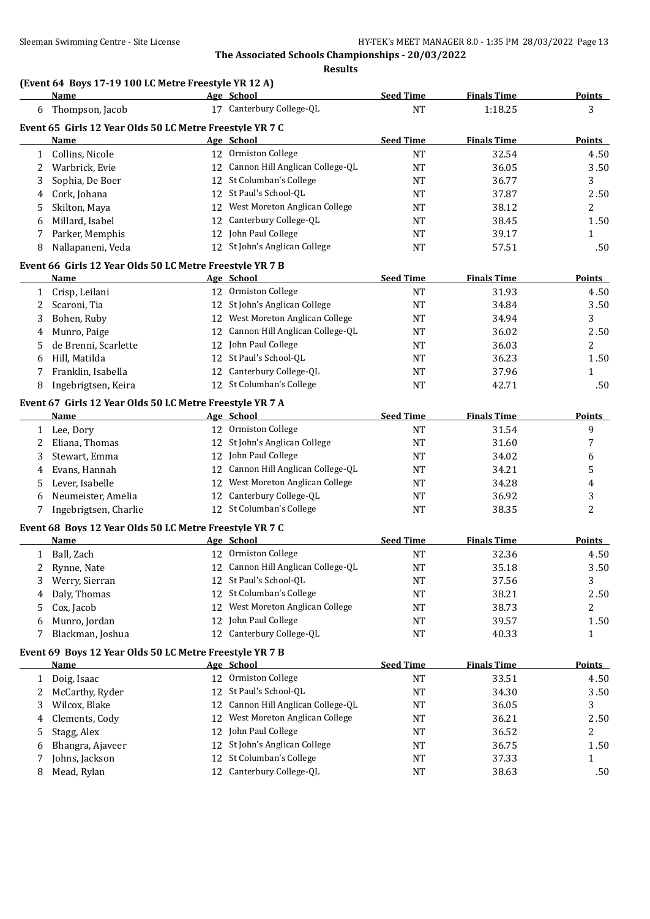## **(Event 64 Boys 17-19 100 LC Metre Freestyle YR 12 A)**

|              | <b>Name</b>                                              |    | Age School                         | <b>Seed Time</b> | <b>Finals Time</b> | <b>Points</b>          |
|--------------|----------------------------------------------------------|----|------------------------------------|------------------|--------------------|------------------------|
| 6            | Thompson, Jacob                                          |    | 17 Canterbury College-QL           | <b>NT</b>        | 1:18.25            | 3                      |
|              | Event 65 Girls 12 Year Olds 50 LC Metre Freestyle YR 7 C |    |                                    |                  |                    |                        |
|              | Name                                                     |    | Age School                         | <b>Seed Time</b> | <b>Finals Time</b> | <b>Points</b>          |
| $\mathbf{1}$ | Collins, Nicole                                          |    | 12 Ormiston College                | <b>NT</b>        | 32.54              | 4.50                   |
| 2            | Warbrick, Evie                                           |    | 12 Cannon Hill Anglican College-QL | <b>NT</b>        | 36.05              | 3.50                   |
| 3            | Sophia, De Boer                                          |    | 12 St Columban's College           | <b>NT</b>        | 36.77              | 3                      |
| 4            | Cork, Johana                                             |    | 12 St Paul's School-QL             | <b>NT</b>        | 37.87              | 2.50                   |
| 5            | Skilton, Maya                                            |    | 12 West Moreton Anglican College   | <b>NT</b>        | 38.12              | $\overline{2}$         |
| 6            | Millard, Isabel                                          |    | 12 Canterbury College-QL           | <b>NT</b>        | 38.45              | 1.50                   |
| 7            | Parker, Memphis                                          |    | 12 John Paul College               | <b>NT</b>        | 39.17              | $\mathbf 1$            |
| 8            | Nallapaneni, Veda                                        |    | 12 St John's Anglican College      | <b>NT</b>        | 57.51              | .50                    |
|              | Event 66 Girls 12 Year Olds 50 LC Metre Freestyle YR 7 B |    |                                    |                  |                    |                        |
|              | Name                                                     |    | Age School                         | <b>Seed Time</b> | <b>Finals Time</b> | <b>Points</b>          |
| $\mathbf{1}$ | Crisp, Leilani                                           |    | 12 Ormiston College                | <b>NT</b>        | 31.93              | 4.50                   |
|              | Scaroni, Tia                                             |    | 12 St John's Anglican College      | NT               | 34.84              | 3.50                   |
| 2            |                                                          |    | 12 West Moreton Anglican College   | <b>NT</b>        | 34.94              | 3                      |
| 3            | Bohen, Ruby                                              |    | 12 Cannon Hill Anglican College-QL |                  |                    |                        |
| 4            | Munro, Paige                                             |    | 12 John Paul College               | <b>NT</b>        | 36.02              | 2.50<br>$\overline{c}$ |
| 5            | de Brenni, Scarlette                                     |    | 12 St Paul's School-QL             | <b>NT</b>        | 36.03              |                        |
| 6            | Hill, Matilda<br>Franklin, Isabella                      |    | 12 Canterbury College-QL           | <b>NT</b>        | 36.23              | 1.50                   |
| 7            |                                                          |    | 12 St Columban's College           | <b>NT</b>        | 37.96              | $\mathbf{1}$           |
| 8            | Ingebrigtsen, Keira                                      |    |                                    | <b>NT</b>        | 42.71              | .50                    |
|              | Event 67 Girls 12 Year Olds 50 LC Metre Freestyle YR 7 A |    |                                    |                  |                    |                        |
|              | <b>Name</b>                                              |    | Age School                         | <b>Seed Time</b> | <b>Finals Time</b> | Points                 |
|              | 1 Lee, Dory                                              |    | 12 Ormiston College                | <b>NT</b>        | 31.54              | 9                      |
| 2            | Eliana, Thomas                                           |    | 12 St John's Anglican College      | <b>NT</b>        | 31.60              | 7                      |
| 3            | Stewart, Emma                                            |    | 12 John Paul College               | NT               | 34.02              | 6                      |
| 4            | Evans, Hannah                                            |    | 12 Cannon Hill Anglican College-QL | <b>NT</b>        | 34.21              | 5                      |
| 5            | Lever, Isabelle                                          |    | 12 West Moreton Anglican College   | <b>NT</b>        | 34.28              | 4                      |
| 6            | Neumeister, Amelia                                       |    | 12 Canterbury College-QL           | <b>NT</b>        | 36.92              | 3                      |
| 7            | Ingebrigtsen, Charlie                                    |    | 12 St Columban's College           | <b>NT</b>        | 38.35              | $\overline{c}$         |
|              | Event 68 Boys 12 Year Olds 50 LC Metre Freestyle YR 7 C  |    |                                    |                  |                    |                        |
|              | <b>Name</b>                                              |    | Age School                         | <b>Seed Time</b> | <b>Finals Time</b> | <b>Points</b>          |
|              | 1 Ball, Zach                                             |    | 12 Ormiston College                | <b>NT</b>        | 32.36              | 4.50                   |
| 2            | Rynne, Nate                                              |    | 12 Cannon Hill Anglican College-QL | <b>NT</b>        | 35.18              | 3.50                   |
|              | 3 Werry, Sierran                                         |    | 12 St Paul's School-QL             | $\rm{NT}$        | 37.56              | $\overline{3}$         |
| 4            | Daly, Thomas                                             |    | 12 St Columban's College           | NT               | 38.21              | 2.50                   |
| 5            | Cox, Jacob                                               |    | 12 West Moreton Anglican College   | NT               | 38.73              | 2                      |
| 6            | Munro, Jordan                                            |    | 12 John Paul College               | NT               | 39.57              | 1.50                   |
| 7            | Blackman, Joshua                                         |    | 12 Canterbury College-QL           | NT               | 40.33              | 1                      |
|              | Event 69 Boys 12 Year Olds 50 LC Metre Freestyle YR 7 B  |    |                                    |                  |                    |                        |
|              | <b>Name</b>                                              |    | Age School                         | <b>Seed Time</b> | <b>Finals Time</b> | <b>Points</b>          |
| 1            | Doig, Isaac                                              |    | 12 Ormiston College                | NT               | 33.51              | 4.50                   |
| 2            | McCarthy, Ryder                                          | 12 | St Paul's School-QL                | NT               | 34.30              | 3.50                   |
| 3            | Wilcox, Blake                                            | 12 | Cannon Hill Anglican College-QL    | NT               | 36.05              | 3                      |
| 4            | Clements, Cody                                           | 12 | West Moreton Anglican College      | NT               | 36.21              | 2.50                   |
| 5            | Stagg, Alex                                              |    | 12 John Paul College               | NT               | 36.52              | 2                      |
| 6            | Bhangra, Ajaveer                                         | 12 | St John's Anglican College         | NT               | 36.75              | 1.50                   |
| 7            | Johns, Jackson                                           | 12 | St Columban's College              | NT               | 37.33              | $\mathbf{1}$           |
| 8            | Mead, Rylan                                              |    | 12 Canterbury College-QL           | NT               | 38.63              | .50                    |
|              |                                                          |    |                                    |                  |                    |                        |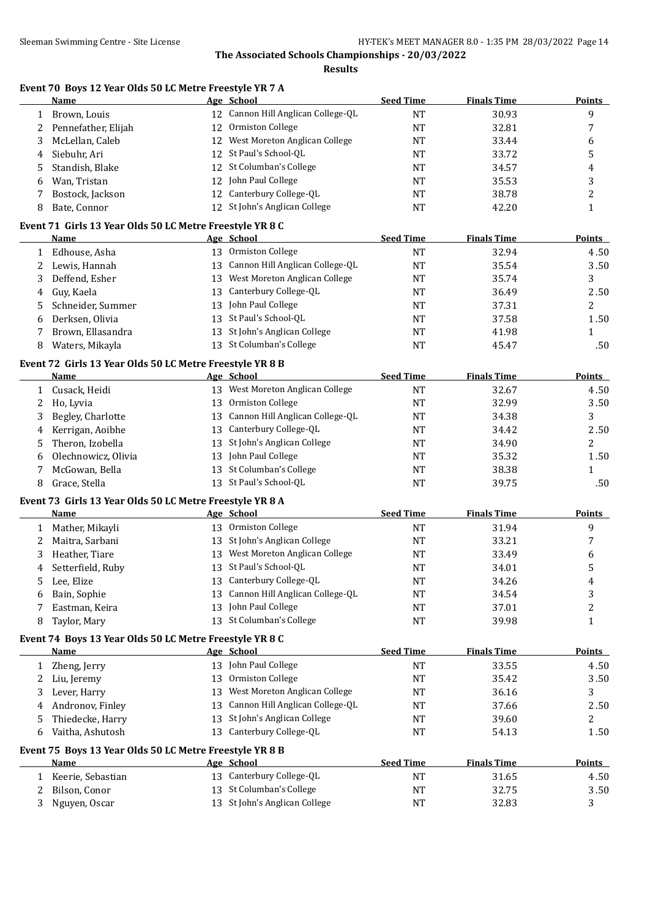**Results**

| Event 70 Boys 12 Year Olds 50 LC Metre Freestyle YR 7 A |  |  |  |  |  |  |
|---------------------------------------------------------|--|--|--|--|--|--|
|                                                         |  |  |  |  |  |  |

|                              | <b>Name</b>                                                             |    | Age School                         | <b>Seed Time</b> | <b>Finals Time</b> | <b>Points</b>  |
|------------------------------|-------------------------------------------------------------------------|----|------------------------------------|------------------|--------------------|----------------|
|                              | 1 Brown, Louis                                                          |    | 12 Cannon Hill Anglican College-QL | <b>NT</b>        | 30.93              | 9              |
| 2                            | Pennefather, Elijah                                                     | 12 | Ormiston College                   | NT               | 32.81              | 7              |
| 3                            | McLellan, Caleb                                                         | 12 | West Moreton Anglican College      | NT               | 33.44              | 6              |
| 4                            | Siebuhr, Ari                                                            |    | 12 St Paul's School-QL             | <b>NT</b>        | 33.72              | 5              |
| 5                            | Standish, Blake                                                         |    | 12 St Columban's College           | <b>NT</b>        | 34.57              | 4              |
| 6                            | Wan, Tristan                                                            |    | 12 John Paul College               | NT               | 35.53              | 3              |
| 7                            | Bostock, Jackson                                                        |    | 12 Canterbury College-QL           | <b>NT</b>        | 38.78              | 2              |
| 8                            | Bate, Connor                                                            |    | 12 St John's Anglican College      | <b>NT</b>        | 42.20              | $\mathbf{1}$   |
|                              |                                                                         |    |                                    |                  |                    |                |
|                              | Event 71 Girls 13 Year Olds 50 LC Metre Freestyle YR 8 C<br><b>Name</b> |    | Age School                         | <b>Seed Time</b> | <b>Finals Time</b> | <b>Points</b>  |
|                              | 1 Edhouse, Asha                                                         |    | 13 Ormiston College                | <b>NT</b>        | 32.94              | 4.50           |
| 2                            | Lewis, Hannah                                                           |    | 13 Cannon Hill Anglican College-QL | NT               | 35.54              | 3.50           |
| 3                            | Deffend, Esher                                                          |    | 13 West Moreton Anglican College   | NT               | 35.74              | 3              |
|                              |                                                                         | 13 | Canterbury College-QL              | NT               | 36.49              | 2.50           |
| 4                            | Guy, Kaela<br>Schneider, Summer                                         | 13 | John Paul College                  | <b>NT</b>        | 37.31              | 2              |
| 5                            | Derksen, Olivia                                                         | 13 | St Paul's School-QL                |                  |                    | 1.50           |
| 6                            |                                                                         |    | 13 St John's Anglican College      | <b>NT</b>        | 37.58              |                |
| 7                            | Brown, Ellasandra                                                       |    | 13 St Columban's College           | <b>NT</b>        | 41.98              | 1              |
| 8                            | Waters, Mikayla                                                         |    |                                    | <b>NT</b>        | 45.47              | .50            |
|                              | Event 72 Girls 13 Year Olds 50 LC Metre Freestyle YR 8 B                |    |                                    |                  |                    |                |
|                              | <b>Name</b>                                                             |    | Age School                         | <b>Seed Time</b> | <b>Finals Time</b> | Points         |
| $1 \ \overline{\phantom{0}}$ | Cusack, Heidi                                                           |    | 13 West Moreton Anglican College   | <b>NT</b>        | 32.67              | 4.50           |
| 2                            | Ho, Lyvia                                                               | 13 | Ormiston College                   | NT               | 32.99              | 3.50           |
| 3                            | Begley, Charlotte                                                       | 13 | Cannon Hill Anglican College-QL    | NT               | 34.38              | 3              |
| 4                            | Kerrigan, Aoibhe                                                        | 13 | Canterbury College-QL              | NT               | 34.42              | 2.50           |
| 5                            | Theron, Izobella                                                        | 13 | St John's Anglican College         | <b>NT</b>        | 34.90              | 2              |
| 6                            | Olechnowicz, Olivia                                                     | 13 | John Paul College                  | <b>NT</b>        | 35.32              | 1.50           |
| 7                            | McGowan, Bella                                                          | 13 | St Columban's College              | <b>NT</b>        | 38.38              | 1              |
| 8                            | Grace, Stella                                                           |    | 13 St Paul's School-QL             | <b>NT</b>        | 39.75              | .50            |
|                              | Event 73 Girls 13 Year Olds 50 LC Metre Freestyle YR 8 A                |    |                                    |                  |                    |                |
|                              | <b>Name</b>                                                             |    | Age School                         | <b>Seed Time</b> | <b>Finals Time</b> | <b>Points</b>  |
|                              | 1 Mather, Mikayli                                                       |    | 13 Ormiston College                | <b>NT</b>        | 31.94              | 9              |
| 2                            | Maitra, Sarbani                                                         |    | 13 St John's Anglican College      | NT               | 33.21              | 7              |
| 3                            | Heather, Tiare                                                          |    | 13 West Moreton Anglican College   | <b>NT</b>        | 33.49              | 6              |
| 4                            | Setterfield, Ruby                                                       | 13 | St Paul's School-QL                | NT               | 34.01              | 5              |
| 5                            | Lee, Elize                                                              |    | 13 Canterbury College-QL           | <b>NT</b>        | 34.26              | 4              |
| 6                            | Bain, Sophie                                                            |    | 13 Cannon Hill Anglican College-QL | <b>NT</b>        | 34.54              | 3              |
|                              | Eastman, Keira                                                          | 13 | John Paul College                  | <b>NT</b>        | 37.01              | $\overline{c}$ |
| 8                            | Taylor, Mary                                                            |    | 13 St Columban's College           | <b>NT</b>        | 39.98              | $\mathbf{1}$   |
|                              | Event 74 Boys 13 Year Olds 50 LC Metre Freestyle YR 8 C                 |    |                                    |                  |                    |                |
|                              | <b>Name</b>                                                             |    | Age School                         | <b>Seed Time</b> | <b>Finals Time</b> | <b>Points</b>  |
| $\mathbf{1}$                 | Zheng, Jerry                                                            |    | 13 John Paul College               | NT               | 33.55              | 4.50           |
| 2                            | Liu, Jeremy                                                             | 13 | Ormiston College                   | NT               | 35.42              | 3.50           |
| 3                            | Lever, Harry                                                            | 13 | West Moreton Anglican College      | <b>NT</b>        | 36.16              | 3              |
| 4                            | Andronov, Finley                                                        | 13 | Cannon Hill Anglican College-QL    | NT               | 37.66              | 2.50           |
| 5                            | Thiedecke, Harry                                                        | 13 | St John's Anglican College         | <b>NT</b>        | 39.60              | 2              |
| 6                            | Vaitha, Ashutosh                                                        | 13 | Canterbury College-QL              | <b>NT</b>        | 54.13              | 1.50           |
|                              |                                                                         |    |                                    |                  |                    |                |
|                              | Event 75 Boys 13 Year Olds 50 LC Metre Freestyle YR 8 B<br>Name         |    | Age School                         | <b>Seed Time</b> | <b>Finals Time</b> | <b>Points</b>  |
| 1                            | Keerie, Sebastian                                                       |    | 13 Canterbury College-QL           | <b>NT</b>        | 31.65              | 4.50           |
| 2                            | Bilson, Conor                                                           |    | 13 St Columban's College           | NT               | 32.75              | 3.50           |
| 3                            | Nguyen, Oscar                                                           |    | 13 St John's Anglican College      | NT               | 32.83              | 3              |
|                              |                                                                         |    |                                    |                  |                    |                |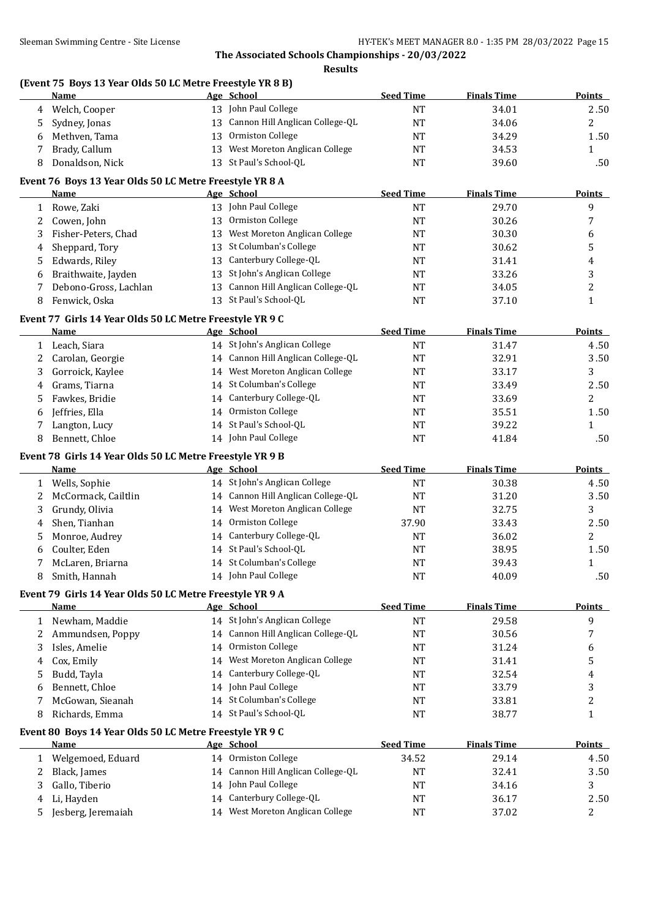**Results**

#### **(Event 75 Boys 13 Year Olds 50 LC Metre Freestyle YR 8 B)**

|              | <u>Name</u>                                              |    | Age School                         | <b>Seed Time</b> | <b>Finals Time</b> | <b>Points</b> |
|--------------|----------------------------------------------------------|----|------------------------------------|------------------|--------------------|---------------|
| 4            | Welch, Cooper                                            |    | 13 John Paul College               | NT               | 34.01              | 2.50          |
| 5            | Sydney, Jonas                                            |    | 13 Cannon Hill Anglican College-QL | <b>NT</b>        | 34.06              | 2             |
| 6            | Methven, Tama                                            |    | 13 Ormiston College                | <b>NT</b>        | 34.29              | 1.50          |
| 7            | Brady, Callum                                            |    | 13 West Moreton Anglican College   | <b>NT</b>        | 34.53              | 1             |
| 8            | Donaldson, Nick                                          |    | 13 St Paul's School-QL             | <b>NT</b>        | 39.60              | .50           |
|              | Event 76 Boys 13 Year Olds 50 LC Metre Freestyle YR 8 A  |    |                                    |                  |                    |               |
|              | <u>Name</u>                                              |    | Age School                         | <b>Seed Time</b> | <b>Finals Time</b> | <b>Points</b> |
| $\mathbf{1}$ | Rowe, Zaki                                               |    | 13 John Paul College               | <b>NT</b>        | 29.70              | 9             |
| 2            | Cowen, John                                              | 13 | Ormiston College                   | NT               | 30.26              | 7             |
| 3            | Fisher-Peters, Chad                                      | 13 | West Moreton Anglican College      | NT               | 30.30              | 6             |
| 4            | Sheppard, Tory                                           |    | 13 St Columban's College           | <b>NT</b>        | 30.62              | 5             |
| 5            | Edwards, Riley                                           | 13 | Canterbury College-QL              | NT               | 31.41              | 4             |
| 6            | Braithwaite, Jayden                                      |    | 13 St John's Anglican College      | <b>NT</b>        | 33.26              | 3             |
| 7            | Debono-Gross, Lachlan                                    |    | 13 Cannon Hill Anglican College-QL | <b>NT</b>        | 34.05              | 2             |
| 8            | Fenwick, Oska                                            |    | 13 St Paul's School-QL             | <b>NT</b>        | 37.10              | 1             |
|              | Event 77 Girls 14 Year Olds 50 LC Metre Freestyle YR 9 C |    |                                    |                  |                    |               |
|              | Name                                                     |    | Age School                         | <b>Seed Time</b> | <b>Finals Time</b> | <b>Points</b> |
| 1            | Leach, Siara                                             |    | 14 St John's Anglican College      | <b>NT</b>        | 31.47              | 4.50          |
| 2            | Carolan, Georgie                                         |    | 14 Cannon Hill Anglican College-QL | <b>NT</b>        | 32.91              | 3.50          |
| 3            | Gorroick, Kaylee                                         |    | 14 West Moreton Anglican College   | NT               | 33.17              | 3             |
| 4            | Grams, Tiarna                                            |    | 14 St Columban's College           | NT               | 33.49              | 2.50          |
| 5.           | Fawkes, Bridie                                           |    | 14 Canterbury College-QL           | <b>NT</b>        | 33.69              | 2             |
| 6            | Jeffries, Ella                                           |    | 14 Ormiston College                | <b>NT</b>        | 35.51              | 1.50          |
| 7            | Langton, Lucy                                            |    | 14 St Paul's School-QL             | <b>NT</b>        | 39.22              | 1             |
| 8            | Bennett, Chloe                                           |    | 14 John Paul College               | NT               | 41.84              | .50           |
|              | Event 78 Girls 14 Year Olds 50 LC Metre Freestyle YR 9 B |    |                                    |                  |                    |               |
|              | Name                                                     |    | Age School                         | <b>Seed Time</b> | <b>Finals Time</b> | <b>Points</b> |
| $\mathbf{1}$ | Wells, Sophie                                            |    | 14 St John's Anglican College      | <b>NT</b>        | 30.38              | 4.50          |
| 2            | McCormack, Cailtlin                                      |    | 14 Cannon Hill Anglican College-QL | <b>NT</b>        | 31.20              | 3.50          |
| 3            | Grundy, Olivia                                           |    | 14 West Moreton Anglican College   | <b>NT</b>        | 32.75              | 3             |
| 4            | Shen, Tianhan                                            |    | 14 Ormiston College                | 37.90            | 33.43              | 2.50          |
| 5            | Monroe, Audrey                                           |    | 14 Canterbury College-QL           | NT               | 36.02              | 2             |
| 6            | Coulter, Eden                                            |    | 14 St Paul's School-QL             | <b>NT</b>        | 38.95              | 1.50          |
| 7            | McLaren, Briarna                                         |    | 14 St Columban's College           | <b>NT</b>        | 39.43              | 1             |
| 8            | Smith, Hannah                                            |    | 14 John Paul College               | $\rm{NT}$        | 40.09              | .50           |
|              | Event 79 Girls 14 Year Olds 50 LC Metre Freestyle YR 9 A |    |                                    |                  |                    |               |
|              | Name                                                     |    | Age School                         | <b>Seed Time</b> | <b>Finals Time</b> | <b>Points</b> |
|              | 1 Newham, Maddie                                         |    | 14 St John's Anglican College      | <b>NT</b>        | 29.58              | 9             |
| 2            | Ammundsen, Poppy                                         |    | 14 Cannon Hill Anglican College-QL | NT               | 30.56              | 7             |
| 3            | Isles, Amelie                                            |    | 14 Ormiston College                | NT               | 31.24              | 6             |
| 4            | Cox, Emily                                               |    | 14 West Moreton Anglican College   | NT               | 31.41              | 5             |
| 5            | Budd, Tayla                                              |    | 14 Canterbury College-QL           | NT               | 32.54              | 4             |
| 6            | Bennett, Chloe                                           |    | 14 John Paul College               | NT               | 33.79              | 3             |
| 7            | McGowan, Sieanah                                         |    | 14 St Columban's College           | NT               | 33.81              | 2             |
| 8            | Richards, Emma                                           |    | 14 St Paul's School-QL             | NT               | 38.77              | 1             |
|              | Event 80 Boys 14 Year Olds 50 LC Metre Freestyle YR 9 C  |    |                                    |                  |                    |               |
|              | <b>Name</b>                                              |    | Age School                         | <b>Seed Time</b> | <b>Finals Time</b> | <b>Points</b> |
| 1            | Welgemoed, Eduard                                        |    | 14 Ormiston College                | 34.52            | 29.14              | 4.50          |
| 2            | Black, James                                             |    | 14 Cannon Hill Anglican College-QL | NT               | 32.41              | 3.50          |
| 3            | Gallo, Tiberio                                           |    | 14 John Paul College               | NT               | 34.16              | 3             |
| 4            | Li, Hayden                                               |    | 14 Canterbury College-QL           | <b>NT</b>        | 36.17              | 2.50          |
| 5.           | Jesberg, Jeremaiah                                       |    | 14 West Moreton Anglican College   | NT               | 37.02              | 2             |
|              |                                                          |    |                                    |                  |                    |               |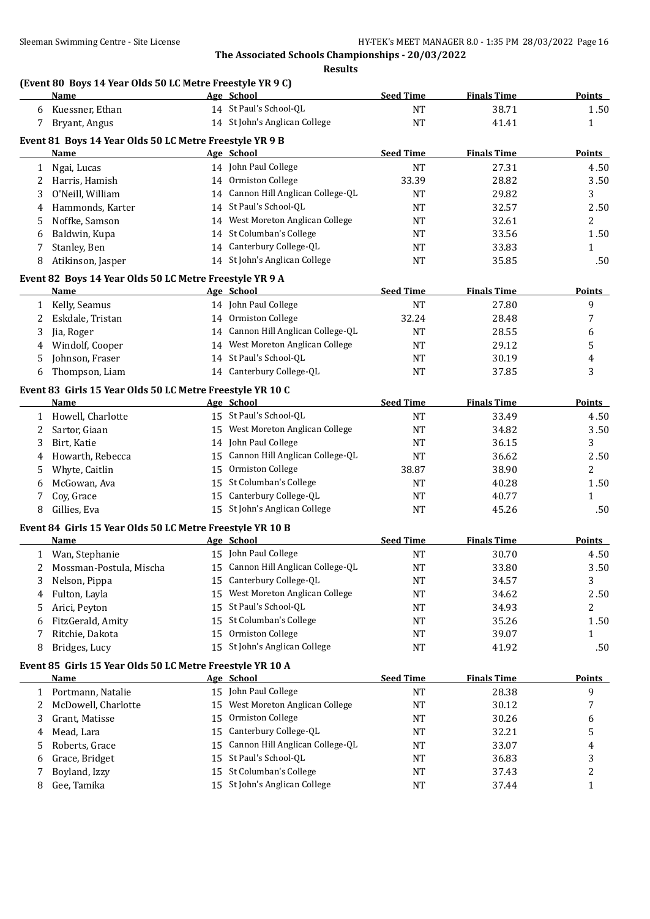#### **Results**

## **(Event 80 Boys 14 Year Olds 50 LC Metre Freestyle YR 9 C)**

|             | <b>Name</b>                                               |    | Age School                         | <b>Seed Time</b> | <b>Finals Time</b> | <b>Points</b>  |
|-------------|-----------------------------------------------------------|----|------------------------------------|------------------|--------------------|----------------|
| 6           | Kuessner, Ethan                                           |    | 14 St Paul's School-QL             | <b>NT</b>        | 38.71              | 1.50           |
| 7           | Bryant, Angus                                             |    | 14 St John's Anglican College      | <b>NT</b>        | 41.41              | 1              |
|             | Event 81 Boys 14 Year Olds 50 LC Metre Freestyle YR 9 B   |    |                                    |                  |                    |                |
|             | Name                                                      |    | Age School                         | <b>Seed Time</b> | <b>Finals Time</b> | <b>Points</b>  |
| 1           | Ngai, Lucas                                               |    | 14 John Paul College               | <b>NT</b>        | 27.31              | 4.50           |
| 2           | Harris, Hamish                                            |    | 14 Ormiston College                | 33.39            | 28.82              | 3.50           |
| 3           | O'Neill, William                                          |    | 14 Cannon Hill Anglican College-QL | <b>NT</b>        | 29.82              | 3              |
| 4           | Hammonds, Karter                                          |    | 14 St Paul's School-QL             | <b>NT</b>        | 32.57              | 2.50           |
| 5           | Noffke, Samson                                            |    | 14 West Moreton Anglican College   | <b>NT</b>        | 32.61              | 2              |
| 6           | Baldwin, Kupa                                             |    | 14 St Columban's College           | <b>NT</b>        | 33.56              | 1.50           |
| 7           | Stanley, Ben                                              |    | 14 Canterbury College-QL           | <b>NT</b>        | 33.83              | $\mathbf{1}$   |
| 8           | Atikinson, Jasper                                         |    | 14 St John's Anglican College      | <b>NT</b>        | 35.85              | .50            |
|             |                                                           |    |                                    |                  |                    |                |
|             | Event 82 Boys 14 Year Olds 50 LC Metre Freestyle YR 9 A   |    |                                    |                  |                    |                |
|             | Name                                                      |    | Age School                         | <b>Seed Time</b> | <b>Finals Time</b> | <b>Points</b>  |
|             | 1 Kelly, Seamus                                           |    | 14 John Paul College               | <b>NT</b>        | 27.80              | 9              |
| 2           | Eskdale, Tristan                                          |    | 14 Ormiston College                | 32.24            | 28.48              | 7              |
| 3           | Jia, Roger                                                |    | 14 Cannon Hill Anglican College-QL | <b>NT</b>        | 28.55              | 6              |
| 4           | Windolf, Cooper                                           |    | 14 West Moreton Anglican College   | <b>NT</b>        | 29.12              | 5              |
| 5           | Johnson, Fraser                                           |    | 14 St Paul's School-QL             | <b>NT</b>        | 30.19              | 4              |
| 6           | Thompson, Liam                                            |    | 14 Canterbury College-QL           | <b>NT</b>        | 37.85              | 3              |
|             | Event 83 Girls 15 Year Olds 50 LC Metre Freestyle YR 10 C |    |                                    |                  |                    |                |
|             | <b>Name</b>                                               |    | Age School                         | <b>Seed Time</b> | <b>Finals Time</b> | Points         |
|             | 1 Howell, Charlotte                                       |    | 15 St Paul's School-QL             | <b>NT</b>        | 33.49              | 4.50           |
| 2           | Sartor, Giaan                                             |    | 15 West Moreton Anglican College   | <b>NT</b>        | 34.82              | 3.50           |
| 3           | Birt, Katie                                               |    | 14 John Paul College               | NT               | 36.15              | 3              |
| 4           | Howarth, Rebecca                                          |    | 15 Cannon Hill Anglican College-QL | <b>NT</b>        | 36.62              | 2.50           |
| 5           | Whyte, Caitlin                                            |    | 15 Ormiston College                | 38.87            | 38.90              | 2              |
| 6           | McGowan, Ava                                              |    | 15 St Columban's College           | <b>NT</b>        | 40.28              | 1.50           |
| 7           | Coy, Grace                                                |    | 15 Canterbury College-QL           | <b>NT</b>        | 40.77              | $\mathbf{1}$   |
| 8           | Gillies, Eva                                              |    | 15 St John's Anglican College      | <b>NT</b>        | 45.26              | .50            |
|             |                                                           |    |                                    |                  |                    |                |
|             | Event 84 Girls 15 Year Olds 50 LC Metre Freestyle YR 10 B |    |                                    |                  |                    |                |
|             | <b>Name</b>                                               |    | Age School                         | <b>Seed Time</b> | <b>Finals Time</b> | <b>Points</b>  |
|             | 1 Wan, Stephanie                                          |    | 15 John Paul College               | <b>NT</b>        | 30.70              | 4.50           |
| $2^{\circ}$ | Mossman-Postula, Mischa                                   |    | 15 Cannon Hill Anglican College-QL | <b>NT</b>        | 33.80              | 3.50           |
| 3           | Nelson, Pippa                                             |    | 15 Canterbury College-QL           | <b>NT</b>        | 34.57              | 3              |
| 4           | Fulton, Layla                                             |    | 15 West Moreton Anglican College   | NT               | 34.62              | 2.50           |
| 5           | Arici, Peyton                                             |    | 15 St Paul's School-QL             | NT               | 34.93              | $\overline{2}$ |
| 6           | FitzGerald, Amity                                         |    | 15 St Columban's College           | <b>NT</b>        | 35.26              | 1.50           |
| 7           | Ritchie, Dakota                                           |    | 15 Ormiston College                | <b>NT</b>        | 39.07              | 1              |
| 8           | Bridges, Lucy                                             |    | 15 St John's Anglican College      | <b>NT</b>        | 41.92              | .50            |
|             | Event 85 Girls 15 Year Olds 50 LC Metre Freestyle YR 10 A |    |                                    |                  |                    |                |
|             | Name                                                      |    | Age School                         | <b>Seed Time</b> | <b>Finals Time</b> | <b>Points</b>  |
| 1           | Portmann, Natalie                                         |    | 15 John Paul College               | <b>NT</b>        | 28.38              | 9              |
| 2           | McDowell, Charlotte                                       |    | 15 West Moreton Anglican College   | NT               | 30.12              | 7              |
| 3           | Grant, Matisse                                            | 15 | Ormiston College                   | NT               | 30.26              | 6              |
| 4           | Mead, Lara                                                | 15 | Canterbury College-QL              | NT               | 32.21              | 5              |
| 5           | Roberts, Grace                                            | 15 | Cannon Hill Anglican College-QL    | <b>NT</b>        | 33.07              | 4              |
| 6           | Grace, Bridget                                            |    | 15 St Paul's School-QL             | NT               | 36.83              | 3              |
| 7           | Boyland, Izzy                                             | 15 | St Columban's College              | NT               | 37.43              | 2              |
| 8           | Gee, Tamika                                               |    | 15 St John's Anglican College      | <b>NT</b>        | 37.44              | $\mathbf{1}$   |
|             |                                                           |    |                                    |                  |                    |                |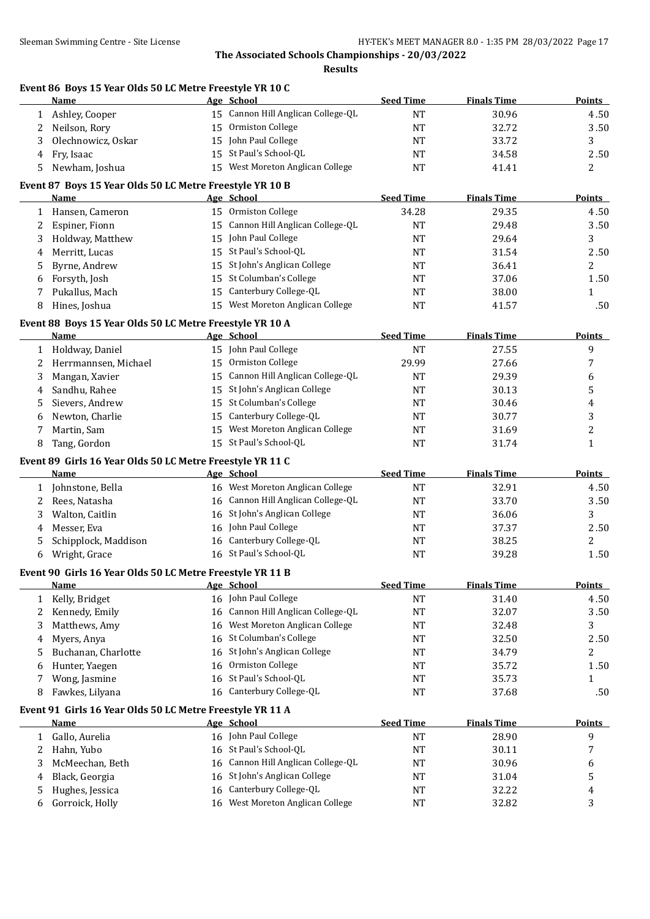| Sleeman Swimming Centre - Site License |                                                                   | HY-TEK's MEET MANAGER 8.0 - 1:35 PM 28/03/2022 Page 17 |                                                   |                  |                    |               |  |
|----------------------------------------|-------------------------------------------------------------------|--------------------------------------------------------|---------------------------------------------------|------------------|--------------------|---------------|--|
|                                        |                                                                   |                                                        | The Associated Schools Championships - 20/03/2022 |                  |                    |               |  |
|                                        |                                                                   |                                                        | <b>Results</b>                                    |                  |                    |               |  |
|                                        | Event 86 Boys 15 Year Olds 50 LC Metre Freestyle YR 10 C<br>Name  |                                                        | Age School                                        | <b>Seed Time</b> | <b>Finals Time</b> | Points        |  |
|                                        | 1 Ashley, Cooper                                                  |                                                        | 15 Cannon Hill Anglican College-QL                | NT               | 30.96              | 4.50          |  |
| 2                                      | Neilson, Rory                                                     |                                                        | 15 Ormiston College                               | <b>NT</b>        | 32.72              | 3.50          |  |
| 3                                      | Olechnowicz, Oskar                                                |                                                        | 15 John Paul College                              | NT               | 33.72              | 3             |  |
| 4                                      | Fry, Isaac                                                        |                                                        | 15 St Paul's School-QL                            | NT               | 34.58              | 2.50          |  |
| 5.                                     | Newham, Joshua                                                    |                                                        | 15 West Moreton Anglican College                  | NT               | 41.41              | 2             |  |
|                                        | Event 87 Boys 15 Year Olds 50 LC Metre Freestyle YR 10 B          |                                                        |                                                   |                  |                    |               |  |
|                                        | Name                                                              |                                                        | Age School                                        | <b>Seed Time</b> | <b>Finals Time</b> | <b>Points</b> |  |
|                                        | 1 Hansen, Cameron                                                 |                                                        | 15 Ormiston College                               | 34.28            | 29.35              | 4.50          |  |
| 2                                      | Espiner, Fionn                                                    |                                                        | 15 Cannon Hill Anglican College-QL                | NT               | 29.48              | 3.50          |  |
| 3                                      | Holdway, Matthew                                                  |                                                        | 15 John Paul College                              | NT               | 29.64              | 3             |  |
| 4                                      | Merritt, Lucas                                                    |                                                        | 15 St Paul's School-QL                            | NT               | 31.54              | 2.50          |  |
| 5                                      | Byrne, Andrew                                                     |                                                        | 15 St John's Anglican College                     | NT               | 36.41              | 2             |  |
| 6                                      | Forsyth, Josh                                                     |                                                        | 15 St Columban's College                          | NT               | 37.06              | 1.50          |  |
| 7                                      | Pukallus, Mach                                                    |                                                        | 15 Canterbury College-QL                          | NT               | 38.00              | $\mathbf{1}$  |  |
| 8                                      | Hines, Joshua                                                     |                                                        | 15 West Moreton Anglican College                  | <b>NT</b>        | 41.57              | .50           |  |
|                                        | Event 88 Boys 15 Year Olds 50 LC Metre Freestyle YR 10 A          |                                                        |                                                   |                  |                    |               |  |
|                                        | Name                                                              |                                                        | Age School                                        | <b>Seed Time</b> | <b>Finals Time</b> | <b>Points</b> |  |
|                                        | 1 Holdway, Daniel                                                 |                                                        | 15 John Paul College                              | <b>NT</b>        | 27.55              | 9             |  |
| 2                                      | Herrmannsen, Michael                                              |                                                        | 15 Ormiston College                               | 29.99            | 27.66              | 7             |  |
| 3                                      | Mangan, Xavier                                                    |                                                        | 15 Cannon Hill Anglican College-QL                | <b>NT</b>        | 29.39              | 6             |  |
| 4                                      | Sandhu, Rahee                                                     |                                                        | 15 St John's Anglican College                     | <b>NT</b>        | 30.13              | 5             |  |
| 5                                      | Sievers, Andrew                                                   |                                                        | 15 St Columban's College                          | NT               | 30.46              | 4             |  |
| 6                                      | Newton, Charlie                                                   |                                                        | 15 Canterbury College-QL                          | NT               | 30.77              | 3             |  |
| 7                                      | Martin, Sam                                                       |                                                        | 15 West Moreton Anglican College                  | NT               | 31.69              | 2             |  |
| 8                                      | Tang, Gordon                                                      |                                                        | 15 St Paul's School-QL                            | <b>NT</b>        | 31.74              | $\mathbf{1}$  |  |
|                                        | Event 89 Girls 16 Year Olds 50 LC Metre Freestyle YR 11 C         |                                                        |                                                   |                  |                    |               |  |
|                                        | Name                                                              |                                                        | Age School                                        | <b>Seed Time</b> | <b>Finals Time</b> | Points        |  |
|                                        | 1 Johnstone, Bella                                                |                                                        | 16 West Moreton Anglican College                  | <b>NT</b>        | 32.91              | 4.50          |  |
| 2                                      | Rees, Natasha                                                     |                                                        | 16 Cannon Hill Anglican College-QL                | <b>NT</b>        | 33.70              | 3.50          |  |
| 3                                      | Walton, Caitlin                                                   |                                                        | 16 St John's Anglican College                     | <b>NT</b>        | 36.06              | 3             |  |
| 4                                      | Messer, Eva                                                       |                                                        | 16 John Paul College                              | NT               | 37.37              | 2.50          |  |
| 5                                      | Schipplock, Maddison                                              |                                                        | 16 Canterbury College-QL                          | NT               | 38.25              | 2             |  |
| 6                                      | Wright, Grace                                                     |                                                        | 16 St Paul's School-QL                            | NT               | 39.28              | 1.50          |  |
|                                        | Event 90 Girls 16 Year Olds 50 LC Metre Freestyle YR 11 B<br>Name |                                                        | Age School                                        | <b>Seed Time</b> | <b>Finals Time</b> | <b>Points</b> |  |
| 1                                      | Kelly, Bridget                                                    |                                                        | 16 John Paul College                              | NT               | 31.40              | 4.50          |  |
|                                        | Kennedy, Emily                                                    |                                                        | 16 Cannon Hill Anglican College-QL                | NT               | 32.07              | 3.50          |  |
| 2<br>3                                 | Matthews, Amy                                                     |                                                        | 16 West Moreton Anglican College                  | NT               | 32.48              | 3             |  |
| 4                                      | Myers, Anya                                                       |                                                        | 16 St Columban's College                          | NT               | 32.50              | 2.50          |  |
| 5                                      | Buchanan, Charlotte                                               |                                                        | 16 St John's Anglican College                     | NT               | 34.79              | 2             |  |
| 6                                      | Hunter, Yaegen                                                    |                                                        | 16 Ormiston College                               | NT               | 35.72              | 1.50          |  |
| 7                                      | Wong, Jasmine                                                     |                                                        | 16 St Paul's School-QL                            | NT               | 35.73              | $\mathbf{1}$  |  |
|                                        |                                                                   |                                                        |                                                   |                  |                    |               |  |

#### **Event 91 Girls 16 Year Olds 50 LC Metre Freestyle YR 11 A**

| Name                  |  | <b>Seed Time</b>                                                                                                                                                                                    | <b>Finals Time</b> | <b>Points</b> |
|-----------------------|--|-----------------------------------------------------------------------------------------------------------------------------------------------------------------------------------------------------|--------------------|---------------|
| Gallo, Aurelia        |  | <b>NT</b>                                                                                                                                                                                           | 28.90              |               |
| Hahn, Yubo            |  | NT                                                                                                                                                                                                  | 30.11              | 7             |
| McMeechan, Beth       |  | NT                                                                                                                                                                                                  | 30.96              | h             |
| 4 Black, Georgia      |  | NT                                                                                                                                                                                                  | 31.04              |               |
| Hughes, Jessica       |  | <b>NT</b>                                                                                                                                                                                           | 32.22              | 4             |
| Gorroick, Holly<br>b. |  | NT                                                                                                                                                                                                  | 32.82              |               |
|                       |  | Age School<br>16 John Paul College<br>16 St Paul's School-OL<br>16 Cannon Hill Anglican College-QL<br>16 St John's Anglican College<br>16 Canterbury College-QL<br>16 West Moreton Anglican College |                    |               |

7 Wong, Jasmine 16 St Paul's School-QL NT 35.73 1 8 Fawkes, Lilyana 16 Canterbury College-QL NT 37.68 .50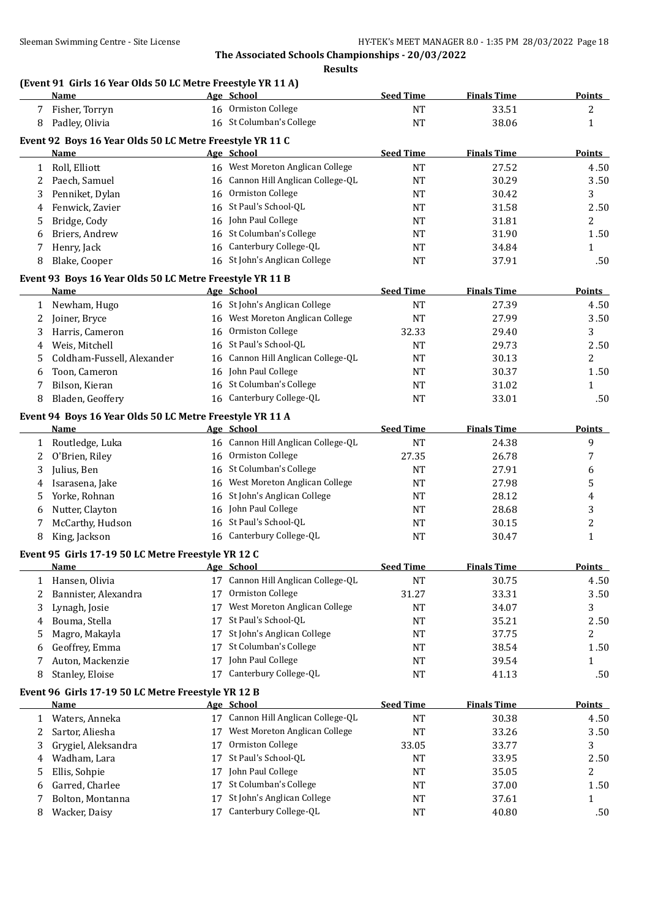#### **Results**

#### **(Event 91 Girls 16 Year Olds 50 LC Metre Freestyle YR 11 A)**

|              | <b>Name</b>                                              |    | Age School                                            | <b>Seed Time</b> | <b>Finals Time</b> | <b>Points</b> |
|--------------|----------------------------------------------------------|----|-------------------------------------------------------|------------------|--------------------|---------------|
|              | Fisher, Torryn                                           |    | 16 Ormiston College                                   | <b>NT</b>        | 33.51              | 2             |
| 8            | Padley, Olivia                                           |    | 16 St Columban's College                              | <b>NT</b>        | 38.06              | 1             |
|              | Event 92 Boys 16 Year Olds 50 LC Metre Freestyle YR 11 C |    |                                                       |                  |                    |               |
|              | Name                                                     |    | Age School                                            | <b>Seed Time</b> | <b>Finals Time</b> | <b>Points</b> |
| $\mathbf{1}$ | Roll, Elliott                                            |    | 16 West Moreton Anglican College                      | <b>NT</b>        | 27.52              | 4.50          |
| 2            | Paech, Samuel                                            |    | 16 Cannon Hill Anglican College-QL                    | <b>NT</b>        | 30.29              | 3.50          |
| 3            | Penniket, Dylan                                          |    | 16 Ormiston College                                   | <b>NT</b>        | 30.42              | 3             |
| 4            | Fenwick, Zavier                                          |    | 16 St Paul's School-QL                                | <b>NT</b>        | 31.58              | 2.50          |
| 5            | Bridge, Cody                                             |    | 16 John Paul College                                  | <b>NT</b>        | 31.81              | 2             |
| 6            | Briers, Andrew                                           |    | 16 St Columban's College                              | <b>NT</b>        | 31.90              | 1.50          |
| 7            | Henry, Jack                                              |    | 16 Canterbury College-QL                              | <b>NT</b>        | 34.84              | 1             |
| 8            | Blake, Cooper                                            |    | 16 St John's Anglican College                         | <b>NT</b>        | 37.91              | .50           |
|              | Event 93 Boys 16 Year Olds 50 LC Metre Freestyle YR 11 B |    |                                                       |                  |                    |               |
|              | Name                                                     |    | Age School                                            | <b>Seed Time</b> | <b>Finals Time</b> | <b>Points</b> |
| 1            | Newham, Hugo                                             |    | 16 St John's Anglican College                         | <b>NT</b>        | 27.39              | 4.50          |
| 2            | Joiner, Bryce                                            |    | 16 West Moreton Anglican College                      | <b>NT</b>        | 27.99              | 3.50          |
| 3            | Harris, Cameron                                          | 16 | Ormiston College                                      | 32.33            | 29.40              | 3             |
| 4            | Weis, Mitchell                                           |    | 16 St Paul's School-QL                                | <b>NT</b>        | 29.73              | 2.50          |
| 5            | Coldham-Fussell, Alexander                               | 16 | Cannon Hill Anglican College-QL                       | <b>NT</b>        | 30.13              | 2             |
| 6            | Toon, Cameron                                            |    | 16 John Paul College                                  | <b>NT</b>        | 30.37              | 1.50          |
| 7            | Bilson, Kieran                                           |    | 16 St Columban's College                              | NT               | 31.02              | 1             |
| 8            | Bladen, Geoffery                                         |    | 16 Canterbury College-QL                              | <b>NT</b>        | 33.01              | .50           |
|              |                                                          |    |                                                       |                  |                    |               |
|              | Event 94 Boys 16 Year Olds 50 LC Metre Freestyle YR 11 A |    |                                                       |                  |                    |               |
|              | <u>Name</u>                                              |    | Age School                                            | <b>Seed Time</b> | <b>Finals Time</b> | <b>Points</b> |
| 1            | Routledge, Luka                                          |    | 16 Cannon Hill Anglican College-QL                    | <b>NT</b>        | 24.38              | 9             |
| 2            | O'Brien, Riley                                           |    | 16 Ormiston College<br>16 St Columban's College       | 27.35            | 26.78              | 7             |
| 3            | Julius, Ben                                              |    |                                                       | <b>NT</b>        | 27.91              | 6             |
| 4            | Isarasena, Jake                                          | 16 | West Moreton Anglican College                         | <b>NT</b>        | 27.98              | 5             |
| 5            | Yorke, Rohnan                                            |    | 16 St John's Anglican College<br>16 John Paul College | <b>NT</b>        | 28.12              | 4             |
| 6            | Nutter, Clayton                                          |    | 16 St Paul's School-QL                                | NT               | 28.68              | 3<br>2        |
| 7            | McCarthy, Hudson<br>King, Jackson                        |    | 16 Canterbury College-QL                              | NT<br><b>NT</b>  | 30.15<br>30.47     |               |
| 8            |                                                          |    |                                                       |                  |                    | 1             |
|              | Event 95 Girls 17-19 50 LC Metre Freestyle YR 12 C       |    |                                                       |                  |                    |               |
|              | Name                                                     |    | Age School                                            | <b>Seed Time</b> | <b>Finals Time</b> | <b>Points</b> |
| T            | Hansen, Olivia                                           |    | 17 Cannon Hill Anglican College-QL                    | <b>NT</b>        | 30.75              | 4.50          |
| 2            | Bannister, Alexandra                                     | 17 | Ormiston College                                      | 31.27            | 33.31              | 3.50          |
| 3            | Lynagh, Josie                                            | 17 | West Moreton Anglican College                         | <b>NT</b>        | 34.07              | 3             |
| 4            | Bouma, Stella                                            | 17 | St Paul's School-QL                                   | <b>NT</b>        | 35.21              | 2.50          |
| 5            | Magro, Makayla                                           | 17 | St John's Anglican College                            | <b>NT</b>        | 37.75              | 2             |
| 6            | Geoffrey, Emma                                           | 17 | St Columban's College                                 | NT               | 38.54              | 1.50          |
| 7            | Auton, Mackenzie                                         | 17 | John Paul College                                     | NT               | 39.54              | 1             |
| 8            | Stanley, Eloise                                          | 17 | Canterbury College-QL                                 | <b>NT</b>        | 41.13              | .50           |
|              | Event 96 Girls 17-19 50 LC Metre Freestyle YR 12 B       |    |                                                       |                  |                    |               |
|              | <b>Name</b>                                              |    | Age School                                            | <b>Seed Time</b> | <b>Finals Time</b> | <b>Points</b> |
| 1            | Waters, Anneka                                           |    | 17 Cannon Hill Anglican College-QL                    | <b>NT</b>        | 30.38              | 4.50          |
| 2            | Sartor, Aliesha                                          | 17 | West Moreton Anglican College                         | <b>NT</b>        | 33.26              | 3.50          |
| 3            | Grygiel, Aleksandra                                      | 17 | Ormiston College                                      | 33.05            | 33.77              | 3             |
| 4            | Wadham, Lara                                             | 17 | St Paul's School-QL                                   | <b>NT</b>        | 33.95              | 2.50          |
| 5            | Ellis, Sohpie                                            | 17 | John Paul College                                     | NT               | 35.05              | 2             |
| 6            | Garred, Charlee                                          | 17 | St Columban's College                                 | NT               | 37.00              | 1.50          |
| 7            | Bolton, Montanna                                         | 17 | St John's Anglican College                            | NT               | 37.61              | $\mathbf{1}$  |
| 8            | Wacker, Daisy                                            | 17 | Canterbury College-QL                                 | <b>NT</b>        | 40.80              | .50           |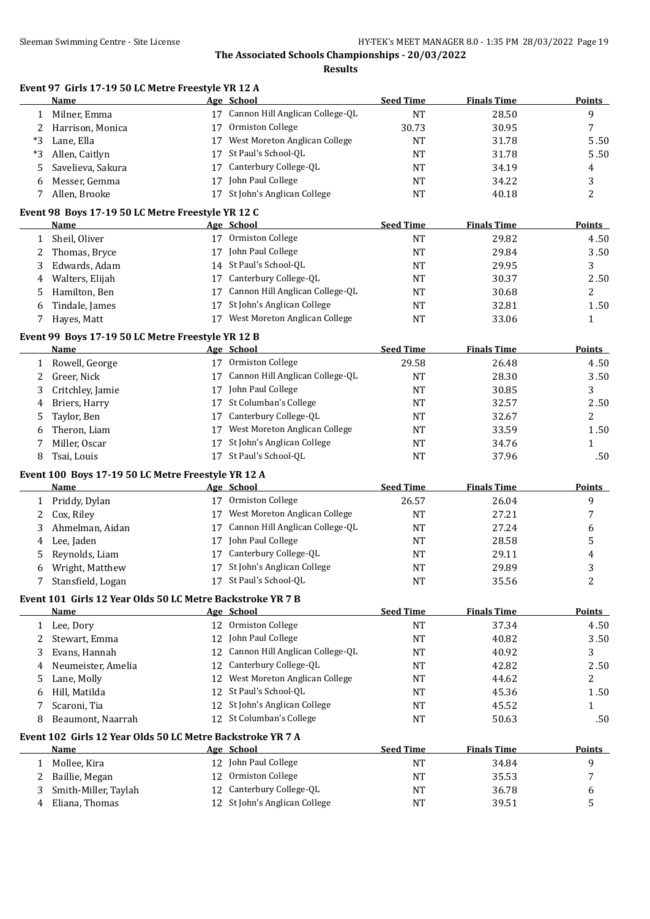**Results**

| Name               | - School<br>Age                    | Seed Time | <b>Finals Time</b> | Points |
|--------------------|------------------------------------|-----------|--------------------|--------|
| Milner. Emma       | 17 Cannon Hill Anglican College-QL | NT        | 28.50              |        |
| 2 Harrison, Monica | 17 Ormiston College                | 30.73     | 30.95              |        |

**Event 97 Girls 17-19 50 LC Metre Freestyle YR 12 A**

|    | Allen, Brooke       |    | 17 St John's Anglican College | NT | 40.18 | ▵    |
|----|---------------------|----|-------------------------------|----|-------|------|
| h. | Messer, Gemma       | 17 | John Paul College             | NT | 34.22 |      |
|    | 5 Savelieva, Sakura | 17 | Canterbury College-QL         | NT | 34.19 | 4    |
| *3 | Allen, Caitlyn      |    | 17 St Paul's School-OL        | NT | 31.78 | 5.50 |
| *3 | Lane. Ella          | 17 | West Moreton Anglican College | NΤ | 31.78 | 5.50 |

|   | Event 98 Boys 17-19 50 LC Metre Freestyle YR 12 C<br>Name  |    | Age School                         | <b>Seed Time</b> | <b>Finals Time</b> | <b>Points</b>  |
|---|------------------------------------------------------------|----|------------------------------------|------------------|--------------------|----------------|
| 1 | Sheil, Oliver                                              |    | 17 Ormiston College                | <b>NT</b>        | 29.82              | 4.50           |
| 2 | Thomas, Bryce                                              |    | 17 John Paul College               | <b>NT</b>        | 29.84              | 3.50           |
| 3 | Edwards, Adam                                              |    | 14 St Paul's School-QL             | <b>NT</b>        | 29.95              | 3              |
| 4 | Walters, Elijah                                            |    | 17 Canterbury College-QL           | <b>NT</b>        | 30.37              | 2.50           |
|   | Hamilton, Ben                                              | 17 | Cannon Hill Anglican College-QL    |                  |                    | $\overline{2}$ |
| 5 |                                                            |    | St John's Anglican College         | NT               | 30.68              |                |
| 6 | Tindale, James                                             | 17 | 17 West Moreton Anglican College   | NT               | 32.81              | 1.50           |
| 7 | Hayes, Matt                                                |    |                                    | <b>NT</b>        | 33.06              | $\mathbf{1}$   |
|   | Event 99 Boys 17-19 50 LC Metre Freestyle YR 12 B          |    |                                    |                  |                    |                |
|   | <b>Name</b>                                                |    | Age School                         | <b>Seed Time</b> | <b>Finals Time</b> | <b>Points</b>  |
| 1 | Rowell, George                                             |    | 17 Ormiston College                | 29.58            | 26.48              | 4.50           |
| 2 | Greer, Nick                                                |    | 17 Cannon Hill Anglican College-QL | <b>NT</b>        | 28.30              | 3.50           |
| 3 | Critchley, Jamie                                           |    | 17 John Paul College               | <b>NT</b>        | 30.85              | 3              |
| 4 | Briers, Harry                                              |    | 17 St Columban's College           | <b>NT</b>        | 32.57              | 2.50           |
| 5 | Taylor, Ben                                                |    | 17 Canterbury College-QL           | <b>NT</b>        | 32.67              | 2              |
| 6 | Theron, Liam                                               |    | 17 West Moreton Anglican College   | <b>NT</b>        | 33.59              | 1.50           |
| 7 | Miller, Oscar                                              | 17 | St John's Anglican College         | <b>NT</b>        | 34.76              | $\mathbf{1}$   |
| 8 | Tsai, Louis                                                |    | 17 St Paul's School-QL             | NT               | 37.96              | .50            |
|   | Event 100 Boys 17-19 50 LC Metre Freestyle YR 12 A         |    |                                    |                  |                    |                |
|   | <b>Name</b>                                                |    | Age School                         | <b>Seed Time</b> | <b>Finals Time</b> | Points         |
| 1 | Priddy, Dylan                                              |    | 17 Ormiston College                | 26.57            | 26.04              | 9              |
| 2 | Cox, Riley                                                 |    | 17 West Moreton Anglican College   | <b>NT</b>        | 27.21              | 7              |
| 3 | Ahmelman, Aidan                                            | 17 | Cannon Hill Anglican College-QL    | <b>NT</b>        | 27.24              | 6              |
| 4 | Lee, Jaden                                                 |    | 17 John Paul College               | NT               | 28.58              | 5              |
| 5 | Reynolds, Liam                                             |    | 17 Canterbury College-QL           | <b>NT</b>        | 29.11              | 4              |
| 6 | Wright, Matthew                                            | 17 | St John's Anglican College         | <b>NT</b>        | 29.89              | 3              |
| 7 | Stansfield, Logan                                          |    | 17 St Paul's School-QL             | <b>NT</b>        | 35.56              | 2              |
|   | Event 101 Girls 12 Year Olds 50 LC Metre Backstroke YR 7 B |    |                                    |                  |                    |                |
|   | <b>Name</b>                                                |    | Age School                         | <b>Seed Time</b> | <b>Finals Time</b> | <b>Points</b>  |
| 1 | Lee, Dory                                                  |    | 12 Ormiston College                | <b>NT</b>        | 37.34              | 4.50           |
| 2 | Stewart, Emma                                              |    | 12 John Paul College               | <b>NT</b>        | 40.82              | 3.50           |
| 3 | Evans, Hannah                                              |    | 12 Cannon Hill Anglican College-QL | <b>NT</b>        | 40.92              | 3              |
| 4 | Neumeister, Amelia                                         |    | 12 Canterbury College-QL           | <b>NT</b>        | 42.82              | 2.50           |
| 5 | Lane, Molly                                                |    | 12 West Moreton Anglican College   | <b>NT</b>        | 44.62              | 2              |
| 6 | Hill. Matilda                                              |    | 12 St Paul's School-QL             | <b>NT</b>        | 45.36              | 1.50           |

## **Event 102 Girls 12 Year Olds 50 LC Metre Backstroke YR 7 A**

| <b>Name</b>          | Age School                    | <b>Seed Time</b> | <b>Finals Time</b> | Points |
|----------------------|-------------------------------|------------------|--------------------|--------|
| Mollee. Kira         | 12 John Paul College          | <b>NT</b>        | 34.84              |        |
| Baillie, Megan       | 12 Ormiston College           | NΤ               | 35.53              |        |
| Smith-Miller, Taylah | 12 Canterbury College-QL      | NT               | 36.78              |        |
| Eliana, Thomas       | 12 St John's Anglican College | NT               | 39.51              |        |

7 Scaroni, Tia 12 St John's Anglican College 12 St John's Anglican College 1 8 Beaumont, Naarrah 12 St Columban's College 1988 NT 50.63 .50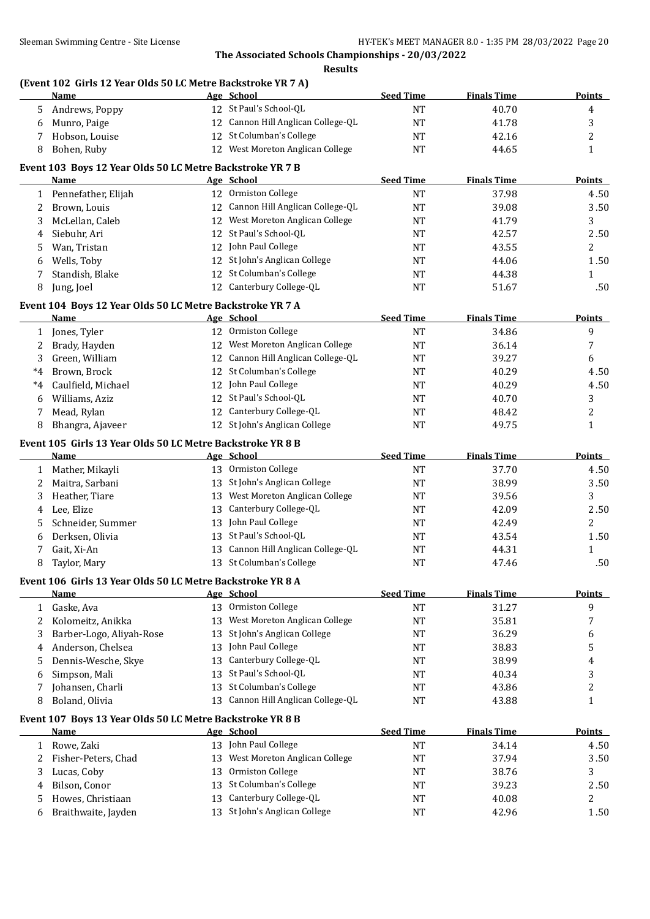#### **Results**

## **(Event 102 Girls 12 Year Olds 50 LC Metre Backstroke YR 7 A)**

|              | <b>Name</b>                                                |    | Age School                         | <b>Seed Time</b> | <b>Finals Time</b> | <b>Points</b>  |
|--------------|------------------------------------------------------------|----|------------------------------------|------------------|--------------------|----------------|
| 5.           | Andrews, Poppy                                             |    | 12 St Paul's School-QL             | <b>NT</b>        | 40.70              | 4              |
| 6            | Munro, Paige                                               |    | 12 Cannon Hill Anglican College-QL | <b>NT</b>        | 41.78              | 3              |
| 7            | Hobson, Louise                                             |    | 12 St Columban's College           | <b>NT</b>        | 42.16              | 2              |
| 8            | Bohen, Ruby                                                |    | 12 West Moreton Anglican College   | <b>NT</b>        | 44.65              | $\mathbf{1}$   |
|              | Event 103 Boys 12 Year Olds 50 LC Metre Backstroke YR 7 B  |    |                                    |                  |                    |                |
|              | Name                                                       |    | Age School                         | <b>Seed Time</b> | <b>Finals Time</b> | <b>Points</b>  |
|              | 1 Pennefather, Elijah                                      |    | 12 Ormiston College                | <b>NT</b>        | 37.98              | 4.50           |
| 2            | Brown, Louis                                               |    | 12 Cannon Hill Anglican College-QL | <b>NT</b>        | 39.08              | 3.50           |
| 3            | McLellan, Caleb                                            |    | 12 West Moreton Anglican College   | <b>NT</b>        | 41.79              | 3              |
| 4            | Siebuhr, Ari                                               |    | 12 St Paul's School-QL             | NT               | 42.57              | 2.50           |
| 5            | Wan, Tristan                                               |    | 12 John Paul College               | <b>NT</b>        | 43.55              | 2              |
| 6            | Wells, Toby                                                |    | 12 St John's Anglican College      | <b>NT</b>        | 44.06              | 1.50           |
| 7            | Standish, Blake                                            | 12 | St Columban's College              | <b>NT</b>        | 44.38              | 1              |
| 8            | Jung, Joel                                                 |    | 12 Canterbury College-QL           | <b>NT</b>        | 51.67              | .50            |
|              | Event 104 Boys 12 Year Olds 50 LC Metre Backstroke YR 7 A  |    |                                    |                  |                    |                |
|              | <b>Name</b>                                                |    | Age School                         | <b>Seed Time</b> | <b>Finals Time</b> | <b>Points</b>  |
| $\mathbf{1}$ | Jones, Tyler                                               |    | 12 Ormiston College                | <b>NT</b>        | 34.86              | 9              |
| 2            | Brady, Hayden                                              |    | 12 West Moreton Anglican College   | <b>NT</b>        | 36.14              | 7              |
| 3            | Green, William                                             |    | 12 Cannon Hill Anglican College-QL | <b>NT</b>        | 39.27              | 6              |
| $^*4$        | Brown, Brock                                               |    | 12 St Columban's College           | <b>NT</b>        | 40.29              | 4.50           |
| *4           | Caulfield, Michael                                         |    | 12 John Paul College               | <b>NT</b>        | 40.29              | 4.50           |
| 6            | Williams, Aziz                                             | 12 | St Paul's School-QL                | <b>NT</b>        | 40.70              | 3              |
| 7            | Mead, Rylan                                                | 12 | Canterbury College-QL              | <b>NT</b>        | 48.42              | $\overline{c}$ |
| 8            | Bhangra, Ajaveer                                           |    | 12 St John's Anglican College      | <b>NT</b>        | 49.75              | $\mathbf{1}$   |
|              | Event 105 Girls 13 Year Olds 50 LC Metre Backstroke YR 8 B |    |                                    |                  |                    |                |
|              | Name                                                       |    | Age School                         | <b>Seed Time</b> | <b>Finals Time</b> | <b>Points</b>  |
|              | 1 Mather, Mikayli                                          |    | 13 Ormiston College                | <b>NT</b>        | 37.70              | 4.50           |
| 2            | Maitra, Sarbani                                            |    | 13 St John's Anglican College      | <b>NT</b>        | 38.99              | 3.50           |
| 3            | Heather, Tiare                                             | 13 | West Moreton Anglican College      | NT               | 39.56              | 3              |
| 4            | Lee, Elize                                                 | 13 | Canterbury College-QL              | NT               | 42.09              | 2.50           |
| 5.           | Schneider, Summer                                          | 13 | John Paul College                  | <b>NT</b>        | 42.49              | 2              |
| 6            | Derksen, Olivia                                            | 13 | St Paul's School-QL                | <b>NT</b>        | 43.54              | 1.50           |
| 7            | Gait, Xi-An                                                | 13 | Cannon Hill Anglican College-QL    | <b>NT</b>        | 44.31              | 1              |
| 8            | Taylor, Mary                                               |    | 13 St Columban's College           | <b>NT</b>        | 47.46              | .50            |
|              | Event 106 Girls 13 Year Olds 50 LC Metre Backstroke YR 8 A |    |                                    |                  |                    |                |
|              | <u>Name</u>                                                |    | Age School                         | <b>Seed Time</b> | <b>Finals Time</b> | <b>Points</b>  |
| $\mathbf{1}$ | Gaske, Ava                                                 |    | 13 Ormiston College                | NT               | 31.27              | 9              |
| $2^{\circ}$  | Kolomeitz, Anikka                                          | 13 | West Moreton Anglican College      | NT               | 35.81              | 7              |
| 3            | Barber-Logo, Aliyah-Rose                                   | 13 | St John's Anglican College         | NT               | 36.29              | 6              |
| 4            | Anderson, Chelsea                                          | 13 | John Paul College                  | <b>NT</b>        | 38.83              | 5              |
| 5.           | Dennis-Wesche, Skye                                        | 13 | Canterbury College-QL              | <b>NT</b>        | 38.99              | 4              |
| 6            | Simpson, Mali                                              | 13 | St Paul's School-QL                | <b>NT</b>        | 40.34              | 3              |
| 7            | Johansen, Charli                                           | 13 | St Columban's College              | <b>NT</b>        | 43.86              | 2              |
| 8            | Boland, Olivia                                             | 13 | Cannon Hill Anglican College-QL    | NT               | 43.88              | $\mathbf{1}$   |
|              | Event 107 Boys 13 Year Olds 50 LC Metre Backstroke YR 8 B  |    |                                    |                  |                    |                |
|              | <b>Name</b>                                                |    | Age School                         | <b>Seed Time</b> | <b>Finals Time</b> | <b>Points</b>  |
| 1            | Rowe, Zaki                                                 |    | 13 John Paul College               | NT               | 34.14              | 4.50           |
| 2            | Fisher-Peters, Chad                                        | 13 | West Moreton Anglican College      | <b>NT</b>        | 37.94              | 3.50           |
| 3            | Lucas, Coby                                                | 13 | Ormiston College                   | NT               | 38.76              | 3              |
| 4            | Bilson, Conor                                              | 13 | St Columban's College              | <b>NT</b>        | 39.23              | 2.50           |
| 5            | Howes, Christiaan                                          | 13 | Canterbury College-QL              | <b>NT</b>        | 40.08              | 2              |
| 6            | Braithwaite, Jayden                                        |    | 13 St John's Anglican College      | <b>NT</b>        | 42.96              | 1.50           |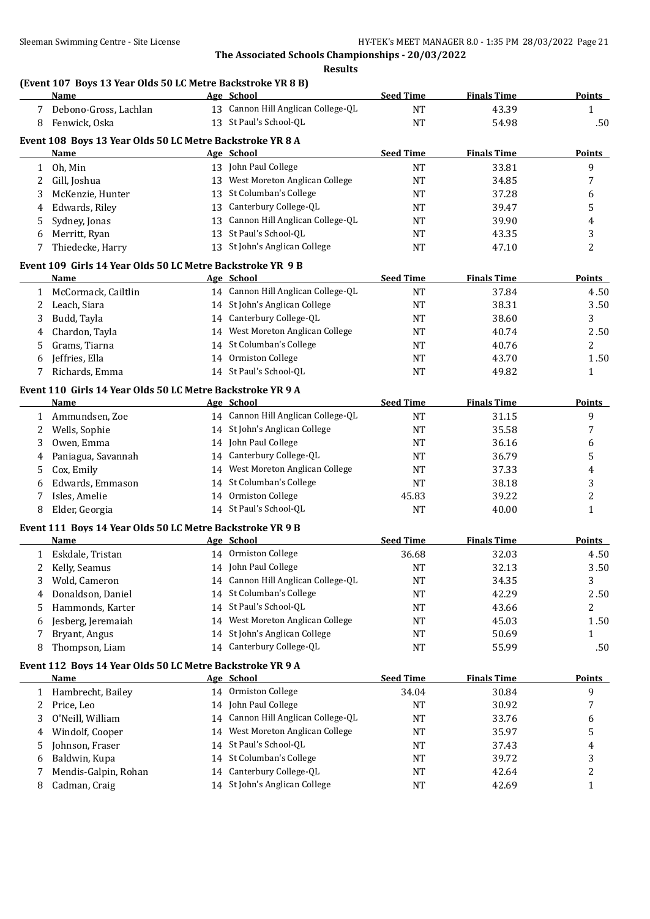**Results**

## **(Event 107 Boys 13 Year Olds 50 LC Metre Backstroke YR 8 B)**

|              | <b>Name</b>                                                              |    | Age School                         | <b>Seed Time</b> | <b>Finals Time</b> | <b>Points</b> |
|--------------|--------------------------------------------------------------------------|----|------------------------------------|------------------|--------------------|---------------|
|              | 7 Debono-Gross, Lachlan                                                  |    | 13 Cannon Hill Anglican College-QL | <b>NT</b>        | 43.39              | $\mathbf{1}$  |
| 8            | Fenwick, Oska                                                            |    | 13 St Paul's School-QL             | $\rm{NT}$        | 54.98              | .50           |
|              |                                                                          |    |                                    |                  |                    |               |
|              | Event 108 Boys 13 Year Olds 50 LC Metre Backstroke YR 8 A<br><b>Name</b> |    | Age School                         | <b>Seed Time</b> | <b>Finals Time</b> | <b>Points</b> |
|              | 1 Oh, Min                                                                |    | 13 John Paul College               | $\rm{NT}$        | 33.81              | 9             |
| 2            | Gill, Joshua                                                             |    | 13 West Moreton Anglican College   | <b>NT</b>        | 34.85              | 7             |
| 3            | McKenzie, Hunter                                                         |    | 13 St Columban's College           | NT               | 37.28              |               |
|              |                                                                          |    | 13 Canterbury College-QL           |                  |                    | 6             |
| 4            | Edwards, Riley                                                           |    | 13 Cannon Hill Anglican College-QL | NT               | 39.47              | 5             |
| 5            | Sydney, Jonas                                                            |    | 13 St Paul's School-QL             | <b>NT</b>        | 39.90              | 4             |
| 6            | Merritt, Ryan                                                            |    | 13 St John's Anglican College      | <b>NT</b>        | 43.35              | 3             |
| 7            | Thiedecke, Harry                                                         |    |                                    | <b>NT</b>        | 47.10              | 2             |
|              | Event 109 Girls 14 Year Olds 50 LC Metre Backstroke YR 9 B               |    |                                    |                  |                    |               |
|              | Name                                                                     |    | Age School                         | <b>Seed Time</b> | <b>Finals Time</b> | <b>Points</b> |
| $\mathbf{1}$ | McCormack, Cailtlin                                                      |    | 14 Cannon Hill Anglican College-QL | <b>NT</b>        | 37.84              | 4.50          |
| 2            | Leach, Siara                                                             |    | 14 St John's Anglican College      | <b>NT</b>        | 38.31              | 3.50          |
| 3            | Budd, Tayla                                                              |    | 14 Canterbury College-QL           | <b>NT</b>        | 38.60              | 3             |
| 4            | Chardon, Tayla                                                           |    | 14 West Moreton Anglican College   | NT               | 40.74              | 2.50          |
| 5            | Grams, Tiarna                                                            |    | 14 St Columban's College           | NT               | 40.76              | 2             |
| 6            | Jeffries, Ella                                                           |    | 14 Ormiston College                | <b>NT</b>        | 43.70              | 1.50          |
| 7            | Richards, Emma                                                           |    | 14 St Paul's School-QL             | <b>NT</b>        | 49.82              | 1             |
|              | Event 110 Girls 14 Year Olds 50 LC Metre Backstroke YR 9 A               |    |                                    |                  |                    |               |
|              | Name                                                                     |    | Age School                         | <b>Seed Time</b> | <b>Finals Time</b> | <b>Points</b> |
|              | 1 Ammundsen, Zoe                                                         |    | 14 Cannon Hill Anglican College-QL | $\rm{NT}$        | 31.15              | 9             |
|              |                                                                          |    | 14 St John's Anglican College      | <b>NT</b>        | 35.58              | 7             |
| 2            | Wells, Sophie                                                            |    | 14 John Paul College               |                  |                    |               |
| 3            | Owen, Emma                                                               |    |                                    | NT               | 36.16              | 6             |
| 4            | Paniagua, Savannah                                                       |    | 14 Canterbury College-QL           | NT               | 36.79              | 5             |
| 5            | Cox, Emily                                                               |    | 14 West Moreton Anglican College   | NT               | 37.33              | 4             |
| 6            | Edwards, Emmason                                                         |    | 14 St Columban's College           | <b>NT</b>        | 38.18              | 3             |
| 7            | Isles, Amelie                                                            |    | 14 Ormiston College                | 45.83            | 39.22              | 2             |
| 8            | Elder, Georgia                                                           |    | 14 St Paul's School-QL             | <b>NT</b>        | 40.00              | $\mathbf{1}$  |
|              | Event 111 Boys 14 Year Olds 50 LC Metre Backstroke YR 9 B                |    |                                    |                  |                    |               |
|              | <b>Name</b>                                                              |    | Age School                         | <b>Seed Time</b> | <b>Finals Time</b> | <b>Points</b> |
|              | 1 Eskdale, Tristan                                                       |    | 14 Ormiston College                | 36.68            | 32.03              | 4.50          |
| 2            | Kelly, Seamus                                                            |    | 14 John Paul College               | <b>NT</b>        | 32.13              | 3.50          |
|              | 3 Wold, Cameron                                                          |    | 14 Cannon Hill Anglican College-QL | $\rm{NT}$        | 34.35              | 3             |
| 4            | Donaldson, Daniel                                                        |    | 14 St Columban's College           | NT               | 42.29              | 2.50          |
| 5            | Hammonds, Karter                                                         |    | 14 St Paul's School-QL             | NT               | 43.66              | 2             |
| 6            | Jesberg, Jeremaiah                                                       |    | 14 West Moreton Anglican College   | NT               | 45.03              | 1.50          |
| 7            | Bryant, Angus                                                            |    | 14 St John's Anglican College      | NT               | 50.69              | 1             |
| 8            | Thompson, Liam                                                           |    | 14 Canterbury College-QL           | NT               | 55.99              | .50           |
|              |                                                                          |    |                                    |                  |                    |               |
|              | Event 112 Boys 14 Year Olds 50 LC Metre Backstroke YR 9 A                |    |                                    |                  |                    |               |
|              | <b>Name</b>                                                              |    | Age School<br>14 Ormiston College  | <b>Seed Time</b> | <b>Finals Time</b> | <b>Points</b> |
| 1            | Hambrecht, Bailey                                                        |    |                                    | 34.04            | 30.84              | 9             |
| 2            | Price, Leo                                                               |    | 14 John Paul College               | NT               | 30.92              | 7             |
| 3            | O'Neill, William                                                         | 14 | Cannon Hill Anglican College-QL    | NT               | 33.76              | 6             |
| 4            | Windolf, Cooper                                                          | 14 | West Moreton Anglican College      | NT               | 35.97              | 5             |
| 5            | Johnson, Fraser                                                          | 14 | St Paul's School-QL                | NT               | 37.43              | 4             |
| 6            | Baldwin, Kupa                                                            | 14 | St Columban's College              | NT               | 39.72              | 3             |
| 7            | Mendis-Galpin, Rohan                                                     | 14 | Canterbury College-QL              | NT               | 42.64              | 2             |
| 8            | Cadman, Craig                                                            |    | 14 St John's Anglican College      | NT               | 42.69              | $\mathbf{1}$  |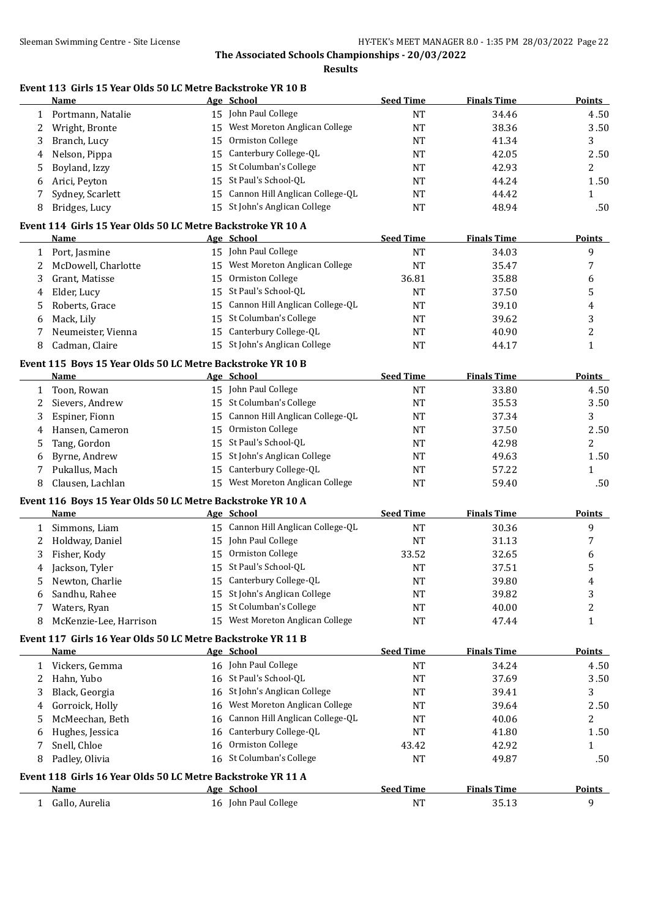**Results**

## **Event 113 Girls 15 Year Olds 50 LC Metre Backstroke YR 10 B**

|              | Name                                                        |    | Age School                         | <b>Seed Time</b> | <b>Finals Time</b> | <b>Points</b>  |
|--------------|-------------------------------------------------------------|----|------------------------------------|------------------|--------------------|----------------|
| $\mathbf{1}$ | Portmann, Natalie                                           |    | 15 John Paul College               | <b>NT</b>        | 34.46              | 4.50           |
| 2            | Wright, Bronte                                              | 15 | West Moreton Anglican College      | <b>NT</b>        | 38.36              | 3.50           |
| 3            | Branch, Lucy                                                | 15 | Ormiston College                   | NT               | 41.34              | 3              |
| 4            | Nelson, Pippa                                               | 15 | Canterbury College-QL              | <b>NT</b>        | 42.05              | 2.50           |
| 5            | Boyland, Izzy                                               | 15 | St Columban's College              | <b>NT</b>        | 42.93              | 2              |
| 6            | Arici, Peyton                                               | 15 | St Paul's School-QL                | <b>NT</b>        | 44.24              | 1.50           |
| 7            | Sydney, Scarlett                                            | 15 | Cannon Hill Anglican College-QL    | <b>NT</b>        | 44.42              | $\mathbf{1}$   |
| 8            | Bridges, Lucy                                               |    | 15 St John's Anglican College      | <b>NT</b>        | 48.94              | .50            |
|              |                                                             |    |                                    |                  |                    |                |
|              | Event 114 Girls 15 Year Olds 50 LC Metre Backstroke YR 10 A |    |                                    |                  |                    |                |
|              | Name                                                        |    | Age School                         | <b>Seed Time</b> | <b>Finals Time</b> | <b>Points</b>  |
|              | 1 Port, Jasmine                                             |    | 15 John Paul College               | <b>NT</b>        | 34.03              | 9              |
| 2            | McDowell, Charlotte                                         |    | 15 West Moreton Anglican College   | <b>NT</b>        | 35.47              | 7              |
| 3            | Grant, Matisse                                              |    | 15 Ormiston College                | 36.81            | 35.88              | 6              |
| 4            | Elder, Lucy                                                 | 15 | St Paul's School-QL                | <b>NT</b>        | 37.50              | 5              |
| 5            | Roberts, Grace                                              |    | 15 Cannon Hill Anglican College-QL | <b>NT</b>        | 39.10              | 4              |
| 6            | Mack, Lily                                                  | 15 | St Columban's College              | <b>NT</b>        | 39.62              | 3              |
| 7            | Neumeister, Vienna                                          |    | 15 Canterbury College-QL           | <b>NT</b>        | 40.90              | 2              |
| 8            | Cadman, Claire                                              |    | 15 St John's Anglican College      | <b>NT</b>        | 44.17              | $\mathbf{1}$   |
|              | Event 115 Boys 15 Year Olds 50 LC Metre Backstroke YR 10 B  |    |                                    |                  |                    |                |
|              | <b>Name</b>                                                 |    | Age School                         | <b>Seed Time</b> | <b>Finals Time</b> | Points         |
| $\mathbf{1}$ | Toon, Rowan                                                 |    | 15 John Paul College               | <b>NT</b>        | 33.80              | 4.50           |
| 2            | Sievers, Andrew                                             |    | 15 St Columban's College           | <b>NT</b>        | 35.53              | 3.50           |
| 3            | Espiner, Fionn                                              | 15 | Cannon Hill Anglican College-QL    | NT               | 37.34              | 3              |
| 4            | Hansen, Cameron                                             | 15 | Ormiston College                   | NT               | 37.50              | 2.50           |
| 5            | Tang, Gordon                                                |    | 15 St Paul's School-QL             | <b>NT</b>        | 42.98              | 2              |
| 6            | Byrne, Andrew                                               | 15 | St John's Anglican College         | <b>NT</b>        | 49.63              | 1.50           |
| 7            | Pukallus, Mach                                              | 15 | Canterbury College-QL              | <b>NT</b>        | 57.22              | 1              |
| 8            | Clausen, Lachlan                                            |    | 15 West Moreton Anglican College   | <b>NT</b>        | 59.40              | .50            |
|              |                                                             |    |                                    |                  |                    |                |
|              | Event 116 Boys 15 Year Olds 50 LC Metre Backstroke YR 10 A  |    |                                    |                  |                    |                |
|              | <b>Name</b>                                                 |    | Age School                         | <b>Seed Time</b> | <b>Finals Time</b> | <b>Points</b>  |
|              | 1 Simmons, Liam                                             |    | 15 Cannon Hill Anglican College-QL | NT               | 30.36              | 9              |
| 2            | Holdway, Daniel                                             |    | 15 John Paul College               | NT               | 31.13              | 7              |
| 3            | Fisher, Kody                                                |    | 15 Ormiston College                | 33.52            | 32.65              | 6              |
| 4            | Jackson, Tyler                                              |    | 15 St Paul's School-QL             | <b>NT</b>        | 37.51              | 5              |
| 5            | Newton, Charlie                                             |    | 15 Canterbury College-QL           | <b>NT</b>        | 39.80              | 4              |
| 6            | Sandhu, Rahee                                               |    | 15 St John's Anglican College      | NT               | 39.82              | 3              |
| 7            | Waters, Ryan                                                | 15 | St Columban's College              | <b>NT</b>        | 40.00              | $\overline{c}$ |
| 8            | McKenzie-Lee, Harrison                                      |    | 15 West Moreton Anglican College   | NT               | 47.44              | $\mathbf{1}$   |
|              | Event 117 Girls 16 Year Olds 50 LC Metre Backstroke YR 11 B |    |                                    |                  |                    |                |
|              | <b>Name</b>                                                 |    | Age School                         | <b>Seed Time</b> | <b>Finals Time</b> | <b>Points</b>  |
|              | 1 Vickers, Gemma                                            |    | 16 John Paul College               | NT               | 34.24              | 4.50           |
| 2            | Hahn, Yubo                                                  |    | 16 St Paul's School-QL             | NT               | 37.69              | 3.50           |
| 3            | Black, Georgia                                              |    | 16 St John's Anglican College      | NT               | 39.41              | 3              |
| 4            | Gorroick, Holly                                             |    | 16 West Moreton Anglican College   | <b>NT</b>        | 39.64              | 2.50           |
| 5            | McMeechan, Beth                                             |    | 16 Cannon Hill Anglican College-QL | <b>NT</b>        | 40.06              | 2              |
| 6            | Hughes, Jessica                                             |    | 16 Canterbury College-QL           | NT               | 41.80              | 1.50           |
| 7            | Snell, Chloe                                                |    | 16 Ormiston College                | 43.42            | 42.92              | 1              |
| 8            | Padley, Olivia                                              |    | 16 St Columban's College           | <b>NT</b>        | 49.87              | .50            |
|              |                                                             |    |                                    |                  |                    |                |
|              | Event 118 Girls 16 Year Olds 50 LC Metre Backstroke YR 11 A |    |                                    |                  |                    |                |
|              | Name                                                        |    | Age School                         | <b>Seed Time</b> | <b>Finals Time</b> | <b>Points</b>  |
|              | 1 Gallo, Aurelia                                            |    | 16 John Paul College               | NT               | 35.13              | 9              |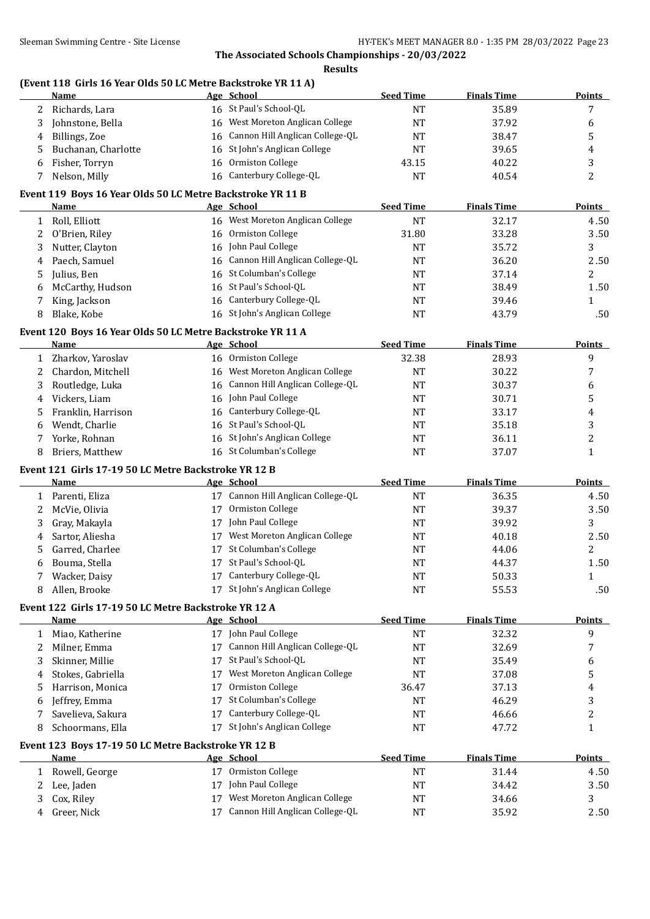**Results**

#### **(Event 118 Girls 16 Year Olds 50 LC Metre Backstroke YR 11 A)**

|              | <b>Name</b>                                                         |    | Age School                         | <b>Seed Time</b> | <b>Finals Time</b> | <b>Points</b> |
|--------------|---------------------------------------------------------------------|----|------------------------------------|------------------|--------------------|---------------|
| 2            | Richards, Lara                                                      |    | 16 St Paul's School-QL             | <b>NT</b>        | 35.89              | 7             |
| 3            | Johnstone, Bella                                                    | 16 | West Moreton Anglican College      | <b>NT</b>        | 37.92              | 6             |
| 4            | Billings, Zoe                                                       | 16 | Cannon Hill Anglican College-QL    | <b>NT</b>        | 38.47              | 5             |
| 5            | Buchanan, Charlotte                                                 | 16 | St John's Anglican College         | NT               | 39.65              | 4             |
| 6            | Fisher, Torryn                                                      | 16 | Ormiston College                   | 43.15            | 40.22              | 3             |
| 7            | Nelson, Milly                                                       |    | 16 Canterbury College-QL           | <b>NT</b>        | 40.54              | 2             |
|              | Event 119 Boys 16 Year Olds 50 LC Metre Backstroke YR 11 B          |    |                                    |                  |                    |               |
|              | Name                                                                |    | Age School                         | <b>Seed Time</b> | <b>Finals Time</b> | <b>Points</b> |
| $\mathbf{1}$ | Roll, Elliott                                                       |    | 16 West Moreton Anglican College   | <b>NT</b>        | 32.17              | 4.50          |
| 2            | O'Brien, Riley                                                      | 16 | Ormiston College                   | 31.80            | 33.28              | 3.50          |
| 3            | Nutter, Clayton                                                     | 16 | John Paul College                  | <b>NT</b>        | 35.72              | 3             |
| 4            | Paech, Samuel                                                       | 16 | Cannon Hill Anglican College-QL    | <b>NT</b>        | 36.20              | 2.50          |
| 5            | Julius, Ben                                                         |    | 16 St Columban's College           | NT               | 37.14              | 2             |
| 6            | McCarthy, Hudson                                                    |    | 16 St Paul's School-QL             | NT               | 38.49              | 1.50          |
| 7            | King, Jackson                                                       | 16 | Canterbury College-QL              | NT               | 39.46              | 1             |
| 8            | Blake, Kobe                                                         |    | 16 St John's Anglican College      | NT               | 43.79              | .50           |
|              | Event 120 Boys 16 Year Olds 50 LC Metre Backstroke YR 11 A          |    |                                    |                  |                    |               |
|              | Name                                                                |    | Age School                         | <b>Seed Time</b> | <b>Finals Time</b> | <b>Points</b> |
| 1            | Zharkov, Yaroslav                                                   |    | 16 Ormiston College                | 32.38            | 28.93              | 9             |
| 2            | Chardon, Mitchell                                                   | 16 | West Moreton Anglican College      | <b>NT</b>        | 30.22              | 7             |
| 3            | Routledge, Luka                                                     | 16 | Cannon Hill Anglican College-QL    | <b>NT</b>        | 30.37              | 6             |
| 4            | Vickers, Liam                                                       | 16 | John Paul College                  | <b>NT</b>        | 30.71              | 5             |
| 5            | Franklin, Harrison                                                  | 16 | Canterbury College-QL              | <b>NT</b>        | 33.17              | 4             |
| 6            | Wendt, Charlie                                                      |    | 16 St Paul's School-QL             | NT               | 35.18              | 3             |
| 7            | Yorke, Rohnan                                                       |    | 16 St John's Anglican College      | NT               | 36.11              | 2             |
| 8            | Briers, Matthew                                                     |    | 16 St Columban's College           | NT               | 37.07              | $\mathbf{1}$  |
|              |                                                                     |    |                                    |                  |                    |               |
|              | Event 121 Girls 17-19 50 LC Metre Backstroke YR 12 B<br><b>Name</b> |    | Age School                         | <b>Seed Time</b> | <b>Finals Time</b> | <b>Points</b> |
|              | 1 Parenti, Eliza                                                    |    | 17 Cannon Hill Anglican College-QL | <b>NT</b>        | 36.35              | 4.50          |
| 2            | McVie, Olivia                                                       | 17 | Ormiston College                   | <b>NT</b>        | 39.37              | 3.50          |
| 3            | Gray, Makayla                                                       | 17 | John Paul College                  | <b>NT</b>        | 39.92              | 3             |
|              | Sartor, Aliesha                                                     | 17 | West Moreton Anglican College      | NT               | 40.18              | 2.50          |
| 4            | Garred, Charlee                                                     |    | 17 St Columban's College           | NT               | 44.06              | 2             |
| 5            | Bouma, Stella                                                       |    | 17 St Paul's School-QL             |                  |                    | 1.50          |
| 6            | Wacker, Daisy                                                       |    | 17 Canterbury College-QL           | <b>NT</b><br>NT  | 44.37<br>50.33     |               |
| 7<br>8.      | Allen, Brooke                                                       |    | 17 St John's Anglican College      | <b>NT</b>        | 55.53              | 1<br>.50      |
|              |                                                                     |    |                                    |                  |                    |               |
|              | Event 122 Girls 17-19 50 LC Metre Backstroke YR 12 A                |    |                                    |                  |                    |               |
|              | <u>Name</u>                                                         |    | Age School<br>17 John Paul College | <b>Seed Time</b> | <b>Finals Time</b> | <b>Points</b> |
| 1            | Miao, Katherine                                                     |    |                                    | <b>NT</b>        | 32.32              | 9             |
| 2            | Milner, Emma                                                        |    | 17 Cannon Hill Anglican College-QL | <b>NT</b>        | 32.69              | 7             |
| 3            | Skinner, Millie                                                     |    | 17 St Paul's School-QL             | <b>NT</b>        | 35.49              | 6             |
| 4            | Stokes, Gabriella                                                   | 17 | West Moreton Anglican College      | NT               | 37.08              | 5             |
| 5            | Harrison, Monica                                                    | 17 | Ormiston College                   | 36.47            | 37.13              | 4             |
| 6            | Jeffrey, Emma                                                       | 17 | St Columban's College              | NT               | 46.29              | 3             |
| 7            | Savelieva, Sakura                                                   | 17 | Canterbury College-QL              | NT               | 46.66              | 2             |
| 8            | Schoormans, Ella                                                    |    | 17 St John's Anglican College      | NT               | 47.72              | 1             |
|              | Event 123 Boys 17-19 50 LC Metre Backstroke YR 12 B                 |    |                                    |                  |                    |               |
|              | Name                                                                |    | Age School                         | <b>Seed Time</b> | <b>Finals Time</b> | <b>Points</b> |
| 1            | Rowell, George                                                      |    | 17 Ormiston College                | <b>NT</b>        | 31.44              | 4.50          |
| 2            | Lee, Jaden                                                          | 17 | John Paul College                  | <b>NT</b>        | 34.42              | 3.50          |
| 3            | Cox, Riley                                                          | 17 | West Moreton Anglican College      | NT               | 34.66              | 3             |
| 4            | Greer, Nick                                                         | 17 | Cannon Hill Anglican College-QL    | NT               | 35.92              | 2.50          |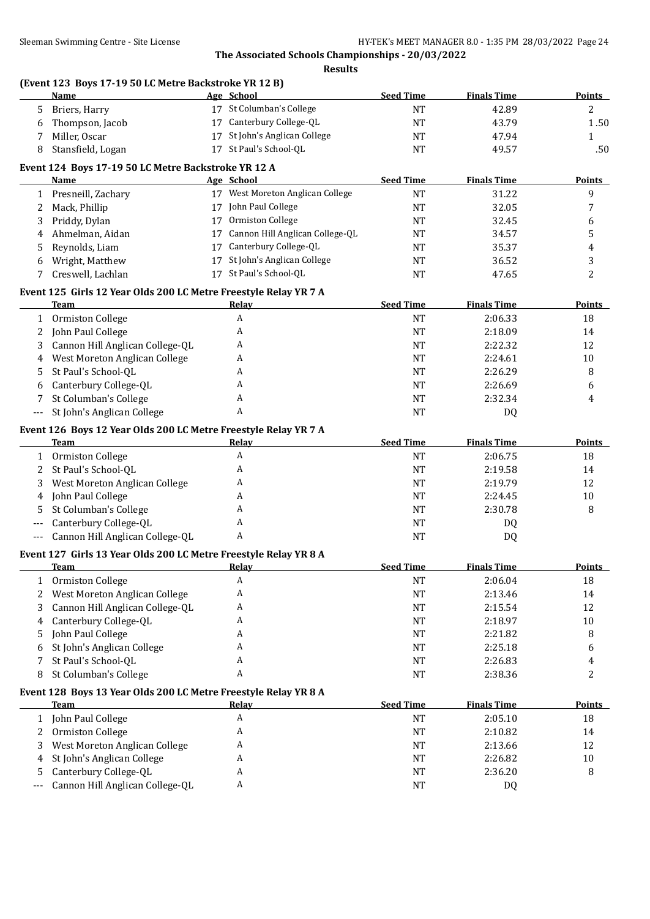**Results**

## **(Event 123 Boys 17-19 50 LC Metre Backstroke YR 12 B)**

|                | <b>Name</b>                                                      | Age School                         | <b>Seed Time</b> | <b>Finals Time</b> | Points        |
|----------------|------------------------------------------------------------------|------------------------------------|------------------|--------------------|---------------|
| 5              | Briers, Harry                                                    | 17 St Columban's College           | <b>NT</b>        | 42.89              | 2             |
| 6              | Thompson, Jacob                                                  | 17 Canterbury College-QL           | <b>NT</b>        | 43.79              | 1.50          |
| 7              | Miller, Oscar                                                    | 17 St John's Anglican College      | <b>NT</b>        | 47.94              | 1             |
| 8              | Stansfield, Logan                                                | 17 St Paul's School-QL             | <b>NT</b>        | 49.57              | .50           |
|                | Event 124 Boys 17-19 50 LC Metre Backstroke YR 12 A              |                                    |                  |                    |               |
|                | Name                                                             | Age School                         | <b>Seed Time</b> | <b>Finals Time</b> | <b>Points</b> |
|                | 1 Presneill, Zachary                                             | 17 West Moreton Anglican College   | <b>NT</b>        | 31.22              | 9             |
| 2              | Mack, Phillip                                                    | 17 John Paul College               | <b>NT</b>        | 32.05              | 7             |
| 3              | Priddy, Dylan                                                    | 17 Ormiston College                | <b>NT</b>        | 32.45              | 6             |
| 4              | Ahmelman, Aidan                                                  | 17 Cannon Hill Anglican College-QL | <b>NT</b>        | 34.57              | 5             |
| 5              | Reynolds, Liam                                                   | 17 Canterbury College-QL           | <b>NT</b>        | 35.37              | 4             |
| 6              | Wright, Matthew                                                  | 17 St John's Anglican College      | <b>NT</b>        | 36.52              | 3             |
| 7              | Creswell, Lachlan                                                | 17 St Paul's School-QL             | <b>NT</b>        | 47.65              | 2             |
|                | Event 125 Girls 12 Year Olds 200 LC Metre Freestyle Relay YR 7 A |                                    |                  |                    |               |
|                | <b>Team</b>                                                      | Relay                              | <b>Seed Time</b> | <b>Finals Time</b> | <b>Points</b> |
|                | 1 Ormiston College                                               | $\boldsymbol{A}$                   | <b>NT</b>        | 2:06.33            | 18            |
| 2              | John Paul College                                                | A                                  | <b>NT</b>        | 2:18.09            | 14            |
| 3              | Cannon Hill Anglican College-QL                                  | A                                  | <b>NT</b>        | 2:22.32            | 12            |
| 4              | West Moreton Anglican College                                    | A                                  | <b>NT</b>        | 2:24.61            | $10\,$        |
| 5              | St Paul's School-QL                                              | A                                  | <b>NT</b>        | 2:26.29            | 8             |
| 6              | Canterbury College-QL                                            | A                                  | <b>NT</b>        | 2:26.69            | 6             |
| 7              | St Columban's College                                            | A                                  | <b>NT</b>        | 2:32.34            | 4             |
| $\overline{a}$ | St John's Anglican College                                       | A                                  | <b>NT</b>        | DQ                 |               |
|                | Event 126 Boys 12 Year Olds 200 LC Metre Freestyle Relay YR 7 A  |                                    |                  |                    |               |
|                | Team                                                             | Relay                              | <b>Seed Time</b> | <b>Finals Time</b> | <b>Points</b> |
|                | 1 Ormiston College                                               | A                                  | <b>NT</b>        | 2:06.75            | 18            |
| 2              | St Paul's School-QL                                              | A                                  | <b>NT</b>        | 2:19.58            | 14            |
| 3              | West Moreton Anglican College                                    | A                                  | <b>NT</b>        | 2:19.79            | 12            |
| 4              | John Paul College                                                | A                                  | <b>NT</b>        | 2:24.45            | $10\,$        |
| 5              | St Columban's College                                            | A                                  | <b>NT</b>        | 2:30.78            | 8             |
|                | Canterbury College-QL                                            | A                                  | <b>NT</b>        | DQ                 |               |
| $---$          | Cannon Hill Anglican College-QL                                  | A                                  | <b>NT</b>        | DQ                 |               |
|                | Event 127 Girls 13 Year Olds 200 LC Metre Freestyle Relay YR 8 A |                                    |                  |                    |               |
|                | <b>Team</b>                                                      | <b>Relay</b>                       | <b>Seed Time</b> | <b>Finals Time</b> | <b>Points</b> |
|                | 1 Ormiston College                                               | A                                  | $\rm{NT}$        | 2:06.04            | 18            |
| 2              | West Moreton Anglican College                                    | A                                  | NT               | 2:13.46            | 14            |
| 3              | Cannon Hill Anglican College-QL                                  | A                                  | <b>NT</b>        | 2:15.54            | 12            |
| 4              | Canterbury College-QL                                            | A                                  | <b>NT</b>        | 2:18.97            | $10\,$        |
| 5              | John Paul College                                                | A                                  | <b>NT</b>        | 2:21.82            | 8             |
| 6              | St John's Anglican College                                       | A                                  | <b>NT</b>        | 2:25.18            | 6             |
| 7              | St Paul's School-QL                                              | A                                  | <b>NT</b>        | 2:26.83            | 4             |
| 8              | St Columban's College                                            | A                                  | <b>NT</b>        | 2:38.36            | 2             |
|                | Event 128 Boys 13 Year Olds 200 LC Metre Freestyle Relay YR 8 A  |                                    |                  |                    |               |
|                | <b>Team</b>                                                      | Relay                              | <b>Seed Time</b> | <b>Finals Time</b> | <b>Points</b> |
|                | 1 John Paul College                                              | A                                  | <b>NT</b>        | 2:05.10            | 18            |
| 2              | Ormiston College                                                 | A                                  | <b>NT</b>        | 2:10.82            | 14            |
| 3              | West Moreton Anglican College                                    | A                                  | <b>NT</b>        | 2:13.66            | 12            |
| 4              | St John's Anglican College                                       | A                                  | <b>NT</b>        | 2:26.82            | $10\,$        |
| 5              | Canterbury College-QL                                            | A                                  | <b>NT</b>        | 2:36.20            | 8             |
|                | Cannon Hill Anglican College-QL                                  | A                                  | <b>NT</b>        | DQ                 |               |
|                |                                                                  |                                    |                  |                    |               |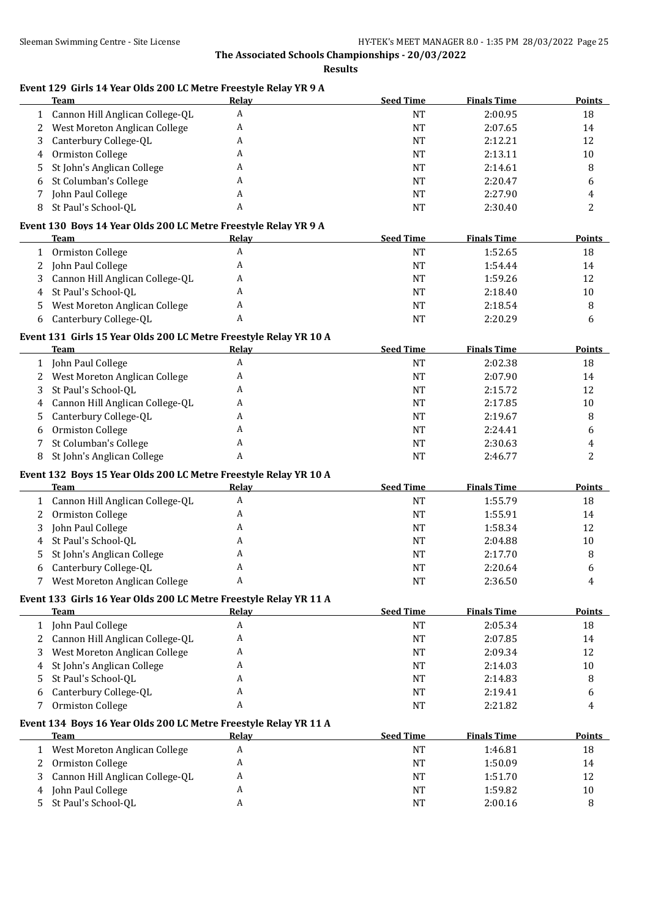**Results**

| A<br>Cannon Hill Anglican College-QL<br><b>NT</b><br>2:00.95<br>18<br>$\mathbf{1}$<br>West Moreton Anglican College<br><b>NT</b><br>14<br>2<br>A<br>2:07.65<br>Canterbury College-QL<br>A<br><b>NT</b><br>2:12.21<br>12<br>3<br>Ormiston College<br><b>NT</b><br>10<br>A<br>2:13.11<br>4<br>St John's Anglican College<br>A<br><b>NT</b><br>8<br>2:14.61<br>5<br>St Columban's College<br><b>NT</b><br>2:20.47<br>A<br>6<br>6<br>A<br>John Paul College<br><b>NT</b><br>2:27.90<br>4<br>7<br>St Paul's School-QL<br>2<br>8<br>A<br>NT<br>2:30.40<br>Event 130 Boys 14 Year Olds 200 LC Metre Freestyle Relay YR 9 A<br><b>Seed Time</b><br><b>Finals Time</b><br><b>Points</b><br>Team<br><b>Relay</b><br>A<br>Ormiston College<br><b>NT</b><br>1:52.65<br>18<br>$\mathbf{1}$<br>John Paul College<br>$\rm{NT}$<br>14<br>A<br>1:54.44<br>2<br>Cannon Hill Anglican College-QL<br>A<br>12<br><b>NT</b><br>1:59.26<br>3<br>St Paul's School-QL<br>A<br>$\rm{NT}$<br>2:18.40<br>10<br>4<br>West Moreton Anglican College<br>A<br>$\rm{NT}$<br>8<br>2:18.54<br>5<br>A<br>Canterbury College-QL<br>NT<br>2:20.29<br>6<br>6<br>Event 131 Girls 15 Year Olds 200 LC Metre Freestyle Relay YR 10 A<br><b>Team</b><br><b>Seed Time</b><br><b>Finals Time</b><br><b>Points</b><br>Relay<br>John Paul College<br>A<br><b>NT</b><br>2:02.38<br>18<br>$\mathbf{1}$<br>West Moreton Anglican College<br>A<br><b>NT</b><br>2:07.90<br>14<br>2<br>St Paul's School-QL<br>A<br>12<br>3<br><b>NT</b><br>2:15.72<br>Cannon Hill Anglican College-QL<br>A<br>10<br><b>NT</b><br>2:17.85<br>4<br>Canterbury College-QL<br>8<br>A<br><b>NT</b><br>2:19.67<br>5.<br>Ormiston College<br>A<br><b>NT</b><br>2:24.41<br>6<br>6<br>St Columban's College<br><b>NT</b><br>7<br>A<br>2:30.63<br>4<br>A<br>St John's Anglican College<br><b>NT</b><br>2<br>2:46.77<br>8<br>Event 132 Boys 15 Year Olds 200 LC Metre Freestyle Relay YR 10 A<br><b>Seed Time</b><br><b>Finals Time</b><br><b>Points</b><br>Relay<br>Team<br>A<br>1 Cannon Hill Anglican College-QL<br><b>NT</b><br>18<br>1:55.79<br>Ormiston College<br><b>NT</b><br>14<br>2<br>A<br>1:55.91<br>John Paul College<br>A<br><b>NT</b><br>1:58.34<br>12<br>3<br>St Paul's School-QL<br><b>NT</b><br>10<br>A<br>2:04.88<br>4<br>St John's Anglican College<br>A<br><b>NT</b><br>8<br>2:17.70<br>5<br><b>NT</b><br>6<br>Canterbury College-QL<br>A<br>2:20.64<br>6<br>A<br><b>NT</b><br>7 West Moreton Anglican College<br>2:36.50<br>4<br>Event 133 Girls 16 Year Olds 200 LC Metre Freestyle Relay YR 11 A<br><b>Seed Time</b><br><b>Finals Time</b><br>Team<br><b>Relay</b><br>John Paul College<br>A<br>$\rm{NT}$<br>2:05.34<br>18<br>$\mathbf{1}$<br>Cannon Hill Anglican College-QL<br>A<br>NT<br>2:07.85<br>14<br>2<br>West Moreton Anglican College<br>12<br>A<br>NT<br>2:09.34<br>3<br>St John's Anglican College<br>A<br>$10\,$<br>NT<br>2:14.03<br>4<br>St Paul's School-QL<br>A<br>NT<br>2:14.83<br>8<br>5<br>Canterbury College-QL<br>A<br>NT<br>2:19.41<br>6<br>6<br>Ormiston College<br>A<br>NT<br>2:21.82<br>7<br>4<br>Event 134 Boys 16 Year Olds 200 LC Metre Freestyle Relay YR 11 A<br><b>Team</b><br><b>Seed Time</b><br><b>Finals Time</b><br><b>Relay</b><br>West Moreton Anglican College<br>A<br>$\rm{NT}$<br>1:46.81<br>18<br>1<br>Ormiston College<br>A<br>NT<br>1:50.09<br>14<br>2<br>Cannon Hill Anglican College-QL<br>12<br>A<br>NT<br>1:51.70<br>3<br>John Paul College<br>A<br>1:59.82<br>NT<br>10<br>4<br>St Paul's School-QL<br>A<br>NT<br>2:00.16<br>$\, 8$<br>5. | Event 129 Girls 14 Year Olds 200 LC Metre Freestyle Relay YR 9 A<br><b>Team</b> | Relay | <b>Seed Time</b> | <b>Finals Time</b> | <b>Points</b> |
|-----------------------------------------------------------------------------------------------------------------------------------------------------------------------------------------------------------------------------------------------------------------------------------------------------------------------------------------------------------------------------------------------------------------------------------------------------------------------------------------------------------------------------------------------------------------------------------------------------------------------------------------------------------------------------------------------------------------------------------------------------------------------------------------------------------------------------------------------------------------------------------------------------------------------------------------------------------------------------------------------------------------------------------------------------------------------------------------------------------------------------------------------------------------------------------------------------------------------------------------------------------------------------------------------------------------------------------------------------------------------------------------------------------------------------------------------------------------------------------------------------------------------------------------------------------------------------------------------------------------------------------------------------------------------------------------------------------------------------------------------------------------------------------------------------------------------------------------------------------------------------------------------------------------------------------------------------------------------------------------------------------------------------------------------------------------------------------------------------------------------------------------------------------------------------------------------------------------------------------------------------------------------------------------------------------------------------------------------------------------------------------------------------------------------------------------------------------------------------------------------------------------------------------------------------------------------------------------------------------------------------------------------------------------------------------------------------------------------------------------------------------------------------------------------------------------------------------------------------------------------------------------------------------------------------------------------------------------------------------------------------------------------------------------------------------------------------------------------------------------------------------------------------------------------------------------------------------------------------------------------------------------------------------------------------------------------------------------------------------------------------------------------------------------------------------------------------------------------------------------------------------------------------------|---------------------------------------------------------------------------------|-------|------------------|--------------------|---------------|
|                                                                                                                                                                                                                                                                                                                                                                                                                                                                                                                                                                                                                                                                                                                                                                                                                                                                                                                                                                                                                                                                                                                                                                                                                                                                                                                                                                                                                                                                                                                                                                                                                                                                                                                                                                                                                                                                                                                                                                                                                                                                                                                                                                                                                                                                                                                                                                                                                                                                                                                                                                                                                                                                                                                                                                                                                                                                                                                                                                                                                                                                                                                                                                                                                                                                                                                                                                                                                                                                                                                                   |                                                                                 |       |                  |                    |               |
|                                                                                                                                                                                                                                                                                                                                                                                                                                                                                                                                                                                                                                                                                                                                                                                                                                                                                                                                                                                                                                                                                                                                                                                                                                                                                                                                                                                                                                                                                                                                                                                                                                                                                                                                                                                                                                                                                                                                                                                                                                                                                                                                                                                                                                                                                                                                                                                                                                                                                                                                                                                                                                                                                                                                                                                                                                                                                                                                                                                                                                                                                                                                                                                                                                                                                                                                                                                                                                                                                                                                   |                                                                                 |       |                  |                    |               |
|                                                                                                                                                                                                                                                                                                                                                                                                                                                                                                                                                                                                                                                                                                                                                                                                                                                                                                                                                                                                                                                                                                                                                                                                                                                                                                                                                                                                                                                                                                                                                                                                                                                                                                                                                                                                                                                                                                                                                                                                                                                                                                                                                                                                                                                                                                                                                                                                                                                                                                                                                                                                                                                                                                                                                                                                                                                                                                                                                                                                                                                                                                                                                                                                                                                                                                                                                                                                                                                                                                                                   |                                                                                 |       |                  |                    |               |
|                                                                                                                                                                                                                                                                                                                                                                                                                                                                                                                                                                                                                                                                                                                                                                                                                                                                                                                                                                                                                                                                                                                                                                                                                                                                                                                                                                                                                                                                                                                                                                                                                                                                                                                                                                                                                                                                                                                                                                                                                                                                                                                                                                                                                                                                                                                                                                                                                                                                                                                                                                                                                                                                                                                                                                                                                                                                                                                                                                                                                                                                                                                                                                                                                                                                                                                                                                                                                                                                                                                                   |                                                                                 |       |                  |                    |               |
|                                                                                                                                                                                                                                                                                                                                                                                                                                                                                                                                                                                                                                                                                                                                                                                                                                                                                                                                                                                                                                                                                                                                                                                                                                                                                                                                                                                                                                                                                                                                                                                                                                                                                                                                                                                                                                                                                                                                                                                                                                                                                                                                                                                                                                                                                                                                                                                                                                                                                                                                                                                                                                                                                                                                                                                                                                                                                                                                                                                                                                                                                                                                                                                                                                                                                                                                                                                                                                                                                                                                   |                                                                                 |       |                  |                    |               |
|                                                                                                                                                                                                                                                                                                                                                                                                                                                                                                                                                                                                                                                                                                                                                                                                                                                                                                                                                                                                                                                                                                                                                                                                                                                                                                                                                                                                                                                                                                                                                                                                                                                                                                                                                                                                                                                                                                                                                                                                                                                                                                                                                                                                                                                                                                                                                                                                                                                                                                                                                                                                                                                                                                                                                                                                                                                                                                                                                                                                                                                                                                                                                                                                                                                                                                                                                                                                                                                                                                                                   |                                                                                 |       |                  |                    |               |
|                                                                                                                                                                                                                                                                                                                                                                                                                                                                                                                                                                                                                                                                                                                                                                                                                                                                                                                                                                                                                                                                                                                                                                                                                                                                                                                                                                                                                                                                                                                                                                                                                                                                                                                                                                                                                                                                                                                                                                                                                                                                                                                                                                                                                                                                                                                                                                                                                                                                                                                                                                                                                                                                                                                                                                                                                                                                                                                                                                                                                                                                                                                                                                                                                                                                                                                                                                                                                                                                                                                                   |                                                                                 |       |                  |                    |               |
|                                                                                                                                                                                                                                                                                                                                                                                                                                                                                                                                                                                                                                                                                                                                                                                                                                                                                                                                                                                                                                                                                                                                                                                                                                                                                                                                                                                                                                                                                                                                                                                                                                                                                                                                                                                                                                                                                                                                                                                                                                                                                                                                                                                                                                                                                                                                                                                                                                                                                                                                                                                                                                                                                                                                                                                                                                                                                                                                                                                                                                                                                                                                                                                                                                                                                                                                                                                                                                                                                                                                   |                                                                                 |       |                  |                    |               |
|                                                                                                                                                                                                                                                                                                                                                                                                                                                                                                                                                                                                                                                                                                                                                                                                                                                                                                                                                                                                                                                                                                                                                                                                                                                                                                                                                                                                                                                                                                                                                                                                                                                                                                                                                                                                                                                                                                                                                                                                                                                                                                                                                                                                                                                                                                                                                                                                                                                                                                                                                                                                                                                                                                                                                                                                                                                                                                                                                                                                                                                                                                                                                                                                                                                                                                                                                                                                                                                                                                                                   |                                                                                 |       |                  |                    |               |
|                                                                                                                                                                                                                                                                                                                                                                                                                                                                                                                                                                                                                                                                                                                                                                                                                                                                                                                                                                                                                                                                                                                                                                                                                                                                                                                                                                                                                                                                                                                                                                                                                                                                                                                                                                                                                                                                                                                                                                                                                                                                                                                                                                                                                                                                                                                                                                                                                                                                                                                                                                                                                                                                                                                                                                                                                                                                                                                                                                                                                                                                                                                                                                                                                                                                                                                                                                                                                                                                                                                                   |                                                                                 |       |                  |                    |               |
|                                                                                                                                                                                                                                                                                                                                                                                                                                                                                                                                                                                                                                                                                                                                                                                                                                                                                                                                                                                                                                                                                                                                                                                                                                                                                                                                                                                                                                                                                                                                                                                                                                                                                                                                                                                                                                                                                                                                                                                                                                                                                                                                                                                                                                                                                                                                                                                                                                                                                                                                                                                                                                                                                                                                                                                                                                                                                                                                                                                                                                                                                                                                                                                                                                                                                                                                                                                                                                                                                                                                   |                                                                                 |       |                  |                    |               |
|                                                                                                                                                                                                                                                                                                                                                                                                                                                                                                                                                                                                                                                                                                                                                                                                                                                                                                                                                                                                                                                                                                                                                                                                                                                                                                                                                                                                                                                                                                                                                                                                                                                                                                                                                                                                                                                                                                                                                                                                                                                                                                                                                                                                                                                                                                                                                                                                                                                                                                                                                                                                                                                                                                                                                                                                                                                                                                                                                                                                                                                                                                                                                                                                                                                                                                                                                                                                                                                                                                                                   |                                                                                 |       |                  |                    |               |
|                                                                                                                                                                                                                                                                                                                                                                                                                                                                                                                                                                                                                                                                                                                                                                                                                                                                                                                                                                                                                                                                                                                                                                                                                                                                                                                                                                                                                                                                                                                                                                                                                                                                                                                                                                                                                                                                                                                                                                                                                                                                                                                                                                                                                                                                                                                                                                                                                                                                                                                                                                                                                                                                                                                                                                                                                                                                                                                                                                                                                                                                                                                                                                                                                                                                                                                                                                                                                                                                                                                                   |                                                                                 |       |                  |                    |               |
|                                                                                                                                                                                                                                                                                                                                                                                                                                                                                                                                                                                                                                                                                                                                                                                                                                                                                                                                                                                                                                                                                                                                                                                                                                                                                                                                                                                                                                                                                                                                                                                                                                                                                                                                                                                                                                                                                                                                                                                                                                                                                                                                                                                                                                                                                                                                                                                                                                                                                                                                                                                                                                                                                                                                                                                                                                                                                                                                                                                                                                                                                                                                                                                                                                                                                                                                                                                                                                                                                                                                   |                                                                                 |       |                  |                    |               |
|                                                                                                                                                                                                                                                                                                                                                                                                                                                                                                                                                                                                                                                                                                                                                                                                                                                                                                                                                                                                                                                                                                                                                                                                                                                                                                                                                                                                                                                                                                                                                                                                                                                                                                                                                                                                                                                                                                                                                                                                                                                                                                                                                                                                                                                                                                                                                                                                                                                                                                                                                                                                                                                                                                                                                                                                                                                                                                                                                                                                                                                                                                                                                                                                                                                                                                                                                                                                                                                                                                                                   |                                                                                 |       |                  |                    |               |
|                                                                                                                                                                                                                                                                                                                                                                                                                                                                                                                                                                                                                                                                                                                                                                                                                                                                                                                                                                                                                                                                                                                                                                                                                                                                                                                                                                                                                                                                                                                                                                                                                                                                                                                                                                                                                                                                                                                                                                                                                                                                                                                                                                                                                                                                                                                                                                                                                                                                                                                                                                                                                                                                                                                                                                                                                                                                                                                                                                                                                                                                                                                                                                                                                                                                                                                                                                                                                                                                                                                                   |                                                                                 |       |                  |                    |               |
|                                                                                                                                                                                                                                                                                                                                                                                                                                                                                                                                                                                                                                                                                                                                                                                                                                                                                                                                                                                                                                                                                                                                                                                                                                                                                                                                                                                                                                                                                                                                                                                                                                                                                                                                                                                                                                                                                                                                                                                                                                                                                                                                                                                                                                                                                                                                                                                                                                                                                                                                                                                                                                                                                                                                                                                                                                                                                                                                                                                                                                                                                                                                                                                                                                                                                                                                                                                                                                                                                                                                   |                                                                                 |       |                  |                    |               |
|                                                                                                                                                                                                                                                                                                                                                                                                                                                                                                                                                                                                                                                                                                                                                                                                                                                                                                                                                                                                                                                                                                                                                                                                                                                                                                                                                                                                                                                                                                                                                                                                                                                                                                                                                                                                                                                                                                                                                                                                                                                                                                                                                                                                                                                                                                                                                                                                                                                                                                                                                                                                                                                                                                                                                                                                                                                                                                                                                                                                                                                                                                                                                                                                                                                                                                                                                                                                                                                                                                                                   |                                                                                 |       |                  |                    |               |
|                                                                                                                                                                                                                                                                                                                                                                                                                                                                                                                                                                                                                                                                                                                                                                                                                                                                                                                                                                                                                                                                                                                                                                                                                                                                                                                                                                                                                                                                                                                                                                                                                                                                                                                                                                                                                                                                                                                                                                                                                                                                                                                                                                                                                                                                                                                                                                                                                                                                                                                                                                                                                                                                                                                                                                                                                                                                                                                                                                                                                                                                                                                                                                                                                                                                                                                                                                                                                                                                                                                                   |                                                                                 |       |                  |                    |               |
|                                                                                                                                                                                                                                                                                                                                                                                                                                                                                                                                                                                                                                                                                                                                                                                                                                                                                                                                                                                                                                                                                                                                                                                                                                                                                                                                                                                                                                                                                                                                                                                                                                                                                                                                                                                                                                                                                                                                                                                                                                                                                                                                                                                                                                                                                                                                                                                                                                                                                                                                                                                                                                                                                                                                                                                                                                                                                                                                                                                                                                                                                                                                                                                                                                                                                                                                                                                                                                                                                                                                   |                                                                                 |       |                  |                    |               |
|                                                                                                                                                                                                                                                                                                                                                                                                                                                                                                                                                                                                                                                                                                                                                                                                                                                                                                                                                                                                                                                                                                                                                                                                                                                                                                                                                                                                                                                                                                                                                                                                                                                                                                                                                                                                                                                                                                                                                                                                                                                                                                                                                                                                                                                                                                                                                                                                                                                                                                                                                                                                                                                                                                                                                                                                                                                                                                                                                                                                                                                                                                                                                                                                                                                                                                                                                                                                                                                                                                                                   |                                                                                 |       |                  |                    |               |
|                                                                                                                                                                                                                                                                                                                                                                                                                                                                                                                                                                                                                                                                                                                                                                                                                                                                                                                                                                                                                                                                                                                                                                                                                                                                                                                                                                                                                                                                                                                                                                                                                                                                                                                                                                                                                                                                                                                                                                                                                                                                                                                                                                                                                                                                                                                                                                                                                                                                                                                                                                                                                                                                                                                                                                                                                                                                                                                                                                                                                                                                                                                                                                                                                                                                                                                                                                                                                                                                                                                                   |                                                                                 |       |                  |                    |               |
|                                                                                                                                                                                                                                                                                                                                                                                                                                                                                                                                                                                                                                                                                                                                                                                                                                                                                                                                                                                                                                                                                                                                                                                                                                                                                                                                                                                                                                                                                                                                                                                                                                                                                                                                                                                                                                                                                                                                                                                                                                                                                                                                                                                                                                                                                                                                                                                                                                                                                                                                                                                                                                                                                                                                                                                                                                                                                                                                                                                                                                                                                                                                                                                                                                                                                                                                                                                                                                                                                                                                   |                                                                                 |       |                  |                    |               |
|                                                                                                                                                                                                                                                                                                                                                                                                                                                                                                                                                                                                                                                                                                                                                                                                                                                                                                                                                                                                                                                                                                                                                                                                                                                                                                                                                                                                                                                                                                                                                                                                                                                                                                                                                                                                                                                                                                                                                                                                                                                                                                                                                                                                                                                                                                                                                                                                                                                                                                                                                                                                                                                                                                                                                                                                                                                                                                                                                                                                                                                                                                                                                                                                                                                                                                                                                                                                                                                                                                                                   |                                                                                 |       |                  |                    |               |
|                                                                                                                                                                                                                                                                                                                                                                                                                                                                                                                                                                                                                                                                                                                                                                                                                                                                                                                                                                                                                                                                                                                                                                                                                                                                                                                                                                                                                                                                                                                                                                                                                                                                                                                                                                                                                                                                                                                                                                                                                                                                                                                                                                                                                                                                                                                                                                                                                                                                                                                                                                                                                                                                                                                                                                                                                                                                                                                                                                                                                                                                                                                                                                                                                                                                                                                                                                                                                                                                                                                                   |                                                                                 |       |                  |                    |               |
|                                                                                                                                                                                                                                                                                                                                                                                                                                                                                                                                                                                                                                                                                                                                                                                                                                                                                                                                                                                                                                                                                                                                                                                                                                                                                                                                                                                                                                                                                                                                                                                                                                                                                                                                                                                                                                                                                                                                                                                                                                                                                                                                                                                                                                                                                                                                                                                                                                                                                                                                                                                                                                                                                                                                                                                                                                                                                                                                                                                                                                                                                                                                                                                                                                                                                                                                                                                                                                                                                                                                   |                                                                                 |       |                  |                    |               |
|                                                                                                                                                                                                                                                                                                                                                                                                                                                                                                                                                                                                                                                                                                                                                                                                                                                                                                                                                                                                                                                                                                                                                                                                                                                                                                                                                                                                                                                                                                                                                                                                                                                                                                                                                                                                                                                                                                                                                                                                                                                                                                                                                                                                                                                                                                                                                                                                                                                                                                                                                                                                                                                                                                                                                                                                                                                                                                                                                                                                                                                                                                                                                                                                                                                                                                                                                                                                                                                                                                                                   |                                                                                 |       |                  |                    |               |
|                                                                                                                                                                                                                                                                                                                                                                                                                                                                                                                                                                                                                                                                                                                                                                                                                                                                                                                                                                                                                                                                                                                                                                                                                                                                                                                                                                                                                                                                                                                                                                                                                                                                                                                                                                                                                                                                                                                                                                                                                                                                                                                                                                                                                                                                                                                                                                                                                                                                                                                                                                                                                                                                                                                                                                                                                                                                                                                                                                                                                                                                                                                                                                                                                                                                                                                                                                                                                                                                                                                                   |                                                                                 |       |                  |                    |               |
|                                                                                                                                                                                                                                                                                                                                                                                                                                                                                                                                                                                                                                                                                                                                                                                                                                                                                                                                                                                                                                                                                                                                                                                                                                                                                                                                                                                                                                                                                                                                                                                                                                                                                                                                                                                                                                                                                                                                                                                                                                                                                                                                                                                                                                                                                                                                                                                                                                                                                                                                                                                                                                                                                                                                                                                                                                                                                                                                                                                                                                                                                                                                                                                                                                                                                                                                                                                                                                                                                                                                   |                                                                                 |       |                  |                    |               |
|                                                                                                                                                                                                                                                                                                                                                                                                                                                                                                                                                                                                                                                                                                                                                                                                                                                                                                                                                                                                                                                                                                                                                                                                                                                                                                                                                                                                                                                                                                                                                                                                                                                                                                                                                                                                                                                                                                                                                                                                                                                                                                                                                                                                                                                                                                                                                                                                                                                                                                                                                                                                                                                                                                                                                                                                                                                                                                                                                                                                                                                                                                                                                                                                                                                                                                                                                                                                                                                                                                                                   |                                                                                 |       |                  |                    |               |
|                                                                                                                                                                                                                                                                                                                                                                                                                                                                                                                                                                                                                                                                                                                                                                                                                                                                                                                                                                                                                                                                                                                                                                                                                                                                                                                                                                                                                                                                                                                                                                                                                                                                                                                                                                                                                                                                                                                                                                                                                                                                                                                                                                                                                                                                                                                                                                                                                                                                                                                                                                                                                                                                                                                                                                                                                                                                                                                                                                                                                                                                                                                                                                                                                                                                                                                                                                                                                                                                                                                                   |                                                                                 |       |                  |                    |               |
|                                                                                                                                                                                                                                                                                                                                                                                                                                                                                                                                                                                                                                                                                                                                                                                                                                                                                                                                                                                                                                                                                                                                                                                                                                                                                                                                                                                                                                                                                                                                                                                                                                                                                                                                                                                                                                                                                                                                                                                                                                                                                                                                                                                                                                                                                                                                                                                                                                                                                                                                                                                                                                                                                                                                                                                                                                                                                                                                                                                                                                                                                                                                                                                                                                                                                                                                                                                                                                                                                                                                   |                                                                                 |       |                  |                    |               |
|                                                                                                                                                                                                                                                                                                                                                                                                                                                                                                                                                                                                                                                                                                                                                                                                                                                                                                                                                                                                                                                                                                                                                                                                                                                                                                                                                                                                                                                                                                                                                                                                                                                                                                                                                                                                                                                                                                                                                                                                                                                                                                                                                                                                                                                                                                                                                                                                                                                                                                                                                                                                                                                                                                                                                                                                                                                                                                                                                                                                                                                                                                                                                                                                                                                                                                                                                                                                                                                                                                                                   |                                                                                 |       |                  |                    |               |
|                                                                                                                                                                                                                                                                                                                                                                                                                                                                                                                                                                                                                                                                                                                                                                                                                                                                                                                                                                                                                                                                                                                                                                                                                                                                                                                                                                                                                                                                                                                                                                                                                                                                                                                                                                                                                                                                                                                                                                                                                                                                                                                                                                                                                                                                                                                                                                                                                                                                                                                                                                                                                                                                                                                                                                                                                                                                                                                                                                                                                                                                                                                                                                                                                                                                                                                                                                                                                                                                                                                                   |                                                                                 |       |                  |                    |               |
|                                                                                                                                                                                                                                                                                                                                                                                                                                                                                                                                                                                                                                                                                                                                                                                                                                                                                                                                                                                                                                                                                                                                                                                                                                                                                                                                                                                                                                                                                                                                                                                                                                                                                                                                                                                                                                                                                                                                                                                                                                                                                                                                                                                                                                                                                                                                                                                                                                                                                                                                                                                                                                                                                                                                                                                                                                                                                                                                                                                                                                                                                                                                                                                                                                                                                                                                                                                                                                                                                                                                   |                                                                                 |       |                  |                    |               |
|                                                                                                                                                                                                                                                                                                                                                                                                                                                                                                                                                                                                                                                                                                                                                                                                                                                                                                                                                                                                                                                                                                                                                                                                                                                                                                                                                                                                                                                                                                                                                                                                                                                                                                                                                                                                                                                                                                                                                                                                                                                                                                                                                                                                                                                                                                                                                                                                                                                                                                                                                                                                                                                                                                                                                                                                                                                                                                                                                                                                                                                                                                                                                                                                                                                                                                                                                                                                                                                                                                                                   |                                                                                 |       |                  |                    |               |
|                                                                                                                                                                                                                                                                                                                                                                                                                                                                                                                                                                                                                                                                                                                                                                                                                                                                                                                                                                                                                                                                                                                                                                                                                                                                                                                                                                                                                                                                                                                                                                                                                                                                                                                                                                                                                                                                                                                                                                                                                                                                                                                                                                                                                                                                                                                                                                                                                                                                                                                                                                                                                                                                                                                                                                                                                                                                                                                                                                                                                                                                                                                                                                                                                                                                                                                                                                                                                                                                                                                                   |                                                                                 |       |                  |                    |               |
|                                                                                                                                                                                                                                                                                                                                                                                                                                                                                                                                                                                                                                                                                                                                                                                                                                                                                                                                                                                                                                                                                                                                                                                                                                                                                                                                                                                                                                                                                                                                                                                                                                                                                                                                                                                                                                                                                                                                                                                                                                                                                                                                                                                                                                                                                                                                                                                                                                                                                                                                                                                                                                                                                                                                                                                                                                                                                                                                                                                                                                                                                                                                                                                                                                                                                                                                                                                                                                                                                                                                   |                                                                                 |       |                  |                    | <b>Points</b> |
|                                                                                                                                                                                                                                                                                                                                                                                                                                                                                                                                                                                                                                                                                                                                                                                                                                                                                                                                                                                                                                                                                                                                                                                                                                                                                                                                                                                                                                                                                                                                                                                                                                                                                                                                                                                                                                                                                                                                                                                                                                                                                                                                                                                                                                                                                                                                                                                                                                                                                                                                                                                                                                                                                                                                                                                                                                                                                                                                                                                                                                                                                                                                                                                                                                                                                                                                                                                                                                                                                                                                   |                                                                                 |       |                  |                    |               |
|                                                                                                                                                                                                                                                                                                                                                                                                                                                                                                                                                                                                                                                                                                                                                                                                                                                                                                                                                                                                                                                                                                                                                                                                                                                                                                                                                                                                                                                                                                                                                                                                                                                                                                                                                                                                                                                                                                                                                                                                                                                                                                                                                                                                                                                                                                                                                                                                                                                                                                                                                                                                                                                                                                                                                                                                                                                                                                                                                                                                                                                                                                                                                                                                                                                                                                                                                                                                                                                                                                                                   |                                                                                 |       |                  |                    |               |
|                                                                                                                                                                                                                                                                                                                                                                                                                                                                                                                                                                                                                                                                                                                                                                                                                                                                                                                                                                                                                                                                                                                                                                                                                                                                                                                                                                                                                                                                                                                                                                                                                                                                                                                                                                                                                                                                                                                                                                                                                                                                                                                                                                                                                                                                                                                                                                                                                                                                                                                                                                                                                                                                                                                                                                                                                                                                                                                                                                                                                                                                                                                                                                                                                                                                                                                                                                                                                                                                                                                                   |                                                                                 |       |                  |                    |               |
|                                                                                                                                                                                                                                                                                                                                                                                                                                                                                                                                                                                                                                                                                                                                                                                                                                                                                                                                                                                                                                                                                                                                                                                                                                                                                                                                                                                                                                                                                                                                                                                                                                                                                                                                                                                                                                                                                                                                                                                                                                                                                                                                                                                                                                                                                                                                                                                                                                                                                                                                                                                                                                                                                                                                                                                                                                                                                                                                                                                                                                                                                                                                                                                                                                                                                                                                                                                                                                                                                                                                   |                                                                                 |       |                  |                    |               |
|                                                                                                                                                                                                                                                                                                                                                                                                                                                                                                                                                                                                                                                                                                                                                                                                                                                                                                                                                                                                                                                                                                                                                                                                                                                                                                                                                                                                                                                                                                                                                                                                                                                                                                                                                                                                                                                                                                                                                                                                                                                                                                                                                                                                                                                                                                                                                                                                                                                                                                                                                                                                                                                                                                                                                                                                                                                                                                                                                                                                                                                                                                                                                                                                                                                                                                                                                                                                                                                                                                                                   |                                                                                 |       |                  |                    |               |
|                                                                                                                                                                                                                                                                                                                                                                                                                                                                                                                                                                                                                                                                                                                                                                                                                                                                                                                                                                                                                                                                                                                                                                                                                                                                                                                                                                                                                                                                                                                                                                                                                                                                                                                                                                                                                                                                                                                                                                                                                                                                                                                                                                                                                                                                                                                                                                                                                                                                                                                                                                                                                                                                                                                                                                                                                                                                                                                                                                                                                                                                                                                                                                                                                                                                                                                                                                                                                                                                                                                                   |                                                                                 |       |                  |                    |               |
|                                                                                                                                                                                                                                                                                                                                                                                                                                                                                                                                                                                                                                                                                                                                                                                                                                                                                                                                                                                                                                                                                                                                                                                                                                                                                                                                                                                                                                                                                                                                                                                                                                                                                                                                                                                                                                                                                                                                                                                                                                                                                                                                                                                                                                                                                                                                                                                                                                                                                                                                                                                                                                                                                                                                                                                                                                                                                                                                                                                                                                                                                                                                                                                                                                                                                                                                                                                                                                                                                                                                   |                                                                                 |       |                  |                    |               |
|                                                                                                                                                                                                                                                                                                                                                                                                                                                                                                                                                                                                                                                                                                                                                                                                                                                                                                                                                                                                                                                                                                                                                                                                                                                                                                                                                                                                                                                                                                                                                                                                                                                                                                                                                                                                                                                                                                                                                                                                                                                                                                                                                                                                                                                                                                                                                                                                                                                                                                                                                                                                                                                                                                                                                                                                                                                                                                                                                                                                                                                                                                                                                                                                                                                                                                                                                                                                                                                                                                                                   |                                                                                 |       |                  |                    |               |
|                                                                                                                                                                                                                                                                                                                                                                                                                                                                                                                                                                                                                                                                                                                                                                                                                                                                                                                                                                                                                                                                                                                                                                                                                                                                                                                                                                                                                                                                                                                                                                                                                                                                                                                                                                                                                                                                                                                                                                                                                                                                                                                                                                                                                                                                                                                                                                                                                                                                                                                                                                                                                                                                                                                                                                                                                                                                                                                                                                                                                                                                                                                                                                                                                                                                                                                                                                                                                                                                                                                                   |                                                                                 |       |                  |                    | <b>Points</b> |
|                                                                                                                                                                                                                                                                                                                                                                                                                                                                                                                                                                                                                                                                                                                                                                                                                                                                                                                                                                                                                                                                                                                                                                                                                                                                                                                                                                                                                                                                                                                                                                                                                                                                                                                                                                                                                                                                                                                                                                                                                                                                                                                                                                                                                                                                                                                                                                                                                                                                                                                                                                                                                                                                                                                                                                                                                                                                                                                                                                                                                                                                                                                                                                                                                                                                                                                                                                                                                                                                                                                                   |                                                                                 |       |                  |                    |               |
|                                                                                                                                                                                                                                                                                                                                                                                                                                                                                                                                                                                                                                                                                                                                                                                                                                                                                                                                                                                                                                                                                                                                                                                                                                                                                                                                                                                                                                                                                                                                                                                                                                                                                                                                                                                                                                                                                                                                                                                                                                                                                                                                                                                                                                                                                                                                                                                                                                                                                                                                                                                                                                                                                                                                                                                                                                                                                                                                                                                                                                                                                                                                                                                                                                                                                                                                                                                                                                                                                                                                   |                                                                                 |       |                  |                    |               |
|                                                                                                                                                                                                                                                                                                                                                                                                                                                                                                                                                                                                                                                                                                                                                                                                                                                                                                                                                                                                                                                                                                                                                                                                                                                                                                                                                                                                                                                                                                                                                                                                                                                                                                                                                                                                                                                                                                                                                                                                                                                                                                                                                                                                                                                                                                                                                                                                                                                                                                                                                                                                                                                                                                                                                                                                                                                                                                                                                                                                                                                                                                                                                                                                                                                                                                                                                                                                                                                                                                                                   |                                                                                 |       |                  |                    |               |
|                                                                                                                                                                                                                                                                                                                                                                                                                                                                                                                                                                                                                                                                                                                                                                                                                                                                                                                                                                                                                                                                                                                                                                                                                                                                                                                                                                                                                                                                                                                                                                                                                                                                                                                                                                                                                                                                                                                                                                                                                                                                                                                                                                                                                                                                                                                                                                                                                                                                                                                                                                                                                                                                                                                                                                                                                                                                                                                                                                                                                                                                                                                                                                                                                                                                                                                                                                                                                                                                                                                                   |                                                                                 |       |                  |                    |               |
|                                                                                                                                                                                                                                                                                                                                                                                                                                                                                                                                                                                                                                                                                                                                                                                                                                                                                                                                                                                                                                                                                                                                                                                                                                                                                                                                                                                                                                                                                                                                                                                                                                                                                                                                                                                                                                                                                                                                                                                                                                                                                                                                                                                                                                                                                                                                                                                                                                                                                                                                                                                                                                                                                                                                                                                                                                                                                                                                                                                                                                                                                                                                                                                                                                                                                                                                                                                                                                                                                                                                   |                                                                                 |       |                  |                    |               |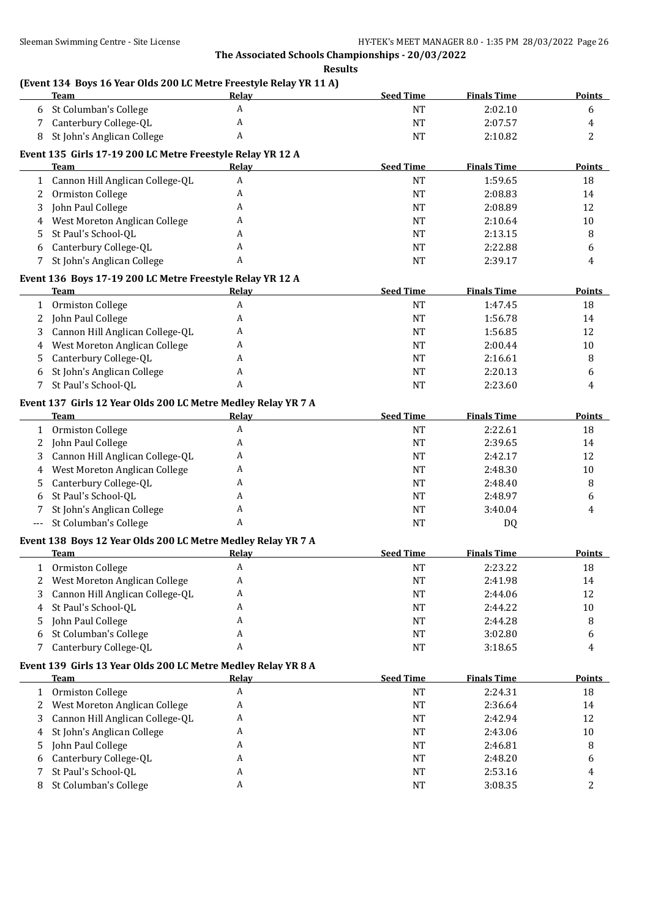|                | <b>Team</b>                                                   | Relay        | <b>Seed Time</b> | <b>Finals Time</b> | <b>Points</b> |
|----------------|---------------------------------------------------------------|--------------|------------------|--------------------|---------------|
|                | 6 St Columban's College                                       | $\mathbf{A}$ | NT               | 2:02.10            | 6             |
| 7              | Canterbury College-QL                                         | A            | NT               | 2:07.57            | 4             |
| 8              | St John's Anglican College                                    | A            | NT               | 2:10.82            | 2             |
|                | Event 135 Girls 17-19 200 LC Metre Freestyle Relay YR 12 A    |              |                  |                    |               |
|                | Team                                                          | Relay        | <b>Seed Time</b> | <b>Finals Time</b> | <b>Points</b> |
|                | 1 Cannon Hill Anglican College-QL                             | A            | NT               | 1:59.65            | 18            |
| 2              | Ormiston College                                              | A            | <b>NT</b>        | 2:08.83            | 14            |
| 3              | John Paul College                                             | A            | <b>NT</b>        | 2:08.89            | 12            |
| $\overline{4}$ | West Moreton Anglican College                                 | A            | NT               | 2:10.64            | 10            |
| 5.             | St Paul's School-QL                                           | A            | NT               | 2:13.15            | 8             |
| 6              | Canterbury College-QL                                         | A            | NT               | 2:22.88            | 6             |
| 7              | St John's Anglican College                                    | A            | <b>NT</b>        | 2:39.17            | 4             |
|                |                                                               |              |                  |                    |               |
|                | Event 136 Boys 17-19 200 LC Metre Freestyle Relay YR 12 A     |              | <b>Seed Time</b> |                    | Points        |
|                | Team                                                          | Relay<br>A   |                  | <b>Finals Time</b> |               |
|                | 1 Ormiston College                                            |              | NT               | 1:47.45            | 18            |
| $2^{\circ}$    | John Paul College                                             | A            | <b>NT</b>        | 1:56.78            | 14            |
| 3              | Cannon Hill Anglican College-QL                               | A            | NT               | 1:56.85            | 12            |
| 4              | West Moreton Anglican College                                 | A            | <b>NT</b>        | 2:00.44            | 10            |
| 5.             | Canterbury College-QL                                         | A            | NT               | 2:16.61            | 8             |
| 6              | St John's Anglican College                                    | A            | NT               | 2:20.13            | 6             |
| $7^{\circ}$    | St Paul's School-QL                                           | A            | <b>NT</b>        | 2:23.60            | 4             |
|                | Event 137 Girls 12 Year Olds 200 LC Metre Medley Relay YR 7 A |              |                  |                    |               |
|                | <b>Team</b>                                                   | Relay        | <b>Seed Time</b> | <b>Finals Time</b> | Points        |
|                | 1 Ormiston College                                            | A            | NT               | 2:22.61            | 18            |
| $\mathbf{2}$   | John Paul College                                             | A            | <b>NT</b>        | 2:39.65            | 14            |
| 3              | Cannon Hill Anglican College-QL                               | A            | <b>NT</b>        | 2:42.17            | 12            |
| $\overline{4}$ | West Moreton Anglican College                                 | A            | <b>NT</b>        | 2:48.30            | 10            |
| 5.             | Canterbury College-QL                                         | A            | NT               | 2:48.40            | 8             |
| 6              | St Paul's School-QL                                           | A            | NT               | 2:48.97            | 6             |
| 7              | St John's Anglican College                                    | A            | NT               | 3:40.04            | 4             |
| $---$          | St Columban's College                                         | A            | <b>NT</b>        | DQ                 |               |
|                |                                                               |              |                  |                    |               |
|                | Event 138 Boys 12 Year Olds 200 LC Metre Medley Relay YR 7 A  |              | <b>Seed Time</b> | <b>Finals Time</b> |               |
|                | Team                                                          | <u>Relay</u> |                  |                    | <b>Points</b> |
|                | 1 Ormiston College                                            | A            | $\rm{NT}$        | 2:23.22            | 18            |
|                | West Moreton Anglican College                                 | A            | NT               | 2:41.98            | 14            |
| 3              | Cannon Hill Anglican College-QL                               | A            | <b>NT</b>        | 2:44.06            | 12            |
| 4              | St Paul's School-QL                                           | A            | NT               | 2:44.22            | 10            |
| 5.             | John Paul College                                             | A            | NT               | 2:44.28            | 8             |
| 6              | St Columban's College                                         | A            | NT               | 3:02.80            | 6             |
| 7              | Canterbury College-QL                                         | A            | NT               | 3:18.65            | 4             |
|                | Event 139 Girls 13 Year Olds 200 LC Metre Medley Relay YR 8 A |              |                  |                    |               |
|                | Team                                                          | <u>Relav</u> | <b>Seed Time</b> | <b>Finals Time</b> | <b>Points</b> |
|                | 1 Ormiston College                                            | A            | NT               | 2:24.31            | 18            |
| 2              | West Moreton Anglican College                                 | A            | NT               | 2:36.64            | 14            |
| 3              | Cannon Hill Anglican College-QL                               | A            | NT               | 2:42.94            | 12            |
| 4              | St John's Anglican College                                    | A            | NT               | 2:43.06            | 10            |
| 5.             | John Paul College                                             | A            | NT               | 2:46.81            | 8             |
| 6              | Canterbury College-QL                                         | A            | NT               | 2:48.20            | 6             |
| 7              | St Paul's School-QL                                           | A            | NT               | 2:53.16            | 4             |
| 8              | St Columban's College                                         | A            | NT               | 3:08.35            | 2             |
|                |                                                               |              |                  |                    |               |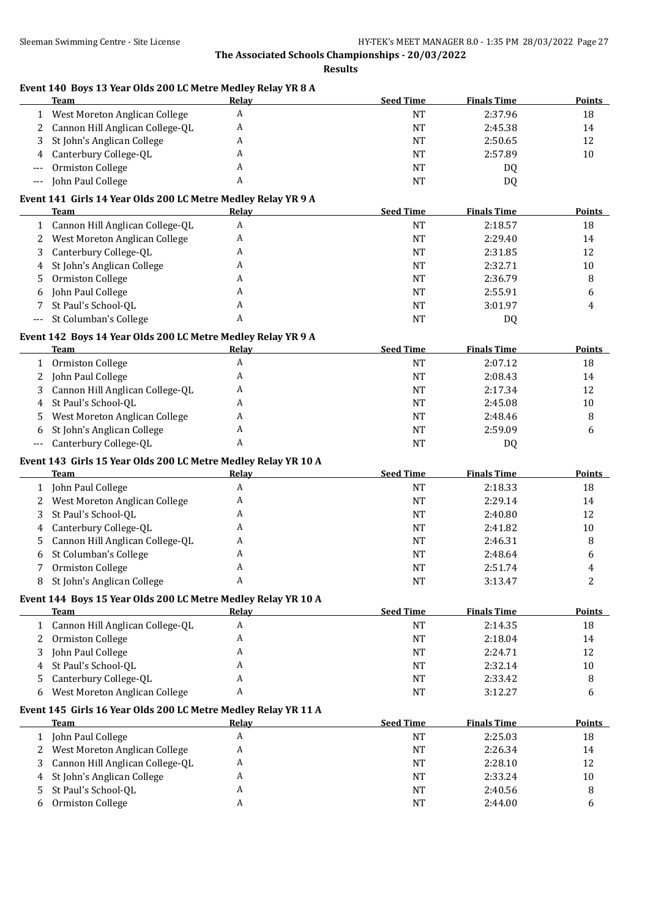| Event 140 Boys 13 Year Olds 200 LC Metre Medley Relay YR 8 A<br>Team          | Relay        | <b>Seed Time</b> | <b>Finals Time</b> | <b>Points</b>  |
|-------------------------------------------------------------------------------|--------------|------------------|--------------------|----------------|
| West Moreton Anglican College<br>1                                            | A            | <b>NT</b>        | 2:37.96            | 18             |
| Cannon Hill Anglican College-QL<br>2                                          | A            | <b>NT</b>        | 2:45.38            | 14             |
| St John's Anglican College<br>3                                               | A            | <b>NT</b>        | 2:50.65            | 12             |
| Canterbury College-QL<br>4                                                    | A            | <b>NT</b>        | 2:57.89            | 10             |
| Ormiston College<br>$---$                                                     | A            | <b>NT</b>        | DQ                 |                |
| John Paul College<br>$---$                                                    | A            | <b>NT</b>        | DQ                 |                |
| Event 141 Girls 14 Year Olds 200 LC Metre Medley Relay YR 9 A                 |              |                  |                    |                |
| Team                                                                          | Relay        | <b>Seed Time</b> | <b>Finals Time</b> | <b>Points</b>  |
| Cannon Hill Anglican College-QL<br>$\mathbf{1}$                               | A            | <b>NT</b>        | 2:18.57            | 18             |
| West Moreton Anglican College<br>2                                            | A            | $\rm{NT}$        | 2:29.40            | 14             |
| Canterbury College-QL<br>3                                                    | A            | <b>NT</b>        | 2:31.85            | 12             |
| St John's Anglican College<br>4                                               | A            | <b>NT</b>        | 2:32.71            | 10             |
| Ormiston College<br>5                                                         | A            | <b>NT</b>        | 2:36.79            | 8              |
| John Paul College<br>6                                                        | A            | <b>NT</b>        | 2:55.91            | 6              |
| St Paul's School-QL<br>7                                                      | A            | $\rm{NT}$        | 3:01.97            | 4              |
| St Columban's College<br>$---$                                                | A            | NT               | DQ                 |                |
|                                                                               |              |                  |                    |                |
| Event 142 Boys 14 Year Olds 200 LC Metre Medley Relay YR 9 A                  |              |                  |                    |                |
| <b>Team</b>                                                                   | Relay        | <b>Seed Time</b> | <b>Finals Time</b> | <b>Points</b>  |
| Ormiston College<br>$\mathbf{1}$                                              | A            | <b>NT</b>        | 2:07.12            | 18             |
| John Paul College<br>2                                                        | A            | <b>NT</b>        | 2:08.43            | 14             |
| Cannon Hill Anglican College-QL<br>3                                          | A            | <b>NT</b>        | 2:17.34            | 12             |
| St Paul's School-QL<br>4                                                      | A            | <b>NT</b>        | 2:45.08            | 10             |
| West Moreton Anglican College<br>5                                            | A            | <b>NT</b>        | 2:48.46            | 8              |
| St John's Anglican College<br>6                                               | A            | <b>NT</b>        | 2:59.09            | 6              |
| Canterbury College-QL<br>---                                                  | A            | <b>NT</b>        | DQ                 |                |
| Event 143 Girls 15 Year Olds 200 LC Metre Medley Relay YR 10 A<br><b>Team</b> | Relay        | <b>Seed Time</b> | <b>Finals Time</b> | <b>Points</b>  |
|                                                                               | A            |                  |                    |                |
| John Paul College<br>$\mathbf{1}$                                             |              | <b>NT</b>        | 2:18.33            | 18             |
| West Moreton Anglican College<br>2                                            | A            | <b>NT</b>        | 2:29.14            | 14             |
| St Paul's School-QL<br>3                                                      | A            | <b>NT</b>        | 2:40.80            | 12             |
| Canterbury College-QL<br>4                                                    | A            | <b>NT</b>        | 2:41.82            | 10             |
| Cannon Hill Anglican College-QL<br>5.                                         | A            | <b>NT</b>        | 2:46.31            | 8              |
| St Columban's College<br>6                                                    | A            | <b>NT</b>        | 2:48.64            | 6              |
| 7<br>Ormiston College                                                         | A            | <b>NT</b>        | 2:51.74            | 4              |
| St John's Anglican College<br>8                                               | A            | <b>NT</b>        | 3:13.47            | $\overline{c}$ |
| Event 144 Boys 15 Year Olds 200 LC Metre Medley Relay YR 10 A                 |              |                  |                    |                |
| Team                                                                          | <b>Relay</b> | <b>Seed Time</b> | <b>Finals Time</b> | <b>Points</b>  |
| Cannon Hill Anglican College-QL<br>$\mathbf{1}$                               | A            | $\rm{NT}$        | 2:14.35            | 18             |
| Ormiston College<br>2                                                         | A            | NT               | 2:18.04            | 14             |
| John Paul College<br>3                                                        | A            | NT               | 2:24.71            | 12             |
| St Paul's School-QL<br>4                                                      | A            | NT               | 2:32.14            | $10\,$         |
| Canterbury College-QL<br>5                                                    | A            | NT               | 2:33.42            | 8              |
| West Moreton Anglican College<br>6                                            | A            | NT               | 3:12.27            | 6              |
| Event 145 Girls 16 Year Olds 200 LC Metre Medley Relay YR 11 A                |              |                  |                    |                |
| <b>Team</b>                                                                   | <b>Relay</b> | <b>Seed Time</b> | <b>Finals Time</b> | <b>Points</b>  |
| John Paul College<br>1                                                        | A            | $\rm{NT}$        | 2:25.03            | 18             |
| West Moreton Anglican College<br>2                                            | A            | NT               | 2:26.34            | 14             |
| Cannon Hill Anglican College-QL<br>3                                          | A            | NT               | 2:28.10            | 12             |
| St John's Anglican College<br>4                                               | A            | <b>NT</b>        | 2:33.24            | 10             |
| St Paul's School-QL<br>5                                                      | A            | NT               | 2:40.56            | 8              |
| Ormiston College<br>6                                                         | A            | $\rm{NT}$        | 2:44.00            | 6              |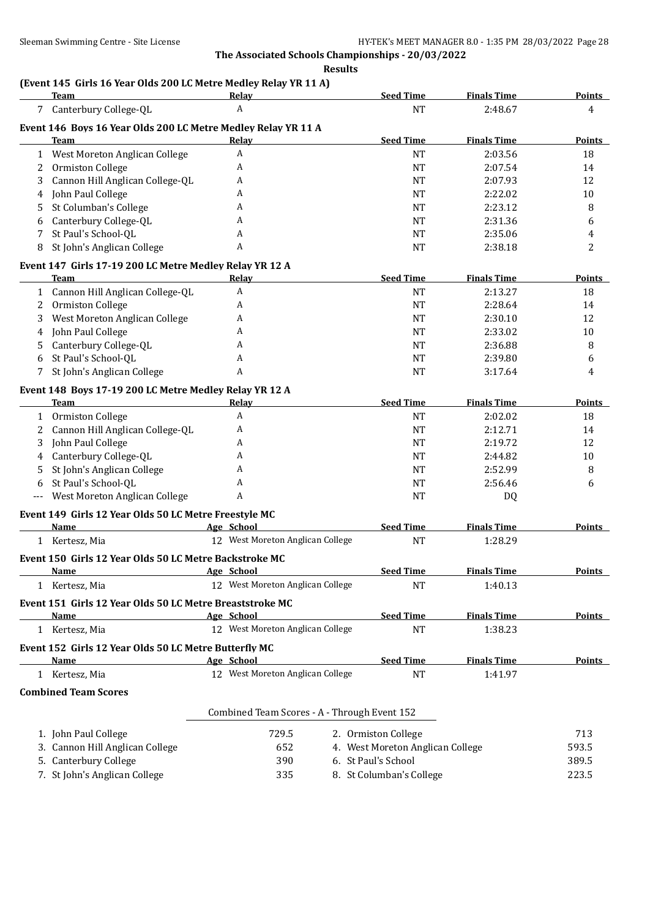#### **Results**

## **(Event 145 Girls 16 Year Olds 200 LC Metre Medley Relay YR 11 A)**

|              | Team                                                          | Relay                                          | <b>Seed Time</b>                 | <b>Finals Time</b> | <b>Points</b> |
|--------------|---------------------------------------------------------------|------------------------------------------------|----------------------------------|--------------------|---------------|
|              | 7 Canterbury College-QL                                       | A                                              | <b>NT</b>                        | 2:48.67            | 4             |
|              | Event 146 Boys 16 Year Olds 200 LC Metre Medley Relay YR 11 A |                                                |                                  |                    |               |
|              | <b>Team</b>                                                   | Relay                                          | <b>Seed Time</b>                 | <b>Finals Time</b> | Points        |
| 1            | West Moreton Anglican College                                 | A                                              | <b>NT</b>                        | 2:03.56            | 18            |
| 2            | Ormiston College                                              | A                                              | <b>NT</b>                        | 2:07.54            | 14            |
| 3            | Cannon Hill Anglican College-QL                               | A                                              | <b>NT</b>                        | 2:07.93            | 12            |
| 4            | John Paul College                                             | A                                              | <b>NT</b>                        | 2:22.02            | 10            |
| 5            | St Columban's College                                         | A                                              | <b>NT</b>                        | 2:23.12            | 8             |
| 6            | Canterbury College-QL                                         | A                                              | NT                               | 2:31.36            | 6             |
| 7            | St Paul's School-QL                                           | A                                              | <b>NT</b>                        | 2:35.06            | 4             |
| 8            | St John's Anglican College                                    | A                                              | <b>NT</b>                        | 2:38.18            | 2             |
|              | Event 147 Girls 17-19 200 LC Metre Medley Relay YR 12 A       |                                                |                                  |                    |               |
|              | Team                                                          | <b>Relay</b>                                   | <b>Seed Time</b>                 | <b>Finals Time</b> | <b>Points</b> |
|              | 1 Cannon Hill Anglican College-QL                             | $\boldsymbol{A}$                               | <b>NT</b>                        | 2:13.27            | 18            |
| $\mathbf{2}$ | Ormiston College                                              | A                                              | <b>NT</b>                        | 2:28.64            | 14            |
| 3            | West Moreton Anglican College                                 | A                                              | <b>NT</b>                        | 2:30.10            | 12            |
| 4            | John Paul College                                             | A                                              | <b>NT</b>                        | 2:33.02            | 10            |
|              | Canterbury College-QL                                         | A                                              | NT                               | 2:36.88            | 8             |
| 5<br>6       | St Paul's School-QL                                           | A                                              | <b>NT</b>                        | 2:39.80            |               |
| 7            | St John's Anglican College                                    | A                                              | <b>NT</b>                        | 3:17.64            | 6<br>4        |
|              |                                                               |                                                |                                  |                    |               |
|              | Event 148 Boys 17-19 200 LC Metre Medley Relay YR 12 A        |                                                |                                  |                    |               |
|              | Team                                                          | Relay                                          | <b>Seed Time</b>                 | <b>Finals Time</b> | Points        |
| $\mathbf{1}$ | Ormiston College                                              | A                                              | NT                               | 2:02.02            | 18            |
| 2            | Cannon Hill Anglican College-QL                               | A                                              | NT                               | 2:12.71            | 14            |
| 3            | John Paul College                                             | A                                              | <b>NT</b>                        | 2:19.72            | 12            |
| 4            | Canterbury College-QL                                         | A                                              | <b>NT</b>                        | 2:44.82            | 10            |
| 5            | St John's Anglican College                                    | A                                              | <b>NT</b>                        | 2:52.99            | 8             |
| 6            | St Paul's School-QL                                           | A                                              | NT                               | 2:56.46            | 6             |
| $---$        | West Moreton Anglican College                                 | A                                              | <b>NT</b>                        | DQ                 |               |
|              | Event 149 Girls 12 Year Olds 50 LC Metre Freestyle MC         |                                                |                                  |                    |               |
|              | Name                                                          | Age School                                     | <b>Seed Time</b>                 | <b>Finals Time</b> | Points        |
|              | 1 Kertesz, Mia                                                | 12 West Moreton Anglican College               | $\rm{NT}$                        | 1:28.29            |               |
|              | Event 150 Girls 12 Year Olds 50 LC Metre Backstroke MC        |                                                |                                  |                    |               |
|              | <u>Name</u>                                                   | Age School                                     | <b>Seed Time</b>                 | <b>Finals Time</b> | <b>Points</b> |
|              | Kertesz, Mia                                                  | 12 West Moreton Anglican College               | NT                               | 1:40.13            |               |
|              |                                                               |                                                |                                  |                    |               |
|              | Event 151 Girls 12 Year Olds 50 LC Metre Breaststroke MC      |                                                | <b>Seed Time</b>                 | <b>Finals Time</b> |               |
|              | Name                                                          | Age School<br>12 West Moreton Anglican College |                                  |                    | <b>Points</b> |
|              | 1 Kertesz, Mia                                                |                                                | <b>NT</b>                        | 1:38.23            |               |
|              | Event 152 Girls 12 Year Olds 50 LC Metre Butterfly MC         |                                                |                                  |                    |               |
|              | Name                                                          | Age School                                     | <b>Seed Time</b>                 | <b>Finals Time</b> | <b>Points</b> |
|              | 1 Kertesz, Mia                                                | 12 West Moreton Anglican College               | <b>NT</b>                        | 1:41.97            |               |
|              | <b>Combined Team Scores</b>                                   |                                                |                                  |                    |               |
|              |                                                               | Combined Team Scores - A - Through Event 152   |                                  |                    |               |
|              |                                                               |                                                |                                  |                    |               |
|              | 1. John Paul College                                          | 729.5                                          | 2. Ormiston College              |                    | 713           |
|              | 3. Cannon Hill Anglican College                               | 652                                            | 4. West Moreton Anglican College |                    | 593.5         |
|              | 5. Canterbury College                                         | 390                                            | 6. St Paul's School              |                    | 389.5         |
|              | 7. St John's Anglican College                                 | 335                                            | 8. St Columban's College         |                    | 223.5         |